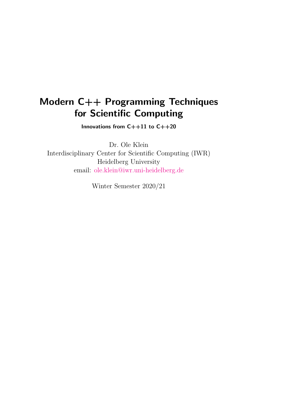# Modern C++ Programming Techniques for Scientific Computing

Innovations from  $C++11$  to  $C++20$ 

Dr. Ole Klein Interdisciplinary Center for Scientific Computing (IWR) Heidelberg University email: [ole.klein@iwr.uni-heidelberg.de](mailto:ole.klein@iwr.uni-heidelberg.de)

Winter Semester 2020/21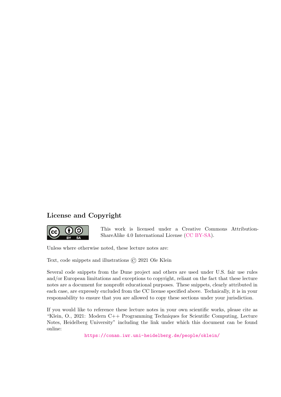## License and Copyright



This work is licensed under a Creative Commons Attribution-ShareAlike 4.0 International License [\(CC BY-SA\)](https://creativecommons.org/licenses/by-sa/4.0/).

Unless where otherwise noted, these lecture notes are:

Text, code snippets and illustrations © 2021 Ole Klein

Several code snippets from the Dune project and others are used under U.S. fair use rules and/or European limitations and exceptions to copyright, reliant on the fact that these lecture notes are a document for nonprofit educational purposes. These snippets, clearly attributed in each case, are expressly excluded from the CC license specified above. Technically, it is in your responsability to ensure that you are allowed to copy these sections under your jurisdiction.

If you would like to reference these lecture notes in your own scientific works, please cite as "Klein, O., 2021: Modern C++ Programming Techniques for Scientific Computing, Lecture Notes, Heidelberg University" including the link under which this document can be found online:

<https://conan.iwr.uni-heidelberg.de/people/oklein/>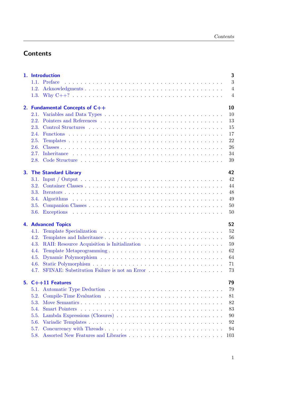## **Contents**

|                                 | 3<br>1. Introduction                         |  |  |
|---------------------------------|----------------------------------------------|--|--|
|                                 | 3<br>1.1. Preface                            |  |  |
| 1.2.                            | $\overline{4}$                               |  |  |
|                                 | $\overline{4}$                               |  |  |
|                                 | 10<br>2. Fundamental Concepts of $C++$       |  |  |
|                                 | 10                                           |  |  |
| 2.2.                            | 13                                           |  |  |
| 2.3.                            | 15                                           |  |  |
| 2.4.                            | 17                                           |  |  |
| 2.5.                            | 22                                           |  |  |
| 2.6.                            | 26                                           |  |  |
| 2.7.                            | 34                                           |  |  |
|                                 | 39                                           |  |  |
|                                 | 42<br><b>The Standard Library</b>            |  |  |
|                                 | 42                                           |  |  |
| 3.2.                            | 44                                           |  |  |
| 3.3.                            | 48                                           |  |  |
| 3.4.                            | 49                                           |  |  |
|                                 | 50                                           |  |  |
|                                 | 50                                           |  |  |
| 52<br><b>4. Advanced Topics</b> |                                              |  |  |
| 4.1.                            | 52                                           |  |  |
| 4.2.                            | 56                                           |  |  |
| 4.3.                            | 59                                           |  |  |
| 4.4.                            | 62                                           |  |  |
| 4.5.                            | 64                                           |  |  |
| 4.6.                            | 71                                           |  |  |
| 47                              | 73                                           |  |  |
|                                 | 79<br>5. $C++11$ Features                    |  |  |
| 5.1.                            | 79                                           |  |  |
|                                 | 81                                           |  |  |
|                                 | 82                                           |  |  |
| 5.4.                            | 83<br><b>Smart Pointers</b>                  |  |  |
| 5.5.                            | 90                                           |  |  |
|                                 | 92                                           |  |  |
| 5.7.                            | 94                                           |  |  |
| 5.8.                            | 103                                          |  |  |
|                                 | 2.1.<br>2.8.<br>3.5.<br>5.2.<br>5.3.<br>5.6. |  |  |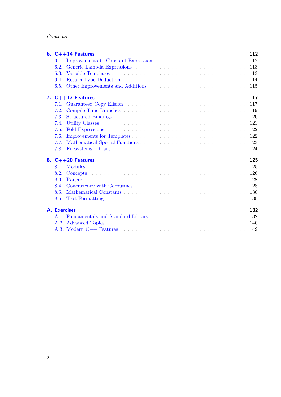|  | 6. $C++14$ Features        | 112 |  |
|--|----------------------------|-----|--|
|  |                            | 112 |  |
|  |                            |     |  |
|  |                            | 113 |  |
|  | 6.4.                       | 114 |  |
|  |                            | 115 |  |
|  | 7. $C++17$ Features        | 117 |  |
|  |                            | 117 |  |
|  |                            | 119 |  |
|  | 7.3.                       | 120 |  |
|  | 7.4.                       | 121 |  |
|  | 7.5.                       | 122 |  |
|  | 7.6.                       | 122 |  |
|  | 7.7.                       | 123 |  |
|  |                            | 124 |  |
|  | 8. $C++20$ Features        | 125 |  |
|  |                            | 125 |  |
|  | 8.2.                       |     |  |
|  | 8.3.                       | 128 |  |
|  | 8.4.                       | 128 |  |
|  | 8.5.                       | 130 |  |
|  |                            | 130 |  |
|  | <b>A.</b> Exercises<br>132 |     |  |
|  |                            | 132 |  |
|  |                            | 140 |  |
|  |                            |     |  |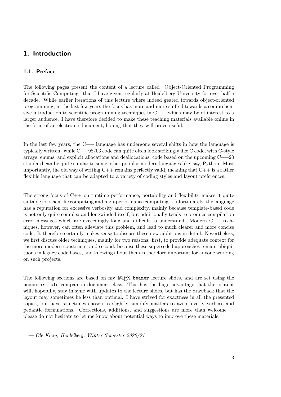## <span id="page-4-0"></span>1. Introduction

## <span id="page-4-1"></span>1.1. Preface

The following pages present the content of a lecture called "Object-Oriented Programming for Scientific Computing" that I have given regularly at Heidelberg University for over half a decade. While earlier iterations of this lecture where indeed geared towards object-oriented programming, in the last few years the focus has more and more shifted towards a comprehensive introduction to scientific programming techniques in  $C_{++}$ , which may be of interest to a larger audience. I have therefore decided to make these teaching materials available online in the form of an electronic document, hoping that they will prove useful.

In the last few years, the C++ language has undergone several shifts in how the language is typically written: while C++98/03 code can quite often look strikingly like C code, with C-style arrays, enums, and explicit allocations and deallocations, code based on the upcoming  $C++20$ standard can be quite similar to some other popular modern languages like, say, Python. Most importantly, the old way of writing  $C++$  remains perfectly valid, meaning that  $C++$  is a rather flexible language that can be adapted to a variety of coding styles and layout preferences.

The strong focus of  $C_{++}$  on runtime performance, portability and flexibility makes it quite suitable for scientific computing and high-performance computing. Unfortunately, the language has a reputation for excessive verbosity and complexity, mainly because template-based code is not only quite complex and longwinded itself, but additionally tends to produce compilation error messages which are exceedingly long and difficult to understand. Modern C++ techniques, however, can often alleviate this problem, and lead to much clearer and more concise code. It therefore certainly makes sense to discuss these new additions in detail. Nevertheless, we first discuss older techniques, mainly for two reasons: first, to provide adequate context for the more modern constructs, and second, because these superseded approaches remain ubiquituous in legacy code bases, and knowing about them is therefore important for anyone working on such projects.

The following sections are based on my LAT<sub>EX</sub> beamer lecture slides, and are set using the beamerarticle companion document class. This has the huge advantage that the content will, hopefully, stay in sync with updates to the lecture slides, but has the drawback that the layout may sometimes be less than optimal. I have strived for exactness in all the presented topics, but have sometimes chosen to slightly simplify matters to avoid overly verbose and pedantic formulations. Corrections, additions, and suggestions are more than welcome please do not hesitate to let me know about potential ways to improve these materials.

— Ole Klein, Heidelberg, Winter Semester 2020/21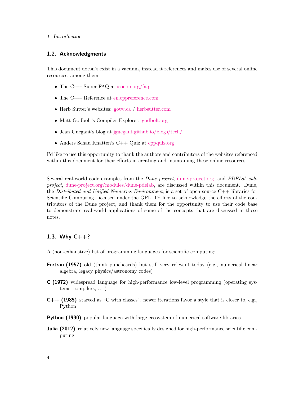## <span id="page-5-0"></span>1.2. Acknowledgments

This document doesn't exist in a vacuum, instead it references and makes use of several online resources, among them:

- The C++ Super-FAQ at [isocpp.org/faq](https://isocpp.org/faq)
- The C++ Reference at [en.cppreference.com](https://en.cppreference.com)
- Herb Sutter's websites: [gotw.ca](http://gotw.ca) / [herbsutter.com](https://herbsutter.com)
- Matt Godbolt's Compiler Explorer: [godbolt.org](https://godbolt.org)
- Jean Guegant's blog at [jguegant.github.io/blogs/tech/](https://jguegant.github.io/blogs/tech/)
- Anders Schau Knatten's C++ Quiz at conquiz.org

I'd like to use this opportunity to thank the authors and contributors of the websites referenced within this document for their efforts in creating and maintaining these online resources.

Several real-world code examples from the *Dune project*, [dune-project.org,](https://dune-project.org) and *PDELab sub*project, [dune-project.org/modules/dune-pdelab,](https://dune-project.org/modules/dune-pdelab) are discussed within this document. Dune, the Distributed and Unified Numerics Environment, is a set of open-source  $C_{++}$  libraries for Scientific Computing, licensed under the GPL. I'd like to acknowledge the efforts of the contributors of the Dune project, and thank them for the opportunity to use their code base to demonstrate real-world applications of some of the concepts that are discussed in these notes.

## <span id="page-5-1"></span>1.3. Why  $C++?$

- A (non-exhaustive) list of programming languages for scientific computing:
- Fortran (1957) old (think punchcards) but still very relevant today (e.g., numerical linear algebra, legacy physics/astronomy codes)
- C (1972) widespread language for high-performance low-level programming (operating systems, compilers, . . . )
- C++ (1985) started as "C with classes", newer iterations favor a style that is closer to, e.g., Python
- Python (1990) popular language with large ecosystem of numerical software libraries
- **Julia (2012)** relatively new language specifically designed for high-performance scientific computing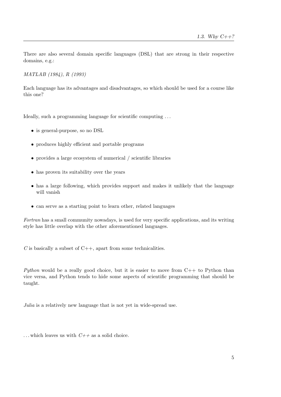There are also several domain specific languages (DSL) that are strong in their respective domains, e.g.:

MATLAB (1984), R (1993)

Each language has its advantages and disadvantages, so which should be used for a course like this one?

Ideally, such a programming language for scientific computing . . .

- is general-purpose, so no DSL
- produces highly efficient and portable programs
- provides a large ecosystem of numerical / scientific libraries
- has proven its suitability over the years
- has a large following, which provides support and makes it unlikely that the language will vanish
- can serve as a starting point to learn other, related languages

Fortran has a small community nowadays, is used for very specific applications, and its writing style has little overlap with the other aforementioned languages.

 $C$  is basically a subset of  $C_{++}$ , apart from some technicalities.

Python would be a really good choice, but it is easier to move from  $C++$  to Python than vice versa, and Python tends to hide some aspects of scientific programming that should be taught.

Julia is a relatively new language that is not yet in wide-spread use.

... which leaves us with  $C++$  as a solid choice.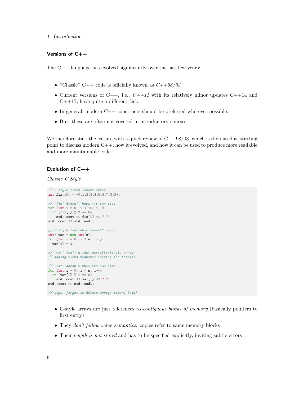## Versions of C++

The C++ language has evolved significantly over the last few years:

- "Classic" C++ code is officially known as  $C+ +98/03$ .
- Current versions of C++, i.e.,  $C++11$  with its relatively minor updates C++14 and  $C++17$ , have quite a different feel.
- In general, modern  $C++$  constructs should be preferred wherever possible.
- But: these are often not covered in introductory courses.

We therefore start the lecture with a quick review of  $C++98/03$ , which is then used as starting point to discuss modern C++, how it evolved, and how it can be used to produce more readable and more maintainable code.

## Evolution of  $C++$

Classic C Style

```
// C-style fixed-length array
int fix[10] = \{0, 1, 2, 3, 4, 5, 6, 7, 8, 9\};// "fix" doesn't know its own size
for (int i = 0; i < 10; i++)
 if (fix[i] % 2 == 0)std::count \leq fix[i] \leq  ";
std::cout << std::endl;
// C-style "variable-length" array
\text{int}^* \text{var} = \text{new int}[n];for (int i = 0; i < n; i++)var[i] = i;// "var" isn't a real variable-length array:
// adding elems requires copying (or tricks)
// "var" doesn't know its own size
for (int i = 0; i < n; i++)
 if \text{var}[i] % 2 == 0)
   std::cout \leq var[i] \leq " ";
std::cout << std::endl;
```
// oops, forgot to delete array: memory leak!

- C-style arrays are just references to contiguous blocks of memory (basically pointers to first entry)
- They *don't follow value semantics*: copies refer to same memory blocks
- Their *length is not stored* and has to be specified explicitly, inviting subtle errors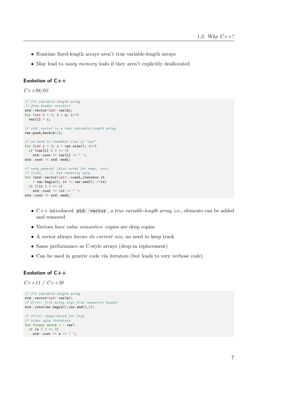- Runtime fixed-length arrays aren't true variable-length arrays
- May lead to nasty memory leaks if they aren't explicitly deallocated

## Evolution of C++

 $C++98/03$ 

```
// C++ variable-length array
// from header <vector>
std::vector<int> var(n);
for (int i = 0; i < n; i++)
 var[i] = i;// std::vector is a real variable-length array
var.push_back(n+1);
// no need to remember size of "var"
for (int i = 0; i < var.size(); i++)if (var[i] % 2 == 0)std::cout \leq var[i] \leq " ";
std::cout << std::endl;
// very general (also works for maps, sets,
// lists, ...), but reeeally ugly
for (std::vector<int>::const_iterator it
   = var.begin(); it != var.end(); ++it)if (*it \text{ % } 2 == 0)std::\text{cut} \ll * \text{it} \ll \text{``"};
std::cout << std::endl;
```
- C++ introduced std::vector , a true variable-length array, i.e., elements can be added and removed
- Vectors have value semantics: copies are deep copies
- A vector always knows its current size, no need to keep track
- Same performance as C-style arrays (drop-in replacement)
- Can be used in generic code via iterators (but leads to very verbose code)

## Evolution of  $C++$

```
C++11 / C++20
```

```
// C++ variable-length array
std::vector<int> var(n);
// C++11: fill using algo from <numeric> header
std::iota(var.begin(),var.end(),0);
// C++11: range-based for loop
// hides ugly iterators
for (const auto& e : var)
 if (e \frac{9}{6} 2 == 0)
 std::cout << e << " ";
```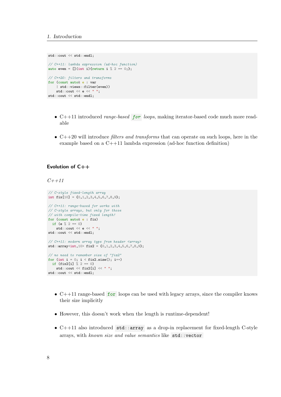```
std::cout << std::endl;
// C++11: lambda expression (ad-hoc function)
auto even = [] (int i){return i} % 2 == 0;};// C++20: filters and transforms
for (const auto& e : var
    | std::views::filter(even))
    std::\text{cut} \ll e \ll \frac{m}{n};
```
- $C++11$  introduced *range-based* for *loops*, making iterator-based code much more readable
- $C++20$  will introduce *filters and transforms* that can operate on such loops, here in the example based on a C++11 lambda expression (ad-hoc function definition)

## Evolution of C++

std::cout << std::endl;

```
C++11
```

```
// C-style fixed-length array
int fix[10] = \{0, 1, 2, 3, 4, 5, 6, 7, 8, 9\};// C++11: range-based for works with
// C-style arrays, but only for those
// with compile-time fixed length!
for (const auto& e : fix)
 if (e \frac{9}{6} 2 == 0)
    std::\text{cut} \ll e \ll \frac{m}{n};
std::cout << std::endl;
// C++11: modern array type from header <array>
std::array<sub>10</sub> fix2 = {0,1,2,3,4,5,6,7,8,9};
// no need to remember size of "fix2"
for (int i = 0; i < fix2.size(); i++)if (fix2[i] % 2 == 0)std::count \leq fix2[i] \leq  ";
std::cout << std::endl;
```
- $C++11$  range-based for loops can be used with legacy arrays, since the compiler knows their size implicitly
- However, this doesn't work when the length is runtime-dependent!
- $C++11$  also introduced  $std$ : array as a drop-in replacement for fixed-length C-style arrays, with known size and value semantics like std::vector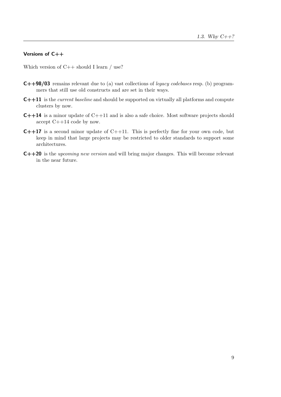## Versions of C++

Which version of  $C++$  should I learn / use?

- C++98/03 remains relevant due to (a) vast collections of legacy codebases resp. (b) programmers that still use old constructs and are set in their ways.
- C++11 is the current baseline and should be supported on virtually all platforms and compute clusters by now.
- C++14 is a minor update of C++11 and is also a safe choice. Most software projects should accept C++14 code by now.
- $C++17$  is a second minor update of  $C++11$ . This is perfectly fine for your own code, but keep in mind that large projects may be restricted to older standards to support some architectures.
- C++20 is the upcoming new version and will bring major changes. This will become relevant in the near future.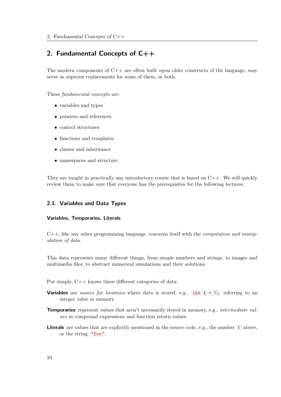## <span id="page-11-0"></span>2. Fundamental Concepts of C++

The modern components of  $C_{++}$  are often built upon older constructs of the language, may serve as superior replacements for some of them, or both.

These fundamental concepts are:

- variables and types
- pointers and references
- control structures
- functions and templates
- classes and inheritance
- namespaces and structure

They are taught in practically any introductory course that is based on  $C_{++}$ . We will quickly review them to make sure that everyone has the prerequisites for the following lectures.

## <span id="page-11-1"></span>2.1. Variables and Data Types

#### Variables, Temporaries, Literals

 $C_{++}$ , like any other programming language, concerns itself with the *computation and manip*ulation of data.

This data represents many different things, from simple numbers and strings, to images and multimedia files, to abstract numerical simulations and their solutions.

Put simply, C++ knows three different categories of data:

- **Variables** are names for locations where data is stored, e.g., int  $i = 5$ ; referring to an integer value in memory.
- Temporaries represent values that aren't necessarily stored in memory, e.g., *intermediate val*ues in compound expressions and function return values.
- Literals are values that are explicitly mentioned in the source code, e.g., the number 5 above, or the string "foo" .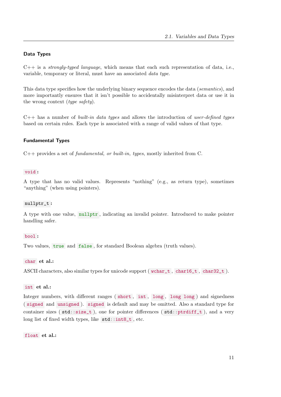## Data Types

 $C++$  is a *strongly-typed language*, which means that each such representation of data, i.e., variable, temporary or literal, must have an associated data type.

This data type specifies how the underlying binary sequence encodes the data (semantics), and more importantly ensures that it isn't possible to accidentally misinterpret data or use it in the wrong context (*type safety*).

 $C++$  has a number of *built-in data types* and allows the introduction of user-defined types based on certain rules. Each type is associated with a range of valid values of that type.

## Fundamental Types

 $C++$  provides a set of *fundamental, or built-in, types,* mostly inherited from C.

#### void :

A type that has no valid values. Represents "nothing" (e.g., as return type), sometimes "anything" (when using pointers).

#### nullptr\_t :

A type with one value, nullptr , indicating an invalid pointer. Introduced to make pointer handling safer.

## bool :

Two values, true and false, for standard Boolean algebra (truth values).

## char et al.:

ASCII characters, also similar types for unicode support ( $\text{wchar}_t$ , char16<sub>t</sub>, char32<sub>t</sub>).

#### int et al.:

Integer numbers, with different ranges (short, int, long, long long) and signedness ( signed and unsigned ). signed is default and may be omitted. Also a standard type for container sizes ( $\text{std}$ :: $\text{size}_t$ ), one for pointer differences ( $\text{std}$ :: $\text{ptrdiff}_t$ ), and a very long list of fixed width types, like std::int8\_t , etc.

float et al.: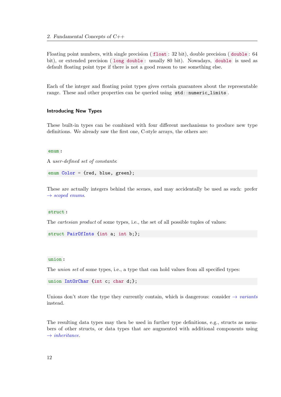Floating point numbers, with single precision ( float : 32 bit), double precision ( double : 64 bit), or extended precision ( long double : usually 80 bit). Nowadays, double is used as default floating point type if there is not a good reason to use something else.

Each of the integer and floating point types gives certain guarantees about the representable range. These and other properties can be queried using  $std:$ : numeric\_limits.

### Introducing New Types

These built-in types can be combined with four different mechanisms to produce new type definitions. We already saw the first one, C-style arrays, the others are:

#### enum :

A user-defined set of constants:

enum Color = {red, blue, green};

These are actually integers behind the scenes, and may accidentally be used as such: prefer  $\rightarrow$  [scoped enums](#page-107-0).

#### struct :

The *cartesian product* of some types, i.e., the set of all possible tuples of values:

struct PairOfInts {int a; int b;};

#### union :

The *union set* of some types, i.e., a type that can hold values from all specified types:

union IntOrChar {int c; char d;};

Unions don't store the type they currently contain, which is dangerous: consider  $\rightarrow$  [variants](#page-122-1) instead.

The resulting data types may then be used in further type definitions, e.g., structs as members of other structs, or data types that are augmented with additional components using  $\rightarrow$  [inheritance](#page-36-0).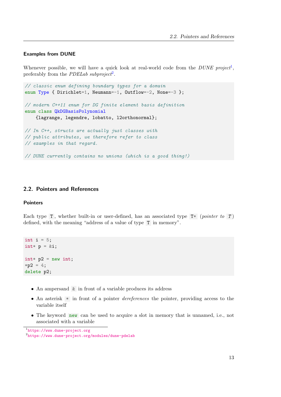## Examples from DUNE

Whenever possible, we will have a quick look at real-world code from the  $DUNE$  project<sup>[1](#page-14-1)</sup>, preferably from the *PDELab subproject*<sup>[2](#page-14-2)</sup>.

```
// classic enum defining boundary types for a domain
enum Type { Dirichlet=1, Neumann=-1, Outflow=-2, None=-3 };
// modern C++11 enum for DG finite element basis definition
enum class QkDGBasisPolynomial
    {lagrange, legendre, lobatto, l2orthonormal};
// In C++, structs are actually just classes with
// public attributes, we therefore refer to class
// examples in that regard.
// DUNE currently contains no unions (which is a good thing!)
```
## <span id="page-14-0"></span>2.2. Pointers and References

#### **Pointers**

Each type  $T$ , whether built-in or user-defined, has an associated type  $T^*$  (pointer to  $T$ ) defined, with the meaning "address of a value of type T in memory".

```
int i = 5;
\text{int} * p = \&\text{i};int* p2 = new int;*p2 = 4;delete p2;
```
- An ampersand & in front of a variable produces its address
- An asterisk  $*$  in front of a pointer *dereferences* the pointer, providing access to the variable itself
- The keyword new can be used to acquire a slot in memory that is unnamed, i.e., not associated with a variable

<span id="page-14-1"></span><sup>1</sup> <https://www.dune-project.org>

<span id="page-14-2"></span> $^{2}$ <https://www.dune-project.org/modules/dune-pdelab>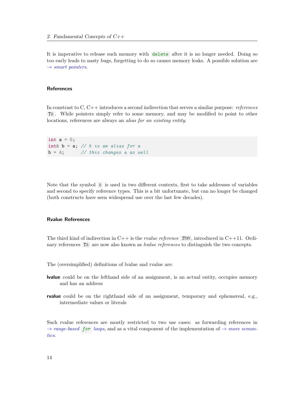It is imperative to release such memory with delete after it is no longer needed. Doing so too early leads to nasty bugs, forgetting to do so causes memory leaks. A possible solution are  $\rightarrow$  [smart pointers](#page-84-1).

## References

In constrast to C, C++ introduces a second indirection that serves a similar purpose: *references* T& . While pointers simply refer to some memory, and may be modified to point to other locations, references are always an alias for an existing entity.

```
int a = 5;
int& b = a; // b is an alias for a
b = 4; // this changes a as well
```
Note that the symbol  $\&$  is used in two different contexts, first to take addresses of variables and second to specify reference types. This is a bit unfortunate, but can no longer be changed (both constructs have seen widespread use over the last few decades).

## Rvalue References

The third kind of indirection in C++ is the *rvalue reference* T& , introduced in C++11. Ordinary references T& are now also known as *lvalue references* to distinguish the two concepts.

- The (oversimplified) definitions of lvalue and rvalue are:
- lvalue could be on the lefthand side of an assignment, is an actual entity, occupies memory and has an address
- rvalue could be on the righthand side of an assignment, temporary and ephemereal, e.g., intermediate values or literals

Such rvalue references are mostly restricted to two use cases: as forwarding references in  $\rightarrow range-based$  $\rightarrow range-based$  for loops, and as a vital component of the implementation of  $\rightarrow move\,seman$ [tics](#page-83-1).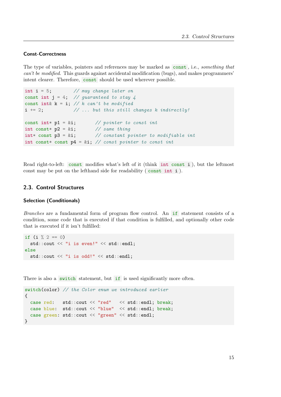#### Const-Correctness

The type of variables, pointers and references may be marked as const , i.e., something that can't be modified. This guards against accidental modification (bugs), and makes programmers' intent clearer. Therefore, const should be used wherever possible.

```
int i = 5; \frac{1}{\sqrt{may}} change later on
const int j = 4; // guaranteed to stay 4
const int& k = i; // k can't be modified
i += 2; \frac{1}{2} ... but this still changes k indirectly!
const int* p1 = k i; // pointer to const int
int const* p2 = k i; // same thing
int* const p2 = x-,<br>int* const p3 = xi; // constant pointer to modifiable int
int const* const p4 = k i; // const pointer to const int
```
Read right-to-left: const modifies what's left of it (think int const i ), but the leftmost const may be put on the lefthand side for readability ( const int i ).

## <span id="page-16-0"></span>2.3. Control Structures

#### Selection (Conditionals)

Branches are a fundamental form of program flow control. An if statement consists of a condition, some code that is executed if that condition is fulfilled, and optionally other code that is executed if it isn't fulfilled:

```
if (i \n% 2 == 0)std::cout << "i is even!" << std::endl;
else
  std::cout << "i is odd!" << std::endl;
```
There is also a switch statement, but if is used significantly more often.

```
switch(color) // the Color enum we introduced earlier
{
 case red: std::cout << "red" << std::endl; break;
 case blue: std::cout << "blue" << std::endl; break;
  case green: std::cout << "green" << std::endl;
}
```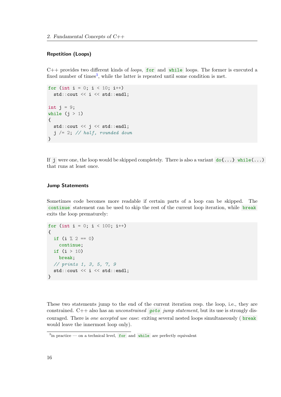## Repetition (Loops)

 $C++$  provides two different kinds of *loops*, for and while loops. The former is executed a fixed number of times<sup>[3](#page-17-0)</sup>, while the latter is repeated until some condition is met.

```
for (int i = 0; i < 10; i++)
  std::cout << i << std::endl;
int j = 9;
while (j > 1){
  std::cout << j << std::endl;
  j /= 2; // half, rounded down
}
```
If j were one, the loop would be skipped completely. There is also a variant  $dof...$  while(...) that runs at least once.

## Jump Statements

Sometimes code becomes more readable if certain parts of a loop can be skipped. The continue statement can be used to skip the rest of the current loop iteration, while break exits the loop prematurely:

```
for (int i = 0; i < 100; i++)
{
  if (i \ \frac{\%}{\%} 2 == 0)continue;
  if (i > 10)
    break;
  // prints 1, 3, 5, 7, 9
  std::cout << i << std::endl;
}
```
These two statements jump to the end of the current iteration resp. the loop, i.e., they are constrained.  $C++$  also has an *unconstrained* goto jump statement, but its use is strongly discouraged. There is one accepted use case: exiting several nested loops simultaneously (break would leave the innermost loop only).

<span id="page-17-0"></span> $3$ in practice — on a technical level, for and while are perfectly equivalent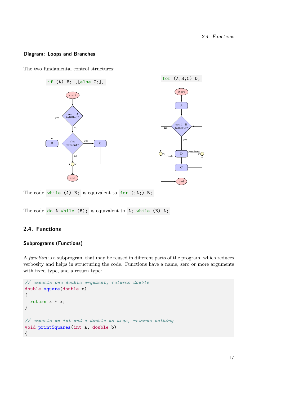## Diagram: Loops and Branches

The two fundamental control structures:



The code while (A) B; is equivalent to for (;A;) B; .

The code do A while (B); is equivalent to A; while (B) A; .

## <span id="page-18-0"></span>2.4. Functions

## Subprograms (Functions)

A function is a subprogram that may be reused in different parts of the program, which reduces verbosity and helps in structuring the code. Functions have a name, zero or more arguments with fixed type, and a return type:

```
// expects one double argument, returns double
double square(double x)
{
  return x * x;
}
// expects an int and a double as args, returns nothing
void printSquares(int a, double b)
{
```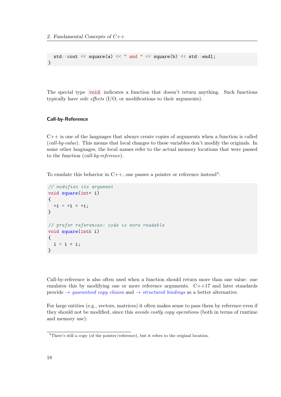```
std::count \leq square(a) \leq " and " \leq square(b) \leq std::end];}
```
The special type void indicates a function that doesn't return anything. Such functions typically have *side effects*  $(I/O, or modifications to their arguments).$ 

## Call-by-Reference

 $C++$  is one of the languages that always create copies of arguments when a function is called (call-by-value). This means that local changes to these variables don't modify the originals. In some other languages, the local names refer to the actual memory locations that were passed to the function (call-by-reference).

To emulate this behavior in C++, one passes a pointer or reference instead<sup>[4](#page-19-0)</sup>:

```
// modifies its argument
void square(int* i)
{
  * i = * i * * i;}
// prefer references: code is more readable
void square(int& i)
{
  i = i * i;}
```
Call-by-reference is also often used when a function should return more than one value: one emulates this by modifying one or more reference arguments. C++17 and later standards provide  $\rightarrow$  *quaranteed copy elision* and  $\rightarrow$  *[structured bindings](#page-121-1)* as a better alternative.

For large entities (e.g., vectors, matrices) it often makes sense to pass them by reference even if they should not be modified, since this avoids costly copy operations (both in terms of runtime and memory use):

<span id="page-19-0"></span><sup>&</sup>lt;sup>4</sup>There's still a copy (of the pointer/reference), but it refers to the original location.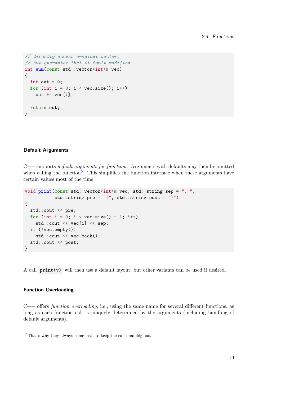```
// directly access original vector,
// but guarantee that it isn't modified
int sum(const std::vector<int>& vec)
{
  int out = 0:
  for (int i = 0; i < vec.size(); i++)out += vec[i];
  return out;
}
```
## Default Arguments

C++ supports default arguments for functions. Arguments with defaults may then be omitted when calling the function<sup>[5](#page-20-0)</sup>. This simplifies the function interface when these arguments have certain values most of the time:

```
void print(const std::vector<int>& vec, std::string sep = ", ",
           std::string pre = "(", std::string post = ")")
{
  std::cout << pre;
  for (int i = 0; i < vec.size() - 1; i++)
    std::cout << vec[i] << sep;
  if (!vec.empty())
    std::cout << vec.back();
  std::cout << post;
}
```
A call print(v) will then use a default layout, but other variants can be used if desired.

## Function Overloading

C++ offers function overloading, i.e., using the same name for several different functions, as long as each function call is uniquely determined by the arguments (including handling of default arguments).

<span id="page-20-0"></span><sup>5</sup>That's why they always come last: to keep the call unambigious.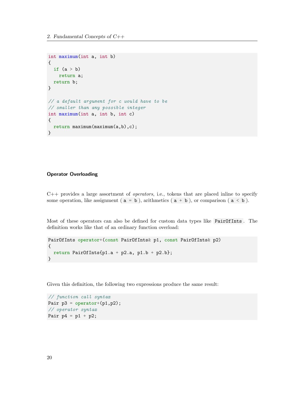```
int maximum(int a, int b)
{
  if (a > b)return a;
  return b;
}
// a default argument for c would have to be
// smaller than any possible integer
int maximum(int a, int b, int c)
{
  return maximum(maximum(a,b),c);
}
```
## Operator Overloading

 $C++$  provides a large assortment of *operators*, i.e., tokens that are placed in line to specify some operation, like assignment ( $a = b$ ), arithmetics ( $a + b$ ), or comparison ( $a < b$ ).

Most of these operators can also be defined for custom data types like PairOfInts . The definition works like that of an ordinary function overload:

```
PairOfInts operator+(const PairOfInts& p1, const PairOfInts& p2)
{
 return PairOfInts{p1.a + p2.a, p1.b + p2.b};
}
```
Given this definition, the following two expressions produce the same result:

// function call syntax Pair  $p3 = operator+(p1,p2)$ ; // operator syntax Pair  $p4 = p1 + p2$ ;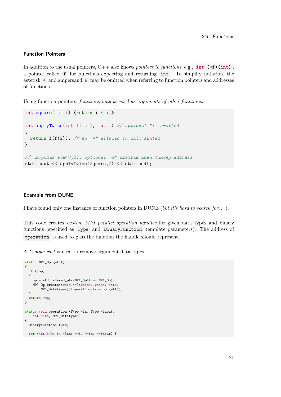#### Function Pointers

In addition to the usual pointers,  $C++$  also knows *pointers to functions*, e.g., int  $(*f)(int)$ , a pointer called f for functions expecting and returning int . To simplify notation, the asterisk \* and ampersand & may be omitted when referring to function pointers and addresses of functions.

Using function pointers, functions may be used as arguments of other functions:

```
int square(int i) {return i * i;}
int applyTwice(int f(int), int i) // optional "*" omitted
{
  return f(f(i)); // no "*" allowed in call syntax
}
// computes pow(7, 4), optional "\mathcal{E}'' omitted when taking address
std::cout << applyTwice(square,7) << std::endl;
```
#### Example from DUNE

I have found only one instance of function pointers in DUNE (but it's hard to search for...).

This code creates *custom MPI parallel operation handles* for given data types and binary functions (specified as Type and BinaryFunction template parameters). The address of operation is used to pass the function the handle should represent.

A C-style cast is used to remove argument data types.

```
static MPI_Op get ()
{
 if (!op)
 {
   op = std::shared_ptr<MPI_Op>(new MPI_Op);
   MPI_Op_create((void (*)(void*, void*, int*,
       MPI_Datatype*))&operation,true,op.get());
 }
 return *op;
}
static void operation (Type *in, Type *inout,
   int *len, MPI_Datatype*)
{
 BinaryFunction func;
 for (int i=0; i< *len; +i, +in, +inout) {
```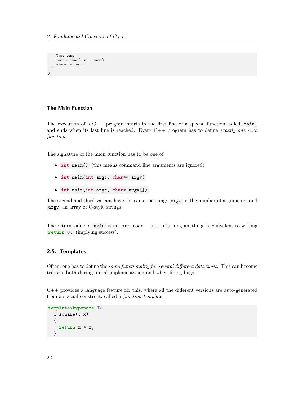```
Type temp;
    temp = func(*in, *inout);*inout = temp;
  }
}
```
## The Main Function

The execution of a  $C++$  program starts in the first line of a special function called main, and ends when its last line is reached. Every  $C++$  program has to define exactly one such function.

The signature of the main function has to be one of

- int main() (this means command line arguments are ignored)
- int main(int argc, char\*\* argv)
- int main(int argc, char\* argv[])

The second and third variant have the same meaning: argc is the number of arguments, and argv an array of C-style strings.

The return value of main is an error code — not returning anything is equivalent to writing return 0; (implying success).

## <span id="page-23-0"></span>2.5. Templates

Often, one has to define the same functionality for several different data types. This can become tedious, both during initial implementation and when fixing bugs.

C++ provides a language feature for this, where all the different versions are auto-generated from a special construct, called a function template:

```
template<typename T>
  T square(T x)
  {
    return x * x;
  }
```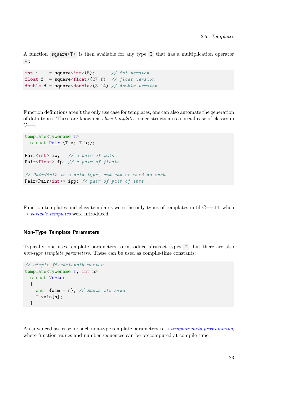A function square<T> is then available for any type T that has a multiplication operator  $\ast$  :

```
int i = square\langle int \rangle(5); // int version
float f = square \text{float}(27.f) // float version
double d = square \langle double \rangle (3.14) // double version
```
Function definitions aren't the only use case for templates, one can also automate the generation of data types. These are known as class templates, since structs are a special case of classes in  $C_{++}$ .

```
template<typename T>
  struct Pair {T a; T b;};
Pair<int> ip; // a pair of ints
Pair<float> fp; // a pair of floats
// Pair<int> is a data type, and can be used as such
Pair<Pair<int>> ipp; // pair of pair of ints
```
Function templates and class templates were the only types of templates until  $C++14$ , when  $\rightarrow$  [variable templates](#page-114-2) were introduced.

#### Non-Type Template Parameters

Typically, one uses template parameters to introduce abstract types T , but there are also non-type template parameters. These can be used as compile-time constants:

```
// simple fixed-length vector
template<typename T, int n>
  struct Vector
  {
    enum \{dim = n\}; // knows its size
    T vals[n];
  }
```
An advanced use case for such non-type template parameters is  $\rightarrow$  [template meta programming](#page-63-1), where function values and number sequences can be precomputed at compile time.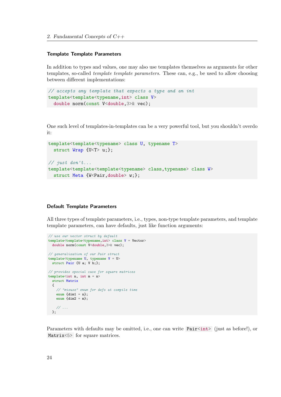2. Fundamental Concepts of C++

## Template Template Parameters

In addition to types and values, one may also use templates themselves as arguments for other templates, so-called template template parameters. These can, e.g., be used to allow choosing between different implementations:

```
// accepts any template that expects a type and an int
template<template<typename,int> class V>
  double norm(const V<double,3>& vec);
```
One such level of templates-in-templates can be a very powerful tool, but you shouldn't overdo it:

```
template<template<typename> class U, typename T>
  struct Wrap {U<T> u;};
// just don't...
template<template<template<typename> class,typename> class W>
  struct Meta {W<Pair, double> w;};
```
#### Default Template Parameters

All three types of template parameters, i.e., types, non-type template parameters, and template template parameters, can have defaults, just like function arguments:

```
// use our vector struct by default
template<template<typename,int> class V = Vector>
  double norm(const V<double,3>& vec);
// generalization of our Pair struct
template<typename U, typename V = U>
  struct Pair {U a; V b;};
// provides special case for square matrices
template<int n, int m = n>
  struct Matrix
  {
    // "misuse" enum for defs at compile time
     enum \{ \text{dim} 1 = n \};enum \{ \text{dim} 2 = m \};// ...
  };
```
Parameters with defaults may be omitted, i.e., one can write  $Pair (just as before!), or$ Matrix<5> for square matrices.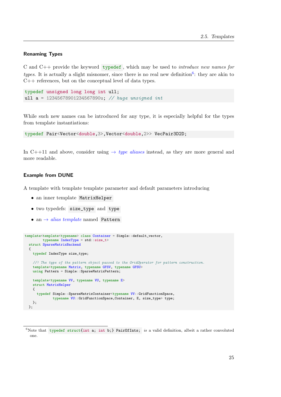## Renaming Types

C and C++ provide the keyword typedef , which may be used to introduce new names for types. It is actually a slight misnomer, since there is no real new definition<sup>[6](#page-26-0)</sup>: they are akin to C++ references, but on the conceptual level of data types.

```
typedef unsigned long long int ull;
ull a = 12345678901234567890u; // huge unsigned int
```
While such new names can be introduced for any type, it is especially helpful for the types from template instantiations:

```
typedef Pair<Vector<double,3>,Vector<double,2>> VecPair3D2D;
```
In C++11 and above, consider using  $\rightarrow$  [type aliases](#page-106-0) instead, as they are more general and more readable.

## Example from DUNE

A template with template template parameter and default parameters introducing

- an inner template MatrixHelper
- two typedefs: size\_type and type
- an  $\rightarrow$  [alias template](#page-106-0) named Pattern

```
template<template<typename> class Container = Simple::default_vector,
         typename IndexType = std::size_t>
  struct SparseMatrixBackend
  {
   typedef IndexType size_type;
    //! The type of the pattern object passed to the GridOperator for pattern construction.
    template<typename Matrix, typename GFSV, typename GFSU>
   using Pattern = Simple:: SparseMatrixPattern;
    template<typename VV, typename VU, typename E>
    struct MatrixHelper
    {
      typedef Simple::SparseMatrixContainer<typename VV::GridFunctionSpace,
              typename VU::GridFunctionSpace,Container, E, size_type> type;
   };
  };
```
<span id="page-26-0"></span> $6$ Note that typedef struct{int a; int b;} PairOfInts; is a valid definition, albeit a rather convoluted one.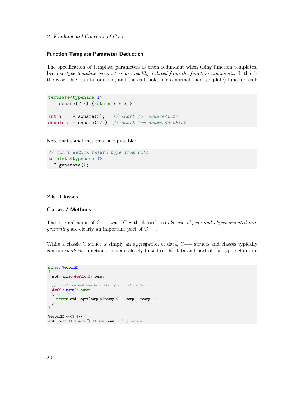#### Function Template Parameter Deduction

The specification of template parameters is often redundant when using function templates, because type template parameters are readily deduced from the function arguments. If this is the case, they can be omitted, and the call looks like a normal (non-template) function call:

```
template<typename T>
 T square(T x) {return x * x;}
int i = square(5); // short for square<int>
double d = square(27.); // short for square<double>
```
Note that sometimes this isn't possible:

```
// can't deduce return type from call
template<typename T>
  T generate();
```
#### <span id="page-27-0"></span>2.6. Classes

#### Classes / Methods

The original name of  $C++$  was "C with classes", so *classes, objects and object-oriented programming* are clearly an important part of  $C++$ .

While a classic C struct is simply an aggregation of data,  $C++$  structs and classes typically contain methods, functions that are closely linked to the data and part of the type definition:

```
struct Vector2D
{
 std::array<double,2> comp;
  // const: method may be called for const vectors
 double norm() const
 {
    return std::sqrt(comp[0]*comp[0] + comp[1]*comp[1]);
 }
}
Vector2D v{{3,4}};
std::cout << v.norm() << std::endl; // prints 5
```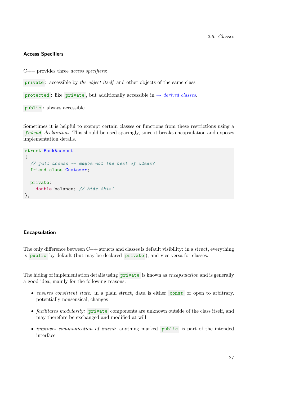## Access Specifiers

 $C++$  provides three *access specifiers*:

private : accessible by the object itself and other objects of the same class

protected : like private, but additionally accessible in  $\rightarrow$  [derived classes](#page-36-1).

public : always accessible

Sometimes it is helpful to exempt certain classes or functions from these restrictions using a friend declaration. This should be used sparingly, since it breaks encapsulation and exposes implementation details.

```
struct BankAccount
{
  // full access -- maybe not the best of ideas?
  friend class Customer;
  private:
    double balance; // hide this!
};
```
#### Encapsulation

The only difference between  $C++$  structs and classes is default visibility: in a struct, everything is public by default (but may be declared private ), and vice versa for classes.

The hiding of implementation details using private is known as *encapsulation* and is generally a good idea, mainly for the following reasons:

- ensures consistent state: in a plain struct, data is either const or open to arbitrary, potentially nonsensical, changes
- *facilitates modularity:* private components are unknown outside of the class itself, and may therefore be exchanged and modified at will
- *improves communication of intent:* anything marked **public** is part of the intended interface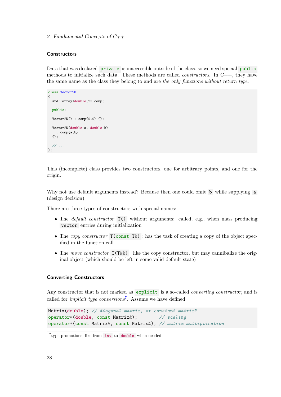## **Constructors**

Data that was declared **private** is inaccessible outside of the class, so we need special **public** methods to initialize such data. These methods are called *constructors*. In  $C++$ , they have the same name as the class they belong to and are the only functions without return type.

```
class Vector2D
{
 std::array<double,2> comp;
 public:
 Vector2D() : comp{0,0} {};
 Vector2D(double a, double b)
   : comp{a,b}
 {};
 // ...
};
```
This (incomplete) class provides two constructors, one for arbitrary points, and one for the origin.

Why not use default arguments instead? Because then one could omit b while supplying a (design decision).

There are three types of constructors with special names:

- The *default constructor*  $T()$  without arguments: called, e.g., when mass producing vector entries during initialization
- The copy constructor  $T(\text{const } T\&)$ : has the task of creating a copy of the object specified in the function call
- The move constructor  $T(T \&&):$  like the copy constructor, but may cannibalize the original object (which should be left in some valid default state)

#### Converting Constructors

Any constructor that is not marked as explicit is a so-called *converting constructor*, and is called for *implicit type conversions*<sup>[7](#page-29-0)</sup>. Assume we have defined

```
Matrix(double); // diagonal matrix, or constant matrix?
operator*(double, const Matrix&); // scaling
operator*(const Matrix&, const Matrix&); // matrix multiplication
```
<span id="page-29-0"></span><sup>&</sup>lt;sup>7</sup> type promotions, like from int to double when needed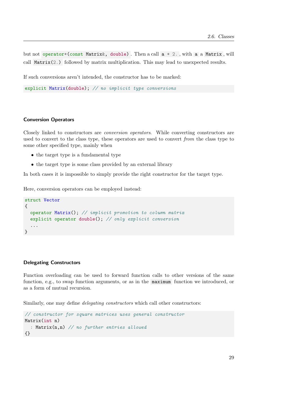but not operator\*(const Matrix&, double). Then a call  $a * 2$ ., with a a Matrix, will call Matrix(2.) followed by matrix multiplication. This may lead to unexpected results.

If such conversions aren't intended, the constructor has to be marked:

explicit Matrix(double); // no implicit type conversions

#### Conversion Operators

Closely linked to constructors are conversion operators. While converting constructors are used to convert to the class type, these operators are used to convert from the class type to some other specified type, mainly when

- the target type is a fundamental type
- the target type is some class provided by an external library

In both cases it is impossible to simply provide the right constructor for the target type.

Here, conversion operators can be employed instead:

```
struct Vector
{
  operator Matrix(); // implicit promotion to column matrix
  explicit operator double(); // only explicit conversion
  ...
}
```
#### Delegating Constructors

Function overloading can be used to forward function calls to other versions of the same function, e.g., to swap function arguments, or as in the maximum function we introduced, or as a form of mutual recursion.

Similarly, one may define *delegating constructors* which call other constructors:

```
// constructor for square matrices uses general constructor
Matrix(int n)
  : Matrix(n,n) // no further entries allowed
{}
```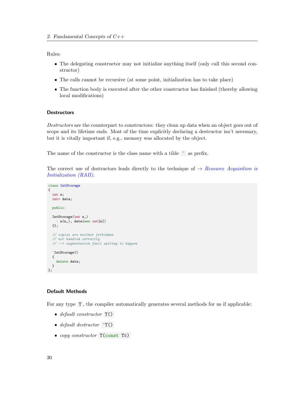Rules:

- The delegating constructor may not initialize anything itself (only call this second constructor)
- The calls cannot be recursive (at some point, initialization has to take place)
- The function body is executed after the other constructor has finished (thereby allowing local modifications)

### **Destructors**

Destructors are the counterpart to constructors: they clean up data when an object goes out of scope and its lifetime ends. Most of the time explicitly declaring a destructor isn't necessary, but it is vitally important if, e.g., memory was allocated by the object.

The name of the constructor is the class name with a tilde  $\sim$  as prefix.

The correct use of destructors leads directly to the technique of  $\rightarrow$  [Resource Acquisition is](#page-61-0) [Initialization \(RAII\)](#page-61-0).

class IntStorage { int n; int\* data; public: IntStorage(int n\_) :  $n(n_$ ), data(new int[n]) {}; // copies are neither forbidden // nor handled correctly // --> segmentation fault waiting to happen ~IntStorage() { delete data; } };

## Default Methods

For any type T , the compiler automatically generates several methods for us if applicable:

- $\bullet$  default constructor  $T()$
- default destructor  $\tilde{\tau}$ ()
- copy constructor  $T$ (const  $T$ )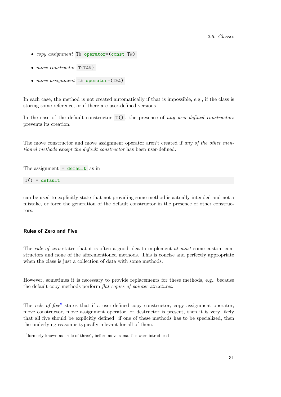- copy assignment T& operator=(const T&)
- move constructor  $T(T \&& )$
- move assignment T& operator=(T&&)

In each case, the method is not created automatically if that is impossible, e.g., if the class is storing some reference, or if there are user-defined versions.

In the case of the default constructor  $T()$ , the presence of any user-defined constructors prevents its creation.

The move constructor and move assignment operator aren't created if any of the other mentioned methods except the default constructor has been user-defined.

The assignment  $=$  default as in

 $T() = default$ 

can be used to explicitly state that not providing some method is actually intended and not a mistake, or force the generation of the default constructor in the presence of other constructors.

## Rules of Zero and Five

The *rule of zero* states that it is often a good idea to implement at most some custom constructors and none of the aforementioned methods. This is concise and perfectly appropriate when the class is just a collection of data with some methods.

However, sometimes it is necessary to provide replacements for these methods, e.g., because the default copy methods perform flat copies of pointer structures.

The *rule of five*<sup>[8](#page-32-0)</sup> states that if a user-defined copy constructor, copy assignment operator, move constructor, move assignment operator, or destructor is present, then it is very likely that all five should be explicitly defined: if one of these methods has to be specialized, then the underlying reason is typically relevant for all of them.

<span id="page-32-0"></span><sup>8</sup> formerly known as "rule of three", before move semantics were introduced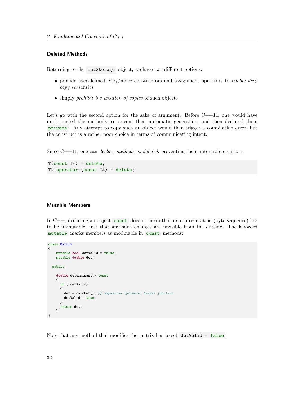#### Deleted Methods

Returning to the IntStorage object, we have two different options:

- provide user-defined copy/move constructors and assignment operators to *enable deep* copy semantics
- simply *prohibit the creation of copies* of such objects

Let's go with the second option for the sake of argument. Before  $C++11$ , one would have implemented the methods to prevent their automatic generation, and then declared them private . Any attempt to copy such an object would then trigger a compilation error, but the construct is a rather poor choice in terms of communicating intent.

Since  $C++11$ , one can *declare methods as deleted*, preventing their automatic creation:

 $T$ (const  $T$ &) = delete; T& operator=(const T&) = delete;

#### Mutable Members

In  $C++$ , declaring an object const doesn't mean that its representation (byte sequence) has to be immutable, just that any such changes are invisible from the outside. The keyword mutable marks members as modifiable in const methods:

```
class Matrix
{
    mutable bool detValid = false;
   mutable double det;
 public:
    double determinant() const
    {
      if (!detValid)
      {
        det = calcDet(); // expensive (private) helper function
       detValid = true;
      }
      return det;
    }
}
```
Note that any method that modifies the matrix has to set detValid = false !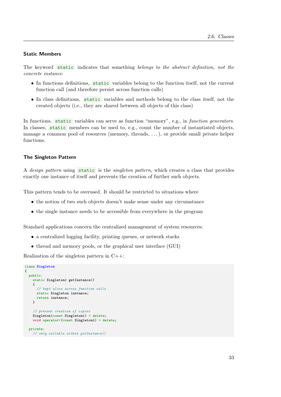#### Static Members

The keyword static indicates that something belongs to the abstract definition, not the concrete instance:

- In functions definitions, static variables belong to the function itself, not the current function call (and therefore persist across function calls)
- In class definitions, static variables and methods belong to the class itself, not the created objects (i.e., they are shared between all objects of this class)

In functions, static variables can serve as function "memory", e.g., in function generators. In classes, static members can be used to, e.g., count the number of instantiated objects, manage a common pool of resources (memory, threads, . . . ), or provide small private helper functions.

## The Singleton Pattern

A design pattern using static is the singleton pattern, which creates a class that provides exactly one instance of itself and prevents the creation of further such objects.

This pattern tends to be overused. It should be restricted to situations where

- the notion of two such objects doesn't make sense under any circumstance
- the single instance needs to be accessible from everywhere in the program

Standard applications concern the centralized management of system resources:

- a centralized logging facility, printing queues, or network stacks
- thread and memory pools, or the graphical user interface (GUI)

Realization of the singleton pattern in C++:

```
class Singleton
{
  public:
    static Singleton& getInstance()
    {
      // kept alive across function calls
      static Singleton instance;
      return instance;
    \overline{1}// prevent creation of copies
    Singleton(const Singleton&) = delete;
    void operator=(const Singleton&) = delete;
  private:
    // only callable within getInstance()
```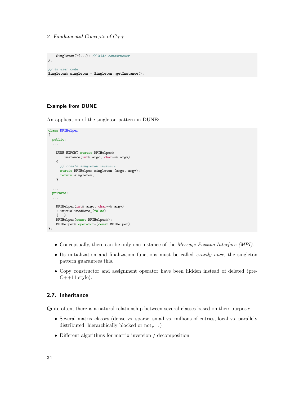```
Singleton(){...}: // hide constructor
};
// in user code:
Singleton& singleton = Singleton::getInstance();
```
## Example from DUNE

An application of the singleton pattern in DUNE:

```
class MPIHelper
{
 public:
  ...
   DUNE_EXPORT static MPIHelper&
       instance(int& argc, char**& argv)
    {
      // create singleton instance
     static MPIHelper singleton (argc, argv);
     return singleton;
    }
  ...
  private:
  ...
    MPIHelper(int& argc, char**& argv)
    : initializedHere_(false)
    {...}
    MPIHelper(const MPIHelper&);
   MPIHelper& operator=(const MPIHelper);
};
```
- Conceptually, there can be only one instance of the *Message Passing Interface (MPI)*.
- Its initialization and finalization functions must be called *exactly once*, the singleton pattern guarantees this.
- Copy constructor and assignment operator have been hidden instead of deleted (pre- $C++11$  style).

## <span id="page-35-0"></span>2.7. Inheritance

Quite often, there is a natural relationship between several classes based on their purpose:

- Several matrix classes (dense vs. sparse, small vs. millions of entries, local vs. parallely distributed, hierarchically blocked or not,...)
- Different algorithms for matrix inversion / decomposition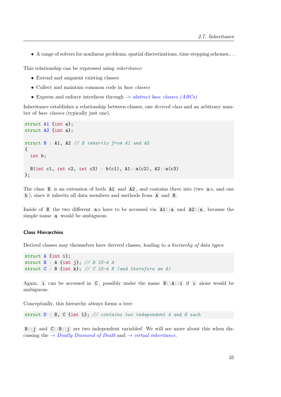• A range of solvers for nonlinear problems, spatial discretizations, time stepping schemes,. . .

This relationship can be expressed using inheritance:

- Extend and augment existing classes
- Collect and maintain common code in base classes
- Express and enforce interfaces through  $\rightarrow$  [abstract base classes \(ABCs\)](#page-69-0)

Inheritance establishes a relationship between classes, one *derived class* and an arbitrary number of base classes (typically just one).

```
struct A1 {int a};
struct A2 {int a};
struct B : A1, A2 // B inherits from A1 and A2
{
  int b;
  B(int c1, int c2, int c3) : b(c1), A1::a(c2), A2::a(c3)};
```
The class B is an extension of both A1 and A2, and contains three ints (two as, and one b ), since it inherits all data members and methods from A and B .

Inside of B the two different as have to be accessed via  $A1$ ::a and  $A2$ ::a, because the simple name a would be ambiguous.

#### Class Hierarchies

Derived classes may themselves have derived classes, leading to a hierarchy of data types:

```
struct A {int i};
struct B : A \{\text{int } j\}; \text{ // } B \text{ IS-A } Astruct C : B {int k}; // C IS-A B (and therefore an A)
```
Again, i can be accessed in  $C$ , possibly under the name  $B: A: i$  if i alone would be ambiguous.

Conceptually, this hierarchy always forms a tree:

struct  $D : B$ ,  $C$  {int 1}; // contains two independent A and B each

B::j and C::B::j are two independent variables! We will see more about this when discussing the  $\rightarrow$  [Deadly Diamond of Death](#page-71-0) and  $\rightarrow$  [virtual inheritance](#page-71-1).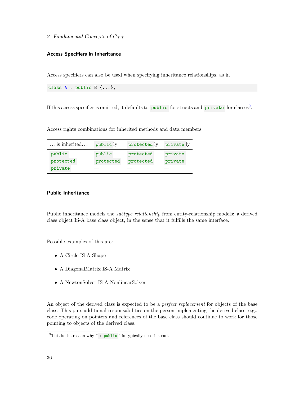## Access Specifiers in Inheritance

Access specifiers can also be used when specifying inheritance relationships, as in

class A : public B {...};

If this access specifier is omitted, it defaults to public for structs and private for classes<sup>[9](#page-37-0)</sup>.

Access rights combinations for inherited methods and data members:

| $\dots$ is inherited | public ly | protected ly | private ly |
|----------------------|-----------|--------------|------------|
| public               | public    | protected    | private    |
| protected            | protected | protected    | private    |
| private              |           |              |            |

## Public Inheritance

Public inheritance models the *subtype relationship* from entity-relationship models: a derived class object IS-A base class object, in the sense that it fulfills the same interface.

Possible examples of this are:

- A Circle IS-A Shape
- A DiagonalMatrix IS-A Matrix
- A NewtonSolver IS-A NonlinearSolver

An object of the derived class is expected to be a *perfect replacement* for objects of the base class. This puts additional responsabilities on the person implementing the derived class, e.g., code operating on pointers and references of the base class should continue to work for those pointing to objects of the derived class.

<span id="page-37-0"></span> $9$ This is the reason why ": public " is typically used instead.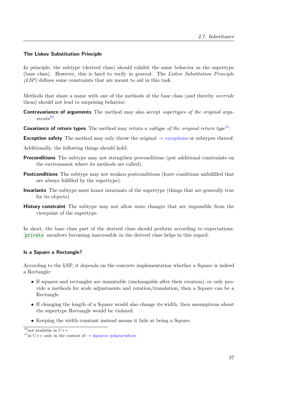## The Liskov Substitution Principle

In principle, the subtype (derived class) should exhibit the same behavior as the supertype (base class). However, this is hard to verify in general. The Liskov Substitution Principle (LSP) defines some constraints that are meant to aid in this task.

Methods that share a name with one of the methods of the base class (and thereby override them) should not lead to surprising behavior:

- **Contravariance of arguments** The method may also accept supertypes of the original argu- $ments<sup>10</sup>$  $ments<sup>10</sup>$  $ments<sup>10</sup>$ .
- **Covariance of return types** The method may return a subtype of the original return type<sup>[11](#page-38-1)</sup>.
- **Exception safety** The method may only throw the original  $\rightarrow$  *[exceptions](#page-51-0)* or subtypes thereof.
- Additionally, the following things should hold:
- Preconditions The subtype may not strengthen preconditions (put additional constraints on the environment where its methods are called).
- **Postconditions** The subtype may not weaken postconditions (leave conditions unfulfilled that are always fulfilled by the supertype).
- Invariants The subtype must honor invariants of the supertype (things that are generally true for its objects)
- **History constraint** The subtype may not allow state changes that are impossible from the viewpoint of the supertype.

In short, the base class part of the derived class should perform according to expectations. private members becoming inaccessible in the derived class helps in this regard.

## Is a Square a Rectangle?

According to the LSP, it depends on the concrete implementation whether a Square is indeed a Rectangle:

- If squares and rectangles are immutable (unchangable after their creation), or only provide a methods for scale adjustments and rotation/translation, then a Square can be a Rectangle.
- If changing the length of a Square would also change its width, then assumptions about the supertype Rectangle would be violated.
- Keeping the width constant instead means it fails at being a Square.

<span id="page-38-0"></span> $\overline{10_{\text{not available in }C++}}$ 

<span id="page-38-1"></span><sup>&</sup>lt;sup>11</sup>in C++ only in the context of  $\rightarrow$  *[dynamic polymorphism](#page-65-0)*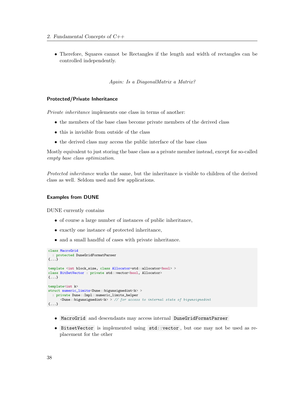• Therefore, Squares cannot be Rectangles if the length and width of rectangles can be controlled independently.

Again: Is a DiagonalMatrix a Matrix?

#### Protected/Private Inheritance

Private inheritance implements one class in terms of another:

- the members of the base class become private members of the derived class
- this is invisible from outside of the class
- the derived class may access the public interface of the base class

Mostly equivalent to just storing the base class as a private member instead, except for so-called empty base class optimization.

Protected inheritance works the same, but the inheritance is visible to children of the derived class as well. Seldom used and few applications.

#### Examples from DUNE

DUNE currently contains

- of course a large number of instances of public inheritance,
- exactly one instance of protected inheritance,
- and a small handful of cases with private inheritance.

```
class MacroGrid
  : protected DuneGridFormatParser
{...}
template <int block_size, class Allocator=std::allocator<br/> \langle bool> >class BitSetVector : private std::vector<br/>bool, Allocator>
{...}
template<int k>
struct numeric_limits<Dune::bigunsignedint<k>>>>>>>>
  : private Dune::Impl::numeric_limits_helper
      <Dune::bigunsignedint<k> > // for access to internal state of bigunsignedint
{...}
```
- MacroGrid and descendants may access internal DuneGridFormatParser
- BitsetVector is implemented using std::vector , but one may not be used as replacement for the other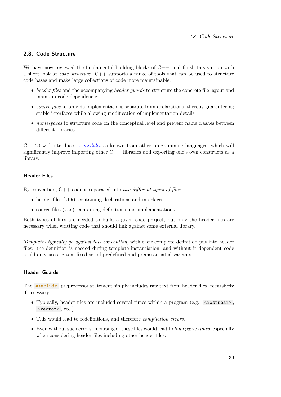# 2.8. Code Structure

We have now reviewed the fundamental building blocks of  $C_{++}$ , and finish this section with a short look at *code structure*.  $C++$  supports a range of tools that can be used to structure code bases and make large collections of code more maintainable:

- header files and the accompanying header quards to structure the concrete file layout and maintain code dependencies
- source files to provide implementations separate from declarations, thereby guaranteeing stable interfaces while allowing modification of implementation details
- namespaces to structure code on the conceptual level and prevent name clashes between different libraries

 $C++20$  will introduce  $\rightarrow$  [modules](#page-126-0) as known from other programming languages, which will significantly improve importing other  $C++$  libraries and exporting one's own constructs as a library.

## Header Files

By convention,  $C++$  code is separated into two different types of files:

- header files (.hh), containing declarations and interfaces
- source files (.cc), containing definitions and implementations

Both types of files are needed to build a given code project, but only the header files are necessary when writting code that should link against some external library.

Templates typically go against this convention, with their complete definition put into header files: the definition is needed during template instantiation, and without it dependent code could only use a given, fixed set of predefined and preinstantiated variants.

## Header Guards

The  $\#include$  preprocessor statement simply includes raw text from header files, recursively if necessary:

- Typically, header files are included several times within a program (e.g.,  $\leq$ iostream>, <vector> , etc.).
- This would lead to redefinitions, and therefore *compilation errors*.
- Even without such errors, reparsing of these files would lead to *long parse times*, especially when considering header files including other header files.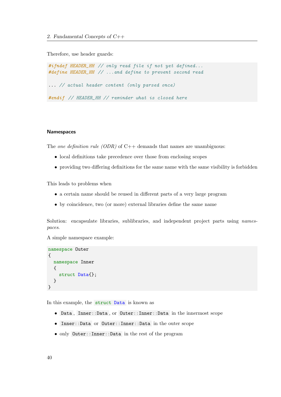Therefore, use header guards:

#ifndef HEADER\_HH // only read file if not yet defined... #define HEADER\_HH // ...and define to prevent second read ... // actual header content (only parsed once) #endif // HEADER\_HH // reminder what is closed here

## Namespaces

The one definition rule (ODR) of  $C++$  demands that names are unambiguous:

- local definitions take precedence over those from enclosing scopes
- providing two differing definitions for the same name with the same visibility is forbidden

This leads to problems when

- a certain name should be reused in different parts of a very large program
- by coincidence, two (or more) external libraries define the same name

Solution: encapsulate libraries, sublibraries, and independent project parts using *names*paces.

A simple namespace example:

```
namespace Outer
{
  namespace Inner
  {
    struct Data{};
  }
}
```
In this example, the struct Data is known as

- Data , Inner::Data , or Outer::Inner::Data in the innermost scope
- Inner::Data or Outer::Inner::Data in the outer scope
- only Outer::Inner::Data in the rest of the program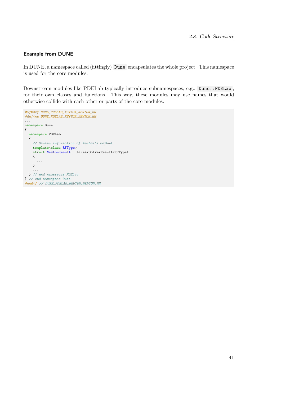## Example from DUNE

In DUNE, a namespace called (fittingly) Dune encapsulates the whole project. This namespace is used for the core modules.

Downstream modules like PDELab typically introduce subnamespaces, e.g., Dune::PDELab , for their own classes and functions. This way, these modules may use names that would otherwise collide with each other or parts of the core modules.

```
#ifndef DUNE_PDELAB_NEWTON_NEWTON_HH
#define DUNE_PDELAB_NEWTON_NEWTON_HH
...
namespace Dune
{
 namespace PDELab
 {
   // Status information of Newton's method
   template<class RFType>
   struct NewtonResult : LinearSolverResult<RFType>
   {
      ...
   }
    ...
 } // end namespace PDELab
} // end namespace Dune
#endif // DUNE_PDELAB_NEWTON_NEWTON_HH
```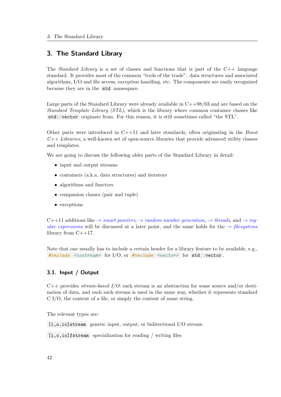# 3. The Standard Library

The *Standard Library* is a set of classes and functions that is part of the  $C_{++}$  language standard. It provides most of the common "tools of the trade": data structures and associated algorithms, I/O and file access, exception handling, etc. The components are easily recognized because they are in the std namespace.

Large parts of the Standard Library were already available in C++98/03 and are based on the Standard Template Library (STL), which is the library where common container classes like std::vector originate from. For this reason, it is still sometimes called "the STL".

Other parts were introduced in  $C++11$  and later standards, often originating in the *Boost*  $C_{++}$  Libraries, a well-known set of open-source libraries that provide advanced utility classes and templates.

We are going to discuss the following older parts of the Standard Library in detail:

- input and output streams
- containers (a.k.a. data structures) and iterators
- algorithms and functors
- companion classes (pair and tuple)
- exceptions

 $C++11$  additions like  $\rightarrow$  [smart pointers](#page-84-0),  $\rightarrow$  [random number generation](#page-110-0),  $\rightarrow$  [threads](#page-96-0), and  $\rightarrow$  [reg](#page-112-0)[ular expressions](#page-112-0) will be discussed at a later point, and the same holds for the  $\rightarrow$  [filesystems](#page-125-0) library from C++17.

Note that one usually has to include a certain header for a library feature to be available, e.g., #include <iostream> for  $I/O$ , or #include <vector> for std::vector.

# 3.1. Input / Output

 $C++$  provides *stream-based I/O*: each stream is an abstraction for some source and/or destination of data, and each such stream is used in the same way, whether it represents standard C I/O, the content of a file, or simply the content of some string.

The relevant types are:

[i,o,io]stream generic input, output, or bidirectional I/O stream

[i,o,io]fstream specialization for reading / writing files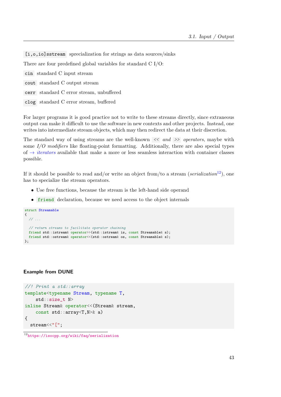[i,o,io]sstream sprecialization for strings as data sources/sinks

There are four predefined global variables for standard C I/O:

cin standard C input stream

- cout standard C output stream
- cerr standard C error stream, unbuffered
- clog standard C error stream, buffered

For larger programs it is good practice not to write to these streams directly, since extraneous output can make it difficult to use the software in new contexts and other projects. Instead, one writes into intermediate stream objects, which may then redirect the data at their discretion.

The standard way of using streams are the well-known  $\langle \langle$  and  $\rangle$  operators, maybe with some  $I/O$  modifiers like floating-point formatting. Additionally, there are also special types of  $\rightarrow$  *[iterators](#page-49-0)* available that make a more or less seamless interaction with container classes possible.

If it should be possible to read and/or write an object from/to a stream (serialization<sup>[12](#page-44-0)</sup>), one has to specialize the stream operators.

- Use free functions, because the stream is the left-hand side operand
- friend declaration, because we need access to the object internals

```
struct Streamable
{
 // ...
  // return streams to facilitate operator chaining
 friend std::istream& operator>>(std::istream& is, const Streamable& s);
 friend std::ostream& operator<<(std::ostream& os, const Streamable& s);
};
```
#### Example from DUNE

```
//! Print a std::array
template<typename Stream, typename T,
    std::size_t N>
inline Stream& operator<<(Stream& stream,
    const std::array<T,N>& a)
{
  stream<<"[";
```
<span id="page-44-0"></span><sup>12</sup><https://isocpp.org/wiki/faq/serialization>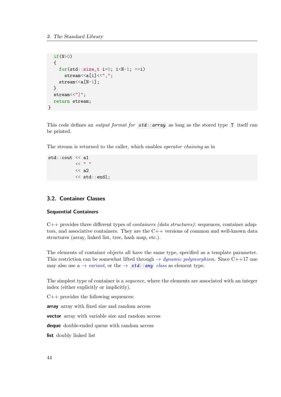```
if(N>0){
    for(std::size_t i=0; i< N-1; ++i)
       \text{stream} < a[i] < ",";
    stream \leq a[N-1]:
  }
  stream<<"]";
  return stream;
}
```
This code defines an *output format for*  $std::array$  as long as the stored type T itself can be printed.

The stream is returned to the caller, which enables operator chaining as in

std::cout << a1 << " " << a2 << std::endl;

# 3.2. Container Classes

## Sequential Containers

 $C++$  provides three different types of *containers (data structures)*: sequences, container adaptors, and associative containers. They are the C++ versions of common and well-known data structures (array, linked list, tree, hash map, etc.).

The elements of container objects all have the same type, specified as a template parameter. This restriction can be somewhat lifted through  $\rightarrow$  [dynamic polymorphism](#page-65-0). Since C++17 one may also use  $a \rightarrow variant$  $a \rightarrow variant$ , or the  $\rightarrow$  [std::any](#page-122-1) class as element type.

The simplest type of container is a *sequence*, where the elements are associated with an integer index (either explicitly or implicitly).

 $C++$  provides the following sequences:

array array with fixed size and random access

**vector** array with variable size and random access

deque double-ended queue with random access

list doubly linked list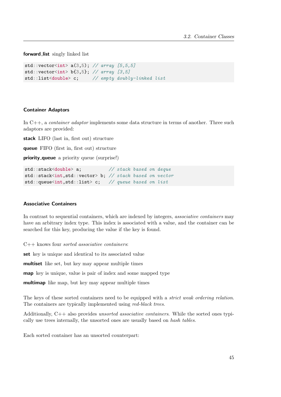forward\_list singly linked list

```
std::vector<int> a(3,5); // array [5,5,5]std::vector<int> b{3,5}; // array [3,5]
std::list<double> c; // empty doubly-linked list
```
#### Container Adaptors

In  $C_{++}$ , a *container adaptor* implements some data structure in terms of another. Three such adaptors are provided:

stack LIFO (last in, first out) structure

queue FIFO (first in, first out) structure

**priority\_queue** a priority queue (surprise!)

```
std::stack<double> a; // stack based on deque
std::stack<int,std::vector> b; // stack based on vector
std::queue<int,std::list> c; // queue based on list
```
## Associative Containers

In contrast to sequential containers, which are indexed by integers, *associative containers* may have an arbitrary index type. This index is associated with a value, and the container can be searched for this key, producing the value if the key is found.

C++ knows four sorted associative containers:

set key is unique and identical to its associated value

multiset like set, but key may appear multiple times

map key is unique, value is pair of index and some mapped type

multimap like map, but key may appear multiple times

The keys of these sorted containers need to be equipped with a *strict weak ordering relation*. The containers are typically implemented using red-black trees.

Additionally, C++ also provides unsorted associative containers. While the sorted ones typically use trees internally, the unsorted ones are usually based on hash tables.

Each sorted container has an unsorted counterpart: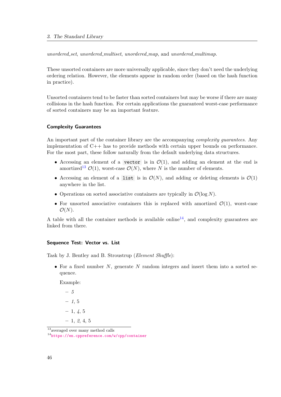unordered\_set, unordered\_multiset, unordered\_map, and unordered\_multimap.

These unsorted containers are more universally applicable, since they don't need the underlying ordering relation. However, the elements appear in random order (based on the hash function in practice).

Unsorted containers tend to be faster than sorted containers but may be worse if there are many collisions in the hash function. For certain applications the guaranteed worst-case performance of sorted containers may be an important feature.

## Complexity Guarantees

An important part of the container library are the accompanying *complexity quarantees*. Any implementation of C++ has to provide methods with certain upper bounds on performance. For the most part, these follow naturally from the default underlying data structures.

- Accessing an element of a vector is in  $\mathcal{O}(1)$ , and adding an element at the end is amortized<sup>[13](#page-47-0)</sup>  $\mathcal{O}(1)$ , worst-case  $\mathcal{O}(N)$ , where N is the number of elements.
- Accessing an element of a list is in  $\mathcal{O}(N)$ , and adding or deleting elements is  $\mathcal{O}(1)$ anywhere in the list.
- Operations on sorted associative containers are typically in  $\mathcal{O}(\log N)$ .
- For unsorted associative containers this is replaced with amortized  $\mathcal{O}(1)$ , worst-case  $\mathcal{O}(N)$ .

A table with all the container methods is available online<sup>[14](#page-47-1)</sup>, and complexity guarantees are linked from there.

#### Sequence Test: Vector vs. List

Task by J. Bentley and B. Stroustrup (Element Shuffle):

• For a fixed number  $N$ , generate  $N$  random integers and insert them into a sorted sequence.

Example:

– 5  $-1, 5$  $-1, 4, 5$  $-1, 2, 4, 5$ 

<span id="page-47-0"></span><sup>&</sup>lt;sup>13</sup>averaged over many method calls

<span id="page-47-1"></span><sup>14</sup><https://en.cppreference.com/w/cpp/container>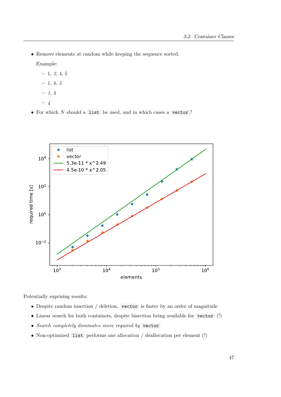• Remove elements at random while keeping the sequence sorted.

Example:

- $-1, 2, 4, 5$  $-1, 4, 5$
- $-1, 4$
- 4
- For which  $N$  should a list be used, and in which cases a vector ?



Potentially suprising results:

- Despite random insertion / deletion, vector is faster by an order of magnitude
- Linear search for both containers, despite bisection being available for vector (!)
- Search completely dominates move required by vector
- Non-optimized list performs one allocation / deallocation per element (!)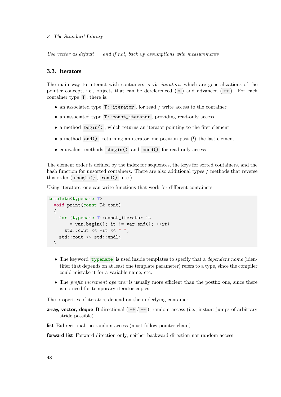Use vector as default  $-$  and if not, back up assumptions with measurements

## 3.3. Iterators

The main way to interact with containers is via iterators, which are generalizations of the pointer concept, i.e., objects that can be dereferenced  $(*)$  and advanced  $(++)$ . For each container type T , there is:

- <span id="page-49-0"></span>• an associated type  $T:$ : iterator, for read / write access to the container
- an associated type T::const\_iterator , providing read-only access
- a method begin() , which returns an iterator pointing to the first element
- a method end() , returning an iterator one position past (!) the last element
- equivalent methods cbegin() and cend() for read-only access

The element order is defined by the index for sequences, the keys for sorted containers, and the hash function for unsorted containers. There are also additional types / methods that reverse this order ( rbegin() , rend() , etc.).

Using iterators, one can write functions that work for different containers:

```
template<typename T>
  void print(const T& cont)
  {
    for (typename T::const_iterator it
        = var.begin(); it != var.end(); ++it)std::count \leq x * it \leq w":
    std::cout << std::endl;
  }
```
- The keyword typename is used inside templates to specify that a *dependent name* (identifier that depends on at least one template parameter) refers to a type, since the compiler could mistake it for a variable name, etc.
- The *prefix increment operator* is usually more efficient than the postfix one, since there is no need for temporary iterator copies.

The properties of iterators depend on the underlying container:

**array, vector, deque** Bidirectional  $( +/ - )$ , random access (i.e., instant jumps of arbitrary stride possible)

list Bidirectional, no random access (must follow pointer chain)

forward list Forward direction only, neither backward direction nor random access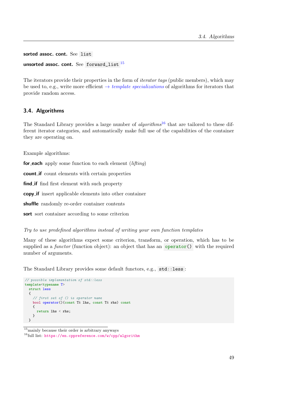sorted assoc. cont. See list unsorted assoc. cont. See forward\_list  $^{15}$  $^{15}$  $^{15}$ 

The iterators provide their properties in the form of *iterator tags* (public members), which may be used to, e.g., write more efficient  $\rightarrow$  [template specializations](#page-53-0) of algorithms for iterators that provide random access.

# 3.4. Algorithms

The Standard Library provides a large number of  $algorithms^{16}$  $algorithms^{16}$  $algorithms^{16}$  that are tailored to these different iterator categories, and automatically make full use of the capabilities of the container they are operating on.

Example algorithms:

for each apply some function to each element  $(lifting)$ 

count if count elements with certain properties

find if find first element with such property

copy if insert applicable elements into other container

shuffle randomly re-order container contents

sort sort container according to some criterion

Try to use predefined algorithms instead of writing your own function templates

Many of these algorithms expect some criterion, transform, or operation, which has to be supplied as a *functor* (function object): an object that has an **operator**() with the required number of arguments.

The Standard Library provides some default functors, e.g., std::less :

```
// possible implementation of std::less
template<typename T>
  struct less
  {
    // first set of () is operator name
    bool operator()(const T& lhs, const T& rhs) const
    {
      return lhs < rhs;
    }
  }
```
<span id="page-50-0"></span> $\frac{15}{15}$  mainly because their order is arbitrary anyways

<span id="page-50-1"></span><sup>16</sup>full list: <https://en.cppreference.com/w/cpp/algorithm>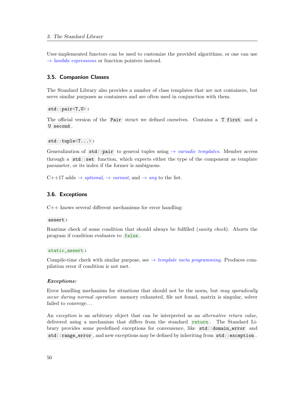User-implemented functors can be used to customize the provided algorithms, or one can use  $\rightarrow$  *[lambda expressions](#page-91-0)* or function pointers instead.

## 3.5. Companion Classes

The Standard Library also provides a number of class templates that are not containers, but serve similar purposes as containers and are often used in conjunction with them.

std::pair<T,U> :

The official version of the Pair struct we defined ourselves. Contains a T first and a U second .

```
std::tuple<T...> :
```
Generalization of std::pair to general tuples using  $\rightarrow$  [variadic templates](#page-93-0). Member access through a  $\text{std}$ ::set function, which expects either the type of the component as template parameter, or its index if the former is ambiguous.

 $C++17$  adds  $\rightarrow$  *[optional](#page-122-2)*,  $\rightarrow$  *[variant](#page-122-0)*, and  $\rightarrow$  *[any](#page-122-1)* to the list.

## 3.6. Exceptions

C++ knows several different mechanisms for error handling:

assert :

Runtime check of some condition that should always be fulfilled (sanity check). Aborts the program if condition evaluates to false .

## static\_assert :

Compile-time check with similar purpose, see  $\rightarrow$  [template meta programming](#page-63-0). Produces compilation error if condition is not met.

#### <span id="page-51-0"></span>Exceptions:

Error handling mechanism for situations that should not be the norm, but may sporadically occur during normal operation: memory exhausted, file not found, matrix is singular, solver failed to converge. . .

An exception is an arbitrary object that can be interpreted as an *alternative return value*, delivered using a mechanism that differs from the standard return. The Standard Library provides some predefined exceptions for convenience, like std::domain\_error and std::range\_error , and new exceptions may be defined by inheriting from std::exception .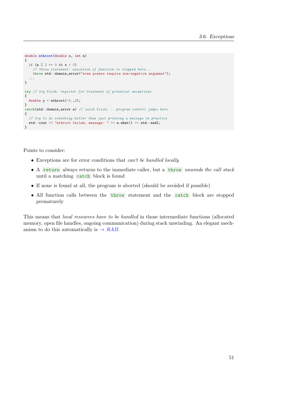```
double nthroot(double x, int n)
{
  if (n \ % 2 == 0 \ & x < 0)// throw statement: execution of function is stopped here...
    throw std::domain_error("even powers require non-negative argument");
  ...
}
try // try block: register for treatment of potential exceptions
{
 double y = nthroot(-5., 2);
}
catch(std::domain_error e) // catch block: ...program control jumps here
{
  // try to do something better than just printing a message in practice
  std::cout << "nthroot failed, message: " << e.what() << std::endl;
}
```
Points to consider:

- Exceptions are for error conditions that can't be handled locally
- A return always returns to the immediate caller, but a throw unwinds the call stack until a matching catch block is found
- If none is found at all, the program is aborted (should be avoided if possible)
- All function calls between the throw statement and the catch block are stopped prematurely

This means that local resources have to be handled in those intermediate functions (allocated memory, open file handles, ongoing communication) during stack unwinding. An elegant mechanism to do this automatically is  $\rightarrow$  [RAII](#page-61-0).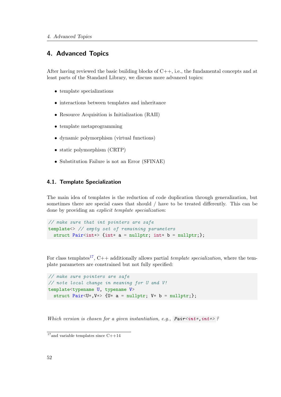# 4. Advanced Topics

After having reviewed the basic building blocks of  $C_{++}$ , i.e., the fundamental concepts and at least parts of the Standard Library, we discuss more advanced topics:

- template specializations
- interactions between templates and inheritance
- Resource Acquisition is Initialization (RAII)
- template metaprogramming
- dynamic polymorphism (virtual functions)
- static polymorphism (CRTP)
- Substitution Failure is not an Error (SFINAE)

# 4.1. Template Specialization

The main idea of templates is the reduction of code duplication through generalization, but sometimes there are special cases that should / have to be treated differently. This can be done by providing an explicit template specialization:

<span id="page-53-0"></span>// make sure that int pointers are safe template<> // empty set of remaining parameters struct Pair<int\*> {int\* a = nullptr; int\* b = nullptr;};

For class templates<sup>[17](#page-53-1)</sup>, C++ additionally allows partial *template specialization*, where the template parameters are constrained but not fully specified:

```
// make sure pointers are safe
// note local change in meaning for U and V!
template<typename U, typename V>
  struct Pair<U*,V*> {U* a = nullptr; V* b = nullptr;};
```
Which version is chosen for a given instantiation, e.g.,  $Pair,  $int*$$ 

<span id="page-53-1"></span> $\overline{17}$  and variable templates since C++14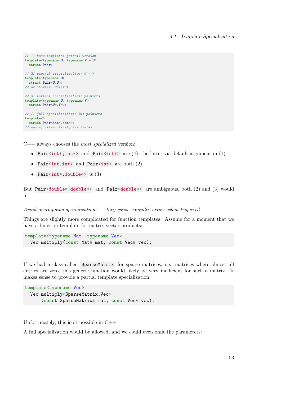```
// 1) base template: general version
template<typename U, typename V = U>
 struct Pair;
// 2) partial specialization: U = Vtemplate<typename U>
 struct Pair<U,U>;
// or shorter: Pair<U>
// 3) partial specialization: pointers
template<typename U, typename V>
 struct Pair<U*,V*>;
// 4) full specialization: int pointers
template<>
  struct Pair<int*, int*>;
// again, alternatively Pair<int*>
```
 $C++$  always chooses the *most specialized* version:

- Pair<int\*, int\*> and Pair<int\*> are (4), the latter via default argument in (1)
- Pair<int,  $int$  and Pair<int> are both  $(2)$
- Pair<int\*, double\*> is  $(3)$

But Pair<double\*,double\*> and Pair<double\*> are ambiguous, both (2) and (3) would fit!

#### Avoid overlapping specializations  $-$  they cause compiler errors when triggered

Things are slightly more complicated for function templates. Assume for a moment that we have a function template for matrix-vector products:

```
template<typename Mat, typename Vec>
  Vec multiply(const Mat& mat, const Vec& vec);
```
If we had a class called SparseMatrix for sparse matrices, i.e., matrices where almost all entries are zero, this generic function would likely be very inefficient for such a matrix. It makes sense to provide a partial template specialization:

```
template<typename Vec>
  Vec multiply<SparseMatrix,Vec>
      (const SparseMatrix& mat, const Vec& vec);
```
Unfortunately, this isn't possible in  $C_{++}$ .

A full specialization would be allowed, and we could even omit the parameters: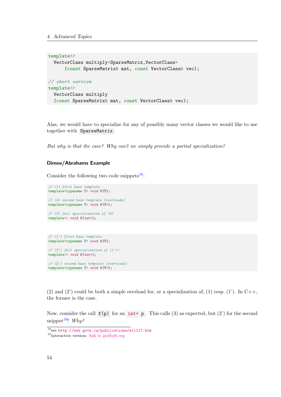```
template<>
  VectorClass multiply<SparseMatrix,VectorClass>
      (const SparseMatrix& mat, const VectorClass& vec);
// short version
template<>
  VectorClass multiply
  (const SparseMatrix& mat, const VectorClass& vec);
```
Alas, we would have to specialize for any of possibly many vector classes we would like to use together with SparseMatrix .

But why is that the case? Why can't we simply provide a partial specialization?

## Dimov/Abrahams Example

Consider the following two code snippets<sup>[18](#page-55-0)</sup>:

```
// (1) first base template
template<typename T> void f(T);
// (2) second base template (overloads)
template<typename T> void f(T*);
// (3) full specialization of (2)
template<> void f(int*);
```

```
// (1') first base template
template<typename T> void f(T);
```
// (3') full specialization of (1')! template<> void f(int\*);

```
// (2') second base template (overloads)
template<typename T> void f(T*);
```
(2) and (2) could be both a simple overload for, or a specialization of, (1) resp. (1). In C++, the former is the case.

Now, consider the call  $f(p)$  for an int\* p. This calls (3) as expected, but (2') for the second snippet<sup>[19](#page-55-1)</sup>! Why?

<span id="page-55-0"></span><sup>18</sup>see <http://www.gotw.ca/publications/mill17.htm>

<span id="page-55-1"></span><sup>19</sup>interactive version: [link to godbolt.org](https://godbolt.org/#g:!((g:!((g:!((h:codeEditor,i:(fontScale:14,j:1,lang:c%2B%2B,selection:(endColumn:1,endLineNumber:31,positionColumn:1,positionLineNumber:31,selectionStartColumn:1,selectionStartLineNumber:31,startColumn:1,startLineNumber:31),source:)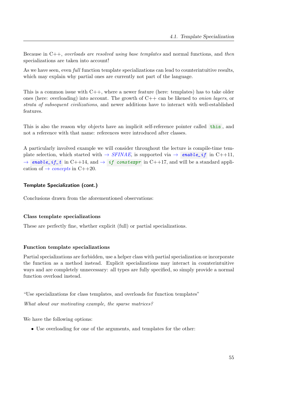Because in C++, overloads are resolved using base templates and normal functions, and then specializations are taken into account!

As we have seen, even *full* function template specializations can lead to counterintuitive results, which may explain why partial ones are currently not part of the language.

This is a common issue with  $C_{++}$ , where a newer feature (here: templates) has to take older ones (here: overloading) into account. The growth of  $C++$  can be likened to *onion layers*, or strata of subsequent civilizations, and newer additions have to interact with well-established features.

This is also the reason why objects have an implicit self-reference pointer called this , and not a reference with that name: references were introduced after classes.

A particularly involved example we will consider throughout the lecture is compile-time template selection, which started with  $\rightarrow$  [SFINAE](#page-74-0), is supported via  $\rightarrow$  [enable\\_if](#page-74-1) in C++11,  $\rightarrow$  [enable\\_if\\_t](#page-117-0) in C++14, and  $\rightarrow$  if consterpr in C++17, and will be a standard application of  $\rightarrow$  *[concepts](#page-127-0)* in C++20.

## Template Specialization (cont.)

Conclusions drawn from the aforementioned observations:

## Class template specializations

These are perfectly fine, whether explicit (full) or partial specializations.

## Function template specializations

Partial specializations are forbidden, use a helper class with partial specialization or incorporate the function as a method instead. Explicit specializations may interact in counterintuitive ways and are completely unnecessary: all types are fully specified, so simply provide a normal function overload instead.

"Use specializations for class templates, and overloads for function templates"

What about our motivating example, the sparse matrices?

We have the following options:

• Use overloading for one of the arguments, and templates for the other: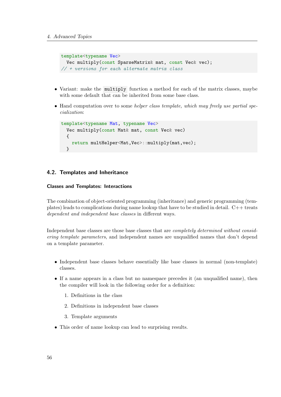```
template<typename Vec>
  Vec multiply(const SparseMatrix& mat, const Vec& vec);
// + versions for each alternate matrix class
```
- Variant: make the multiply function a method for each of the matrix classes, maybe with some default that can be inherited from some base class.
- Hand computation over to some helper class template, which may freely use partial specialization:

```
template<typename Mat, typename Vec>
  Vec multiply(const Mat& mat, const Vec& vec)
  {
    return multHelper<Mat,Vec>::multiply(mat,vec);
  }
```
# 4.2. Templates and Inheritance

## Classes and Templates: Interactions

The combination of object-oriented programming (inheritance) and generic programming (templates) leads to complications during name lookup that have to be studied in detail.  $C++$  treats dependent and independent base classes in different ways.

Independent base classes are those base classes that are completely determined without considering template parameters, and independent names are unqualified names that don't depend on a template parameter.

- Independent base classes behave essentially like base classes in normal (non-template) classes.
- If a name appears in a class but no namespace precedes it (an unqualified name), then the compiler will look in the following order for a definition:
	- 1. Definitions in the class
	- 2. Definitions in independent base classes
	- 3. Template arguments
- This order of name lookup can lead to surprising results.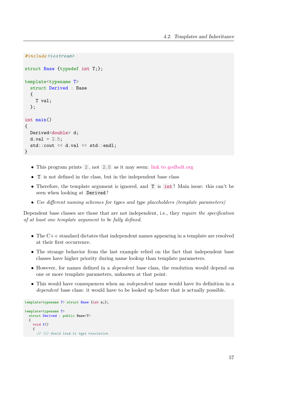```
#include <iostream>
struct Base {typedef int T;};
template<typename T>
  struct Derived : Base
  {
    T val;
  };
int main()
{
  Derived<double> d;
  d.val = 2.5;
  std::cout << d.val << std::endl;
}
```
- This program prints 2, not 2.5 as it may seem: [link to godbolt.org](https://godbolt.org/#g:!((g:!((g:!((h:codeEditor,i:(fontScale:14,j:1,lang:c%2B%2B,selection:(endColumn:2,endLineNumber:16,positionColumn:2,positionLineNumber:16,selectionStartColumn:2,selectionStartLineNumber:16,startColumn:2,startLineNumber:16),source:)
- T is not defined in the class, but in the independent base class
- Therefore, the template argument is ignored, and T is  $int!$  Main issue: this can't be seen when looking at Derived !
- Use different naming schemes for types and type placeholders (template parameters)

Dependent base classes are those that are not independent, i.e., they require the specification of at least one template argument to be fully defined.

- The C++ standard dictates that independent names appearing in a template are resolved at their first occurrence.
- The strange behavior from the last example relied on the fact that independent base classes have higher priority during name lookup than template parameters.
- However, for names defined in a *dependent* base class, the resolution would depend on one or more template parameters, unknown at that point.
- This would have consequences when an *independent* name would have its definition in a dependent base class: it would have to be looked up before that is actually possible.

```
template<typename T> struct Base {int n;};
template<typename T>
  struct Derived : public Base<T>
  {
    void f()
    {
      // (1) Would lead to type resolution
```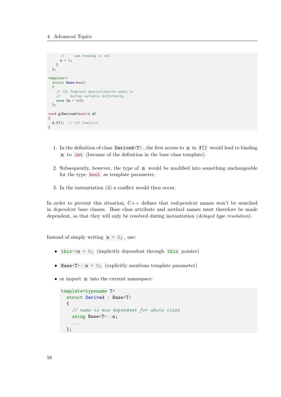```
// and binding to int.
     n = 0;
   }
 };
template<>
  struct Base<br/>bool>
  {
   // (2) Template specialization wants to
    // define variable differently.
    enum \{n = 42\};};
void g(Derived<br/>bool>& d)
{
 d.f(); // (3) Conflict
}
```
- 1. In the definition of class Derived<T> , the first access to n in f() would lead to binding n to int (because of the definition in the base class template).
- 2. Subsequently, however, the type of n would be modified into something unchangeable for the type bool as template parameter.
- 3. In the instantiation (3) a conflict would then occur.

In order to prevent this situation, C++ defines that *independent* names won't be searched in dependent base classes. Base class attribute and method names must therefore be made dependent, so that they will only be resolved during instantiation (*delayed type resolution*).

Instead of simply writing  $n = 0$ ; , use:

- $\bullet$  this->n = 0; (implicitly dependent through this pointer)
- Base $\leq T$ ::n = 0; (explicitly mentions template parameter)
- or import **n** into the current namespace:

```
template<typename T>
  struct Derived : Base<T>
  {
    // name is now dependent for whole class
    using Base<T>::n;
    ...
  };
```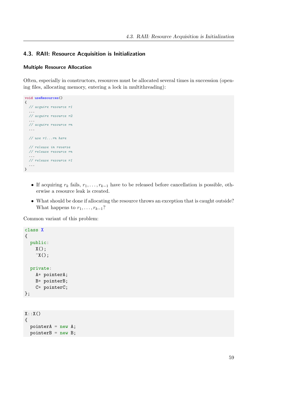## 4.3. RAII: Resource Acquisition is Initialization

#### Multiple Resource Allocation

Often, especially in constructors, resources must be allocated several times in succession (opening files, allocating memory, entering a lock in multithreading):

```
void useResources()
{
  // acquire resource r1
  ...
  // acquire resource r2
  ...
  // acquire resource rn
  ...
  // use r1...rn here
  // release in reverse
  // release resource rn
  ...
  // release resource r1
  ...
}
```
- If acquiring  $r_k$  fails,  $r_1, \ldots, r_{k-1}$  have to be released before cancellation is possible, otherwise a resource leak is created.
- What should be done if allocating the resource throws an exception that is caught outside? What happens to  $r_1, \ldots, r_{k-1}$ ?

Common variant of this problem:

```
class X
{
  public:
    X();
    \tilde{X}();
  private:
    A* pointerA;
    B* pointerB;
    C* pointerC;
};
X::X(){
  pointerA = new A;
```

```
pointerB = new B;
```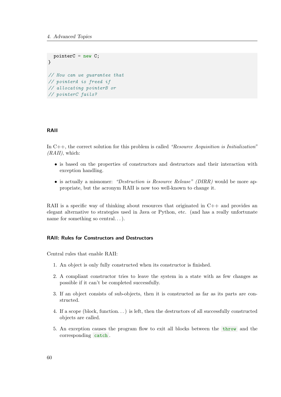```
pointerC = new C;
}
// How can we guarantee that
// pointerA is freed if
// allocating pointerB or
// pointerC fails?
```
## RAII

In  $C_{++}$ , the correct solution for this problem is called "Resource Acquisition is Initialization"  $(RAII)$ , which:

- <span id="page-61-0"></span>• is based on the properties of constructors and destructors and their interaction with exception handling.
- is actually a misnomer: "Destruction is Resource Release" (DIRR) would be more appropriate, but the acronym RAII is now too well-known to change it.

RAII is a specific way of thinking about resources that originated in  $C++$  and provides an elegant alternative to strategies used in Java or Python, etc. (and has a really unfortunate name for something so central...).

## RAII: Rules for Constructors and Destructors

Central rules that enable RAII:

- 1. An object is only fully constructed when its constructor is finished.
- 2. A compliant constructor tries to leave the system in a state with as few changes as possible if it can't be completed successfully.
- 3. If an object consists of sub-objects, then it is constructed as far as its parts are constructed.
- 4. If a scope (block, function. . . ) is left, then the destructors of all successfully constructed objects are called.
- 5. An exception causes the program flow to exit all blocks between the throw and the corresponding catch .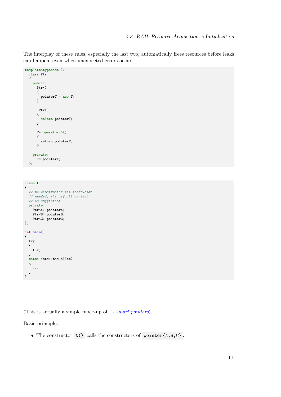The interplay of these rules, especially the last two, automatically frees resources before leaks can happen, even when unexpected errors occur.

```
template<typename T>
 class Ptr
  {
   public:
     Ptr(){
        pointerT = new T;
      }
      \tilde{P}tr(){
       delete pointerT;
      }
      T* operator->()
      {
       return pointerT;
      }
   private:
      T* pointerT;
 };
```

```
class X
{
 // no constructor and destructor
 // needed, the default variant
 // is sufficient
 private:
   Ptr<A> pointerA;
    Ptr<B> pointerB;
    Ptr<C> pointerC;
};
int main()
{
 try
 {
   X x;
 }
 catch (std::bad_alloc)
 {
    ...
 }
}
```
(This is actually a simple mock-up of  $\rightarrow$  *[smart pointers](#page-84-0)*)

Basic principle:

• The constructor X() calls the constructors of pointer{A,B,C} .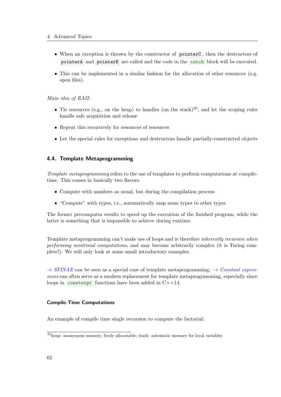- When an exception is thrown by the constructor of pointerC , then the destructors of pointerA and pointerB are called and the code in the catch block will be executed.
- This can be implemented in a similar fashion for the allocation of other resources (e.g. open files).

# Main idea of RAII:

- Tie resources (e.g., on the heap) to handles (on the stack)<sup>[20](#page-63-1)</sup>, and let the scoping rules handle safe acquisition and release
- Repeat this recursively for resources of resources
- Let the special rules for exceptions and destructors handle partially-constructed objects

# 4.4. Template Metaprogramming

<span id="page-63-0"></span>Template metaprogramming refers to the use of templates to perform computations at compiletime. This comes in basically two flavors:

- Compute with numbers as usual, but during the compilation process
- "Compute" with types, i.e., automatically map some types to other types

The former precomputes results to speed up the execution of the finished program, while the latter is something that is impossible to achieve during runtime.

Template metaprogramming can't make use of loops and is therefore inherently recursive when performing nontrivial computations, and may become arbitrarily complex (it is Turing complete!). We will only look at some small introductory examples.

 $\rightarrow$  [SFINAE](#page-74-0) can be seen as a special case of template metaprogramming.  $\rightarrow$  [Constant expres](#page-82-0)[sions](#page-82-0) can often serve as a modern replacement for template metaprogramming, especially since loops in constexpr functions have been added in  $C+14$ .

## Compile-Time Computations

An example of compile time single recursion to compute the factorial:

<span id="page-63-1"></span><sup>20</sup>heap: anonymous memory, freely allocatable; stack: automatic memory for local variables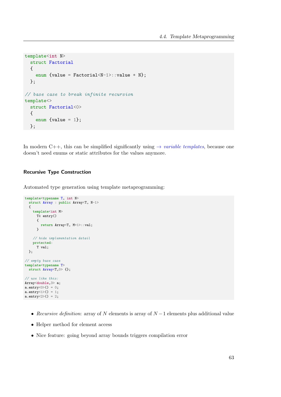```
template<int N>
  struct Factorial
  {
    enum {value = Factorial<N-1>::value * N};
  };
// base case to break infinite recursion
template<>
  struct Factorial<0>
  {
    enum \{value = 1\};};
```
In modern C++, this can be simplified significantly using  $\rightarrow$  [variable templates](#page-114-0), because one doesn't need enums or static attributes for the values anymore.

## Recursive Type Construction

Automated type generation using template metaprogramming:

```
template<typename T, int N>
  struct Array : public Array<T, N-1>
  {
    template<int M>
     T& entry()
      {
        return Array<T, M+1>::val;
      }
    // hide implementation detail
    protected:
      T val;
 };
// empty base case
template<typename T>
 struct Array<T,0> {};
// use like this:
Array<double,3> a;
a.entry\langle 0 \rangle() = 0;
a.entry\langle 1 \rangle() = 1;
a.entry < 2> () = 2;
```
- Recursive definition: array of N elements is array of  $N-1$  elements plus additional value
- Helper method for element access
- Nice feature: going beyond array bounds triggers compilation error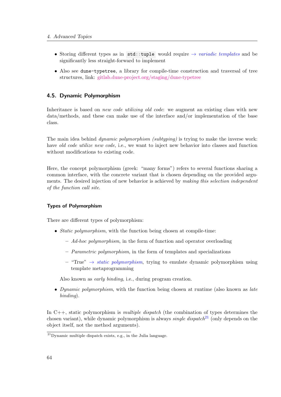- Storing different types as in std::tuple would require  $\rightarrow$  [variadic templates](#page-93-0) and be significantly less straight-forward to implement
- Also see dune-typetree, a library for compile-time construction and traversal of tree structures, link: [gitlab.dune-project.org/staging/dune-typetree](https://gitlab.dune-project.org/staging/dune-typetree)

# 4.5. Dynamic Polymorphism

Inheritance is based on *new code utilizing old code*: we augment an existing class with new data/methods, and these can make use of the interface and/or implementation of the base class.

<span id="page-65-0"></span>The main idea behind *dynamic polymorphism (subtyping)* is trying to make the inverse work: have *old code utilize new code*, i.e., we want to inject new behavior into classes and function without modifications to existing code.

Here, the concept polymorphism (greek: "many forms") refers to several functions sharing a common interface, with the concrete variant that is chosen depending on the provided arguments. The desired injection of new behavior is achieved by making this selection independent of the function call site.

## Types of Polymorphism

There are different types of polymorphism:

- *Static polymorphism*, with the function being chosen at compile-time:
	- $-$  Ad-hoc polymorphism, in the form of function and operator overloading
	- $-$  *Parametric polymorphism*, in the form of templates and specializations
	- "True"  $\rightarrow$  *[static polymorphism](#page-72-0)*, trying to emulate dynamic polymorphism using template metaprogramming

Also known as early binding, i.e., during program creation.

• Dynamic polymorphism, with the function being chosen at runtime (also known as *late* binding).

In  $C_{++}$ , static polymorphism is *multiple dispatch* (the combination of types determines the chosen variant), while dynamic polymorphism is always *single dispatch*<sup>[21](#page-65-1)</sup> (only depends on the object itself, not the method arguments).

<span id="page-65-1"></span><sup>21</sup>Dynamic multiple dispatch exists, e.g., in the Julia language.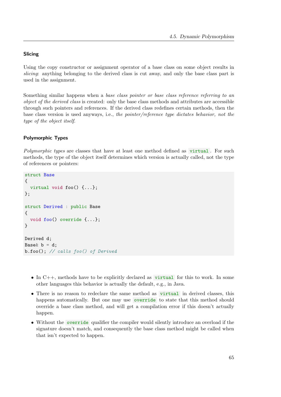## Slicing

Using the copy constructor or assignment operator of a base class on some object results in slicing: anything belonging to the derived class is cut away, and only the base class part is used in the assignment.

Something similar happens when a base class pointer or base class reference referring to an object of the derived class is created: only the base class methods and attributes are accessible through such pointers and references. If the derived class redefines certain methods, then the base class version is used anyways, i.e., the pointer/reference type dictates behavior, not the type of the object itself.

## Polymorphic Types

Polymorphic types are classes that have at least one method defined as virtual. For such methods, the type of the object itself determines which version is actually called, not the type of references or pointers:

```
struct Base
{
  virtual void foo() {...};
};
struct Derived : public Base
{
  void foo() override {...};
}
Derived d;
Base b = d;
b.foo(); // calls foo() of Derived
```
- In  $C_{++}$ , methods have to be explicitly declared as virtual for this to work. In some other languages this behavior is actually the default, e.g., in Java.
- There is no reason to redeclare the same method as virtual in derived classes, this happens automatically. But one may use override to state that this method should override a base class method, and will get a compilation error if this doesn't actually happen.
- Without the override qualifier the compiler would silently introduce an overload if the signature doesn't match, and consequently the base class method might be called when that isn't expected to happen.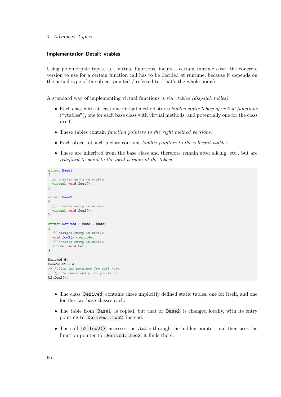#### Implementation Detail: vtables

Using polymorphic types, i.e., virtual functions, incurs a certain runtime cost: the concrete version to use for a certain function call has to be decided at runtime, because it depends on the actual type of the object pointed / referred to (that's the whole point).

A standard way of implementing virtual functions is via vtables (dispatch tables):

- Each class with at least one virtual method stores hidden static tables of virtual functions ("vtables"), one for each base class with virtual methods, and potentially one for the class itself.
- These tables contain function pointers to the right method versions.
- Each object of such a class contains *hidden pointers to the relevant vtables*.
- These are inherited from the base class and therefore remain after slicing, etc., but are redefined to point to the local version of the tables.

```
struct Base1
{
  // creates entry in vtable
 virtual void foo1();
}
struct Base2
{
 // creates entry in vtable
 virtual void foo2();
}
struct Derived : Base1, Base2
{
 // changes entry in vtable
 void foo2() override;
  // creates entry in vtable
 virtual void bar;
}
Derived d;
Base2\& b2 = d;
// follow two pointers for call here
// (p. to table and p. to function)
b2.foo2():
```
- The class Derived contains three implicitly defined static tables, one for itself, and one for the two base classes each.
- The table from Base1 is copied, but that of Base2 is changed locally, with its entry pointing to Derived::foo2 instead.
- The call b2.foo2() accesses the vtable through the hidden pointer, and then uses the function pointer to Derived::foo2 it finds there.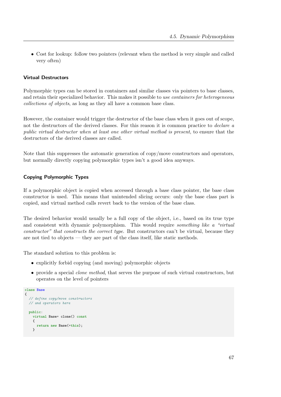• Cost for lookup: follow two pointers (relevant when the method is very simple and called very often)

# Virtual Destructors

Polymorphic types can be stored in containers and similar classes via pointers to base classes, and retain their specialized behavior. This makes it possible to use containers for heterogeneous collections of objects, as long as they all have a common base class.

However, the container would trigger the destructor of the base class when it goes out of scope, not the destructors of the derived classes. For this reason it is common practice to *declare a* public virtual destructor when at least one other virtual method is present, to ensure that the destructors of the derived classes are called.

Note that this suppresses the automatic generation of copy/move constructors and operators, but normally directly copying polymorphic types isn't a good idea anyways.

## Copying Polymorphic Types

If a polymorphic object is copied when accessed through a base class pointer, the base class constructor is used. This means that unintended slicing occurs: only the base class part is copied, and virtual method calls revert back to the version of the base class.

The desired behavior would usually be a full copy of the object, i.e., based on its true type and consistent with dynamic polymorphism. This would require something like a "virtual constructor" that constructs the correct type. But constructors can't be virtual, because they are not tied to objects — they are part of the class itself, like static methods.

The standard solution to this problem is:

- explicitly forbid copying (and moving) polymorphic objects
- provide a special *clone method*, that serves the purpose of such virtual constructors, but operates on the level of pointers

```
class Base
{
  // define copy/move constructors
  // and operators here
  public:
    virtual Base* clone() const
    {
      return new Base(*this);
    }
```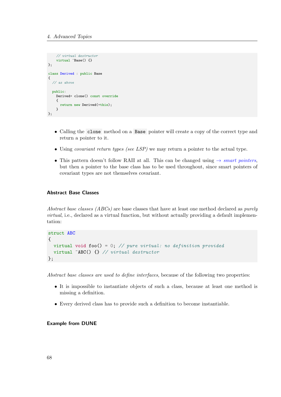```
// virtual destructor
    virtual "Base() {}
};
class Derived : public Base
{
  // as above
  public:
    Derived* clone() const override
    {
      return new Derived(*this);
    }
};
```
- Calling the clone method on a Base pointer will create a copy of the correct type and return a pointer to it.
- Using *covariant return types (see LSP)* we may return a pointer to the actual type.
- This pattern doesn't follow RAII at all. This can be changed using  $\rightarrow$  [smart pointers](#page-84-0), but then a pointer to the base class has to be used throughout, since smart pointers of covariant types are not themselves covariant.

#### Abstract Base Classes

<span id="page-69-0"></span>Abstract base classes (ABCs) are base classes that have at least one method declared as purely virtual, i.e., declared as a virtual function, but without actually providing a default implementation:

```
struct ABC
{
  virtual void foo() = 0; // pure virtual: no definition provided
  virtual ~ABC() {} // virtual destructor
};
```
Abstract base classes are used to define interfaces, because of the following two properties:

- It is impossible to instantiate objects of such a class, because at least one method is missing a definition.
- Every derived class has to provide such a definition to become instantiable.

# Example from DUNE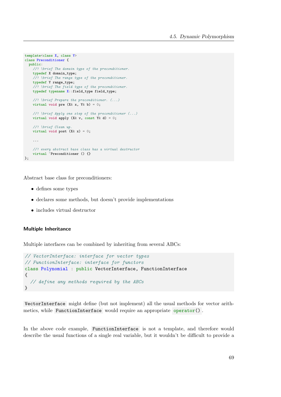```
template<class X, class Y>
class Preconditioner {
  public:
    //! \brief The domain type of the preconditioner.
    typedef X domain_type;
    //! \brief The range type of the preconditioner.
    typedef Y range_type;
    //! \brief The field type of the preconditioner.
    typedef typename X::field_type field_type;
    //! \brief Prepare the preconditioner. (...)
    virtual void pre (X& x, Y& b) = 0;//! \brief Apply one step of the preconditioner (...)
    virtual void apply (X& v, const Y& d) = 0;//! \brief Clean up.
    virtual void post (X& x) = 0;...
    //! every abstract base class has a virtual destructor
    virtual <sup>~</sup>Preconditioner () {}
};
```
Abstract base class for preconditioners:

- defines some types
- declares some methods, but doesn't provide implementations
- includes virtual destructor

## Multiple Inheritance

Multiple interfaces can be combined by inheriting from several ABCs:

```
// VectorInterface: interface for vector types
// FunctionInterface: interface for functors
class Polynomial : public VectorInterface, FunctionInterface
{
  // define any methods required by the ABCs
}
```
VectorInterface might define (but not implement) all the usual methods for vector arithmetics, while FunctionInterface would require an appropriate operator().

In the above code example, FunctionInterface is not a template, and therefore would describe the usual functions of a single real variable, but it wouldn't be difficult to provide a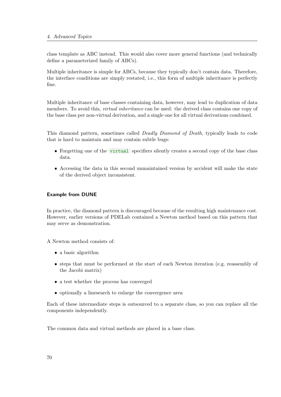class template as ABC instead. This would also cover more general functions (and technically define a parameterized family of ABCs).

Multiple inheritance is simple for ABCs, because they typically don't contain data. Therefore, the interface conditions are simply restated, i.e., this form of multiple inheritance is perfectly fine.

<span id="page-71-1"></span>Multiple inheritance of base classes containing data, however, may lead to duplication of data members. To avoid this, *virtual inheritance* can be used: the derived class contains one copy of the base class per non-virtual derivation, and a single one for all virtual derivations combined.

This diamond pattern, sometimes called Deadly Diamond of Death, typically leads to code that is hard to maintain and may contain subtle bugs:

- <span id="page-71-0"></span>• Forgetting one of the virtual specifiers silently creates a second copy of the base class data.
- Accessing the data in this second unmaintained version by accident will make the state of the derived object inconsistent.

#### Example from DUNE

In practice, the diamond pattern is discouraged because of the resulting high maintenance cost. However, earlier versions of PDELab contained a Newton method based on this pattern that may serve as demonstration.

A Newton method consists of:

- a basic algorithm
- steps that must be performed at the start of each Newton iteration (e.g. reassembly of the Jacobi matrix)
- a test whether the process has converged
- optionally a linesearch to enlarge the convergence area

Each of these intermediate steps is outsourced to a separate class, so you can replace all the components independently.

The common data and virtual methods are placed in a base class.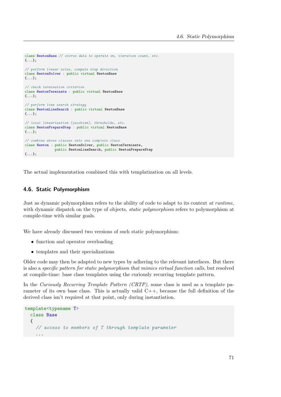```
class NewtonBase // stores data to operate on, iteration count, etc.
{...};
// perform linear solve, compute step direction
class NewtonSolver : public virtual NewtonBase
{...};
// check termination criterion
class NewtonTerminate : public virtual NewtonBase
{...};
// perform line search strategy
class NewtonLineSearch : public virtual NewtonBase
{...};
// local linearization (jacobian), thresholds, etc.
class NewtonPrepareStep : public virtual NewtonBase
{...};
// combine above classes into one complete class
class Newton : public NewtonSolver, public NewtonTerminate,
              public NewtonLineSearch, public NewtonPrepareStep
{...};
```
The actual implementation combined this with templatization on all levels.

# 4.6. Static Polymorphism

Just as dynamic polymorphism refers to the ability of code to adapt to its context at runtime, with dynamic dispatch on the type of objects, *static polymorphism* refers to polymorphism at compile-time with similar goals.

We have already discussed two versions of such static polymorphism:

- function and operator overloading
- templates and their specializations

Older code may then be adapted to new types by adhering to the relevant interfaces. But there is also a specific pattern for static polymorphism that mimics virtual function calls, but resolved at compile-time: base class templates using the curiously recurring template pattern.

In the Curiously Recurring Template Pattern (CRTP), some class is used as a template parameter of its own base class. This is actually valid  $C++$ , because the full definition of the derived class isn't required at that point, only during instantiation.

```
template<typename T>
  class Base
  {
    // access to members of T through template parameter
    ...
```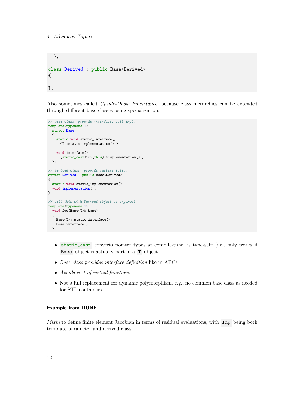```
};
class Derived : public Base<Derived>
{
  ...
};
```
Also sometimes called Upside-Down Inheritance, because class hierarchies can be extended through different base classes using specialization.

```
// base class: provide interface, call impl.
template<typename T>
  struct Base
  {
   static void static interface()
      {T::static_implementation();}
    void interface()
      {static_cast<T*>(this)->implementation();}
 };
// derived class: provide implementation
struct Derived : public Base<Derived>
{
 static void static_implementation();
 void implementation();
}
// call this with Derived object as argument
template<typename T>
 void foo(Base<T>& base)
 {
    Base<T>::static_interface();
    base.interface();
 }
```
- static\_cast converts pointer types at compile-time, is type-safe (i.e., only works if Base object is actually part of a T object)
- Base class provides interface definition like in ABCs
- Avoids cost of virtual functions
- Not a full replacement for dynamic polymorphism, e.g., no common base class as needed for STL containers

# Example from DUNE

Mixin to define finite element Jacobian in terms of residual evaluations, with Imp being both template parameter and derived class: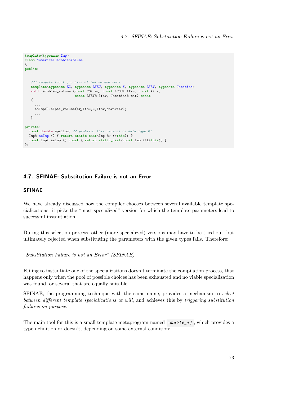```
template<typename Imp>
class NumericalJacobianVolume
{
public:
  ...
   //! compute local jacobian of the volume term
   template<typename EG, typename LFSU, typename X, typename LFSV, typename Jacobian>
   void jacobian_volume (const EG& eg, const LFSU& lfsu, const X& x,
                         const LFSV& lfsv, Jacobian& mat) const
   {
     ...
     asImp().alpha_volume(eg,lfsu,u,lfsv,downview);
     ...
   }
private:
 const double epsilon; // problem: this depends on data type R!
  Imp& asImp () { return static_cast<Imp &> (*this); }
 const Imp& asImp () const { return static_cast<const Imp &>(*this); }
};
```
# 4.7. SFINAE: Substitution Failure is not an Error

### SFINAE

We have already discussed how the compiler chooses between several available template specializations: it picks the "most specialized" version for which the template parameters lead to successful instantiation.

During this selection process, other (more specialized) versions may have to be tried out, but ultimately rejected when substituting the parameters with the given types fails. Therefore:

"Substitution Failure is not an Error" (SFINAE)

Failing to instantiate one of the specializations doesn't terminate the compilation process, that happens only when the pool of possible choices has been exhausted and no viable specialization was found, or several that are equally suitable.

SFINAE, the programming technique with the same name, provides a mechanism to select between different template specializations at will, and achieves this by triggering substitution failures on purpose.

The main tool for this is a small template metaprogram named enable\_if, which provides a type definition or doesn't, depending on some external condition: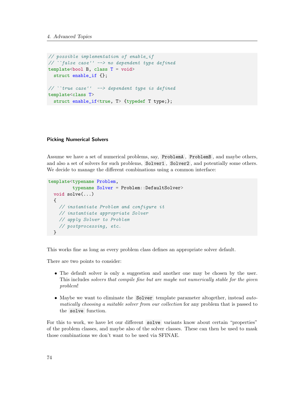```
// possible implementation of enable_if
// ``false case'' --> no dependent type defined
template<br/>sbool B, class T = voidstruct enable_if {};
// ``true case'' --> dependent type is defined
template<class T>
  struct enable_if<true, T> {typedef T type;};
```
### Picking Numerical Solvers

Assume we have a set of numerical problems, say, ProblemA , ProblemB , and maybe others, and also a set of solvers for such problems, Solver1, Solver2, and potentially some others. We decide to manage the different combinations using a common interface:

```
template<typename Problem,
         typename Solver = Problem::DefaultSolver>
  void solve(...)
  {
    // instantiate Problem and configure it
    // instantiate appropriate Solver
    // apply Solver to Problem
    // postprocessing, etc.
  }
```
This works fine as long as every problem class defines an appropriate solver default.

There are two points to consider:

- The default solver is only a suggestion and another one may be chosen by the user. This includes solvers that compile fine but are maybe not numerically stable for the given problem!
- Maybe we want to eliminate the Solver template parameter altogether, instead *auto*matically choosing a suitable solver from our collection for any problem that is passed to the solve function.

For this to work, we have let our different solve variants know about certain "properties" of the problem classes, and maybe also of the solver classes. These can then be used to mask those combinations we don't want to be used via SFINAE.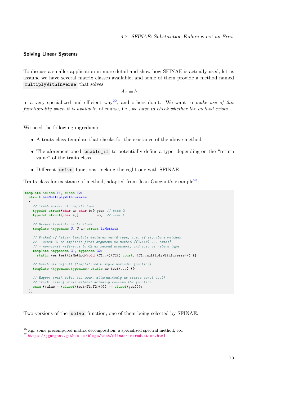### Solving Linear Systems

To discuss a smaller application in more detail and show how SFINAE is actually used, let us assume we have several matrix classes available, and some of them provide a method named multiplyWithInverse that solves

 $Ax = b$ 

in a very specialized and efficient way<sup>[22](#page-76-0)</sup>, and others don't. We want to make use of this functionality when it is available, of course, i.e., we have to check whether the method exists.

We need the following ingredients:

- A traits class template that checks for the existance of the above method
- The aforementioned enable\_if to potentially define a type, depending on the "return value" of the traits class
- Different solve functions, picking the right one with SFINAE

Traits class for existance of method, adapted from Jean Guegant's example<sup>[23](#page-76-1)</sup>:

```
template <class T1, class T2>
  struct hasMultiplyWithInverse
  {
    // Truth values at compile time
   typedef struct{char a; char b;} yes; // size 2
    typedef struct{char a;} no; // size 1
    // Helper template declaration
   template <typename U, U u> struct isMethod;
    // Picked if helper template declares valid type, i.e. if signature matches:
    // - const C1 as implicit first argument to method [(C1::*) ... const]
    // - non-const reference to C2 as second argument, and void as return type
    template <typename C1, typename C2>
     static yes test(isMethod<void (C1::*)(C2&) const, &C1::multiplyWithInverse>*) {}
    // Catch-all default (templatized C-style variadic function)
    template <typename,typename> static no test(...) {}
    // Export truth value (as enum, alternatively as static const bool)
    // Trick: sizeof works without actually calling the function
    enum {value = (sizeof(test<T1, T2>(0)) == sizeof(yes)) ;
 };
```
Two versions of the solve function, one of them being selected by SFINAE:

<span id="page-76-0"></span> $22_{e.g.,}$  some precomputed matrix decomposition, a specialized spectral method, etc.

<span id="page-76-1"></span><sup>23</sup><https://jguegant.github.io/blogs/tech/sfinae-introduction.html>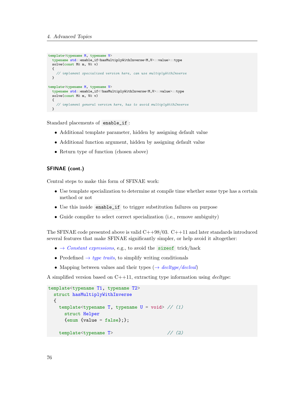```
template<typename M, typename V>
 typename std::enable_if<hasMultiplyWithInverse<M,V>::value>::type
  solve(const M& m, V& v)
 {
    // implement specialized version here, can use multiplyWithInverse
  }
template<typename M, typename V>
 typename std::enable_if<!hasMultiplyWithInverse<M,V>::value>::type
 solve(const M& m, V& v)
  {
    // implement general version here, has to avoid multiplyWithInverse
 }
```
Standard placements of enable\_if :

- Additional template parameter, hidden by assigning default value
- Additional function argument, hidden by assigning default value
- Return type of function (chosen above)

# SFINAE (cont.)

Central steps to make this form of SFINAE work:

- Use template specialization to determine at compile time whether some type has a certain method or not
- Use this inside enable\_if to trigger substitution failures on purpose
- Guide compiler to select correct specialization (i.e., remove ambiguity)

The SFINAE code presented above is valid  $C++98/03$ .  $C++11$  and later standards introduced several features that make SFINAE significantly simpler, or help avoid it altogether:

- $\bullet \rightarrow Constant$  expressions, e.g., to avoid the size of trick/hack
- Predefined  $\rightarrow$  [type traits](#page-108-0), to simplify writing conditionals
- Mapping between values and their types  $(\rightarrow$  [decltype/declval](#page-81-0))

A simplified version based on  $C++11$ , extracting type information using *decltype*:

```
template<typename T1, typename T2>
 struct hasMultiplyWithInverse
 {
   template<typename T, typename U = void> //(1)struct Helper
     {enum} {value = false};template<typename T> // (2)
```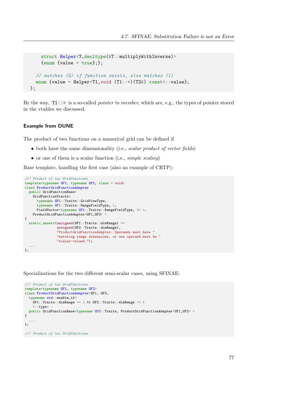```
struct Helper<T,decltype(&T::multiplyWithInverse)>
    {enum} {value = true};// matches (2) if function exists, else matches (1)
 enum {value = Helper<T1, void (T1::*)(T2&) const>::value};
};
```
By the way,  $T1:.*$  is a so-called *pointer to member*, which are, e.g., the types of pointer stored in the vtables we discussed.

#### Example from DUNE

The product of two functions on a numerical grid can be defined if

- both have the same dimensionality (i.e., scalar product of vector fields)
- or one of them is a scalar function (i.e., simple scaling)

Base template, handling the first case (also an example of CRTP):

```
//! Product of two GridFunctions
template<typename GF1, typename GF2, class = void>
class ProductGridFunctionAdapter :
 public GridFunctionBase<
    GridFunctionTraits<
      typename GF1::Traits::GridViewType,
      typename GF1::Traits::RangeFieldType, 1,
      FieldVector<typename GF1::Traits::RangeFieldType, 1> >,
   ProductGridFunctionAdapter<GF1,GF2> >
{
  static_assert(unsigned(GF1::Traits::dimRange) ==
                unsigned(GF2::Traits::dimRange),
                "ProductGridFunctionAdapter: Operands must have "
                "matching range dimensions, or one operand must be "
                "scalar-valued.");
  ...
};
```
Specializations for the two different semi-scalar cases, using SFINAE:

```
//! Product of two GridFunctions
template<typename GF1, typename GF2>
class ProductGridFunctionAdapter<GF1, GF2,
  typename std::enable_if<
    GF1::Traits::dimRange == 1 && GF2::Traits::dimRange != 1
     >::type> :
  public GridFunctionBase<typename GF2::Traits, ProductGridFunctionAdapter<GF1,GF2> >
{
  ...
};
```
//! Product of two GridFunctions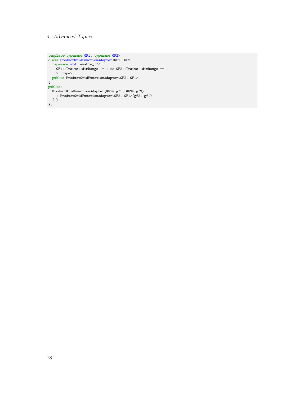```
template<typename GF1, typename GF2>
 class ProductGridFunctionAdapter<GF1, GF2,
  typename std::enable_if<
     \texttt{GFT}:\texttt{Traits}:\texttt{dimRange} \texttt{!=} 1 && \texttt{GF2}:\texttt{Traits}:\texttt{dimRange} \texttt{==} 1<br>>::type> :
      >::type> :
   public ProductGridFunctionAdapter<GF2, GF1>
 {
public:
   ProductGridFunctionAdapter(GF1& gf1, GF2& gf2)
      : ProductGridFunctionAdapter<GF2, GF1>(gf2, gf1)
  { }
};
```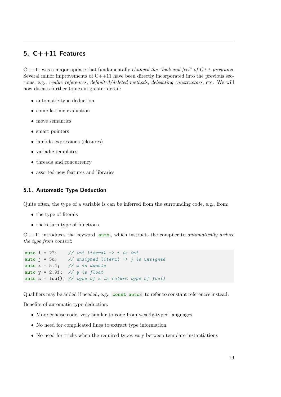# 5. C++11 Features

 $C++11$  was a major update that fundamentally *changed the "look and feel" of*  $C++$  *programs*. Several minor improvements of  $C+11$  have been directly incorporated into the previous sections, e.g., rvalue references, defaulted/deleted methods, delegating constructors, etc. We will now discuss further topics in greater detail:

- automatic type deduction
- compile-time evaluation
- move semantics
- smart pointers
- lambda expressions (closures)
- variadic templates
- threads and concurrency
- assorted new features and libraries

# 5.1. Automatic Type Deduction

Quite often, the type of a variable is can be inferred from the surrounding code, e.g., from:

- the type of literals
- the return type of functions

 $C++11$  introduces the keyword  $\overline{\text{auto}}$ , which instructs the compiler to *automatically deduce* the type from context:

```
auto i = 27; // int literal \rightarrow i is int
auto j = 5u; // unsigned literal \rightarrow j is unsigned
auto x = 5.4; // x is double
auto y = 2.9f; // y is float
auto z = foo(); // type of z is return type of foo()
```
Qualifiers may be added if needed, e.g., const auto& to refer to constant references instead.

Benefits of automatic type deduction:

- More concise code, very similar to code from weakly-typed languages
- No need for complicated lines to extract type information
- No need for tricks when the required types vary between template instantiations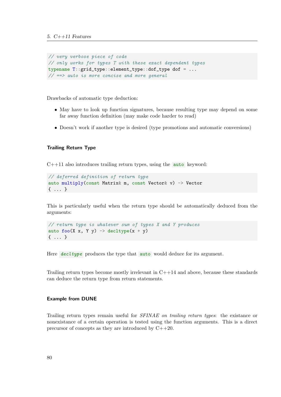```
// very verbose piece of code
// only works for types T with these exact dependent types
typename T::grid_type::element_type::dof_type dof = ...
// \implies auto is more concise and more general
```
Drawbacks of automatic type deduction:

- May have to look up function signatures, because resulting type may depend on some far away function definition (may make code harder to read)
- Doesn't work if another type is desired (type promotions and automatic conversions)

#### Trailing Return Type

 $C++11$  also introduces trailing return types, using the **auto** keyword:

```
// deferred definition of return type
auto multiply(const Matrix& m, const Vector& v) -> Vector
{ ... }
```
This is particularly useful when the return type should be automatically deduced from the arguments:

```
// return type is whatever sum of types X and Y produces
auto foo(X \times, Y \vee) \rightarrow decltype(x + y){ ... }
```
<span id="page-81-0"></span>Here  $\text{decletype}$  produces the type that auto would deduce for its argument.

Trailing return types become mostly irrelevant in  $C++14$  and above, because these standards can deduce the return type from return statements.

#### Example from DUNE

Trailing return types remain useful for SFINAE on trailing return types: the existance or nonexistance of a certain operation is tested using the function arguments. This is a direct precursor of concepts as they are introduced by C++20.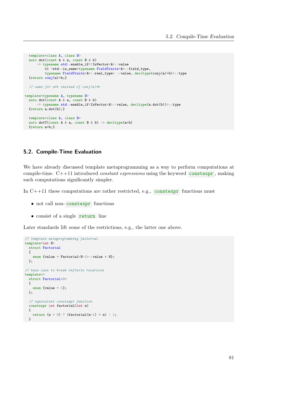```
template<class A, class B>
  auto dot(const A & a, const B & b)
      -> typename std::enable_if<!IsVector<A>::value
          && !std::is_same<typename FieldTraits<A>::field_type,
          typename FieldTraits<A>::real_type> ::value, decltype(conj(a)*b)>::type
  {return conj(a)*b;}
 // same for a*b instead of conj(a)*btemplate<typename A, typename B>
  auto dot(const A & a, const B & b)
      -> typename std::enable_if<IsVector<A>::value, decltype(a.dot(b))>::type
  {return a.dot(b);}
 template<class A, class B>
  auto dotT(const A & a, const B & b) \rightarrow decltype(a*b)
  {return a*b;}
```
# 5.2. Compile-Time Evaluation

We have already discussed template metaprogramming as a way to perform computations at compile-time.  $C++11$  introduced *constant expressions* using the keyword constexpr, making such computations significantly simpler.

In  $C++11$  these computations are rather restricted, e.g., constexpr functions must

- <span id="page-82-0"></span>• not call non- constexpr functions
- consist of a single return line

Later standards lift some of the restrictions, e.g., the latter one above.

```
// template metaprogramming factorial
template<int N>
 struct Factorial
  {
    enum {value = Factorial<N-1>::value * N};
 };
// base case to break infinite recursion
template<>
 struct Factorial<0>
  {
    enum {value = 1};
 };
  // equivalent constexpr function
  constexpr int factorial(int n)
  {
   return (n > 0) ? (factorial(n-1) * n) : 1;
 }
```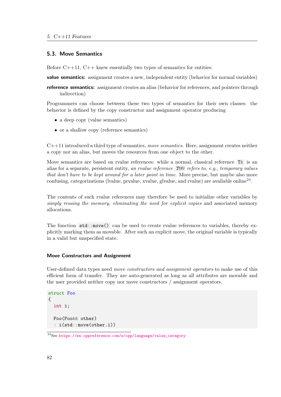### 5.3. Move Semantics

Before  $C++11$ ,  $C++$  knew essentially two types of semantics for entities:

**value semantics:** assignment creates a new, independent entity (behavior for normal variables)

reference semantics: assignment creates an alias (behavior for references, and pointers through indirection)

Programmers can choose between these two types of semantics for their own classes: the behavior is defined by the copy constructor and assignment operator producing

- a deep copy (value semantics)
- or a shallow copy (reference semantics)

 $C++11$  introduced a third type of semantics, move semantics. Here, assignment creates neither a copy nor an alias, but moves the resources from one object to the other.

Move semantics are based on rvalue references: while a normal, classical reference T& is an alias for a separate, persistent entity, an rvalue reference T& refers to, e.g., temporary values that don't have to be kept around for a later point in time. More precise, but maybe also more confusing, categorizations (lvalue, prvalue, xvalue, glvalue, and rvalue) are available online<sup>[24](#page-83-0)</sup>.

The contents of such rvalue references may therefore be used to initialize other variables by simply reusing the memory, eliminating the need for explicit copies and associated memory allocations.

The function std::move() can be used to create rvalue references to variables, thereby explicitly marking them as movable. After such an explicit move, the original variable is typically in a valid but unspecified state.

### Move Constructors and Assignment

User-defined data types need *move constructors and assignment operators* to make use of this efficient form of transfer. They are auto-generated as long as all attributes are movable and the user provided neither copy nor move constructors / assignment operators.

```
struct Foo
{
  int i;
  Foo(Foo&& other)
  : i(std::move(other.i))
```
<span id="page-83-0"></span> $^{24}\rm{See\,\,https://en.cppreference.com/w/cpp/language/value\_category}$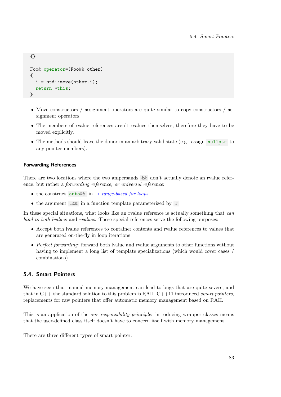```
{}
Foo& operator=(Foo&& other)
{
  i = std::move(other.i):return *this;
}
```
- Move constructors / assignment operators are quite similar to copy constructors / assignment operators.
- The members of rvalue references aren't rvalues themselves, therefore they have to be moved explicitly.
- The methods should leave the donor in an arbitrary valid state (e.g., assign nullptr to any pointer members).

# Forwarding References

There are two locations where the two ampersands & don't actually denote an rvalue reference, but rather a forwarding reference, or universal reference:

- the construct auto&& in  $\rightarrow$  [range-based for loops](#page-105-0)
- the argument T&& in a function template parameterized by T

In these special situations, what looks like an rvalue reference is actually something that *can* bind to both lvalues and rvalues. These special references serve the following purposes:

- Accept both lvalue references to container contents and rvalue references to values that are generated on-the-fly in loop iterations
- Perfect forwarding: forward both lvalue and rvalue arguments to other functions without having to implement a long list of template specializations (which would cover cases / combinations)

# 5.4. Smart Pointers

We have seen that manual memory management can lead to bugs that are quite severe, and that in  $C++$  the standard solution to this problem is RAII.  $C++11$  introduced *smart pointers*, replacements for raw pointers that offer automatic memory management based on RAII.

This is an application of the *one responsibility principle*: introducing wrapper classes means that the user-defined class itself doesn't have to concern itself with memory management.

There are three different types of smart pointer: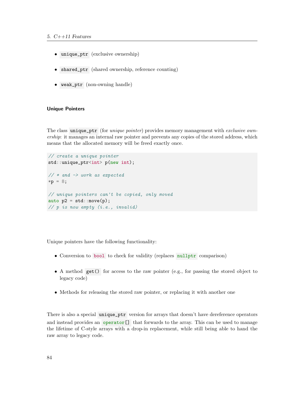- unique\_ptr (exclusive ownership)
- shared\_ptr (shared ownership, reference counting)
- weak\_ptr (non-owning handle)

#### Unique Pointers

The class unique\_ptr (for *unique pointer*) provides memory management with *exclusive own*ership: it manages an internal raw pointer and prevents any copies of the stored address, which means that the allocated memory will be freed exactly once.

```
// create a unique pointer
std::unique_ptr<int> p(new int);
// * and -> work as expected*{\bf p} = 8;// unique pointers can't be copied, only moved
auto p2 = std::move(p);// p is now empty (i.e., invalid)
```
Unique pointers have the following functionality:

- Conversion to bool to check for validity (replaces nullptr comparison)
- A method get () for access to the raw pointer (e.g., for passing the stored object to legacy code)
- Methods for releasing the stored raw pointer, or replacing it with another one

There is also a special unique\_ptr version for arrays that doesn't have dereference operators and instead provides an operator<sup>[]</sup> that forwards to the array. This can be used to manage the lifetime of C-style arrays with a drop-in replacement, while still being able to hand the raw array to legacy code.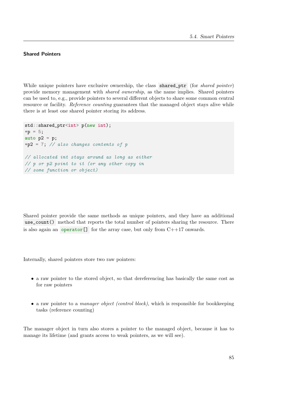# Shared Pointers

While unique pointers have exclusive ownership, the class shared\_ptr (for *shared pointer*) provide memory management with shared ownership, as the name implies. Shared pointers can be used to, e.g., provide pointers to several different objects to share some common central resource or facility. Reference counting guarantees that the managed object stays alive while there is at least one shared pointer storing its address.

```
std::shared_ptr<int> p(new int);
*{\rm p} = 5;auto p2 = p;
*p2 = 7; // also changes contents of p
// allocated int stays around as long as either
// p or p2 point to it (or any other copy in
// some function or object)
```
Shared pointer provide the same methods as unique pointers, and they have an additional use\_count() method that reports the total number of pointers sharing the resource. There is also again an operator<sup>[]</sup> for the array case, but only from  $C++17$  onwards.

Internally, shared pointers store two raw pointers:

- a raw pointer to the stored object, so that dereferencing has basically the same cost as for raw pointers
- a raw pointer to a *manager object (control block)*, which is responsible for bookkeeping tasks (reference counting)

The manager object in turn also stores a pointer to the managed object, because it has to manage its lifetime (and grants access to weak pointers, as we will see).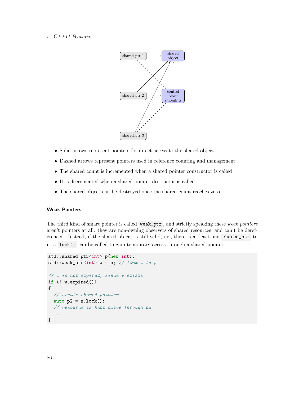

- Solid arrows represent pointers for direct access to the shared object
- Dashed arrows represent pointers used in reference counting and management
- The shared count is incremented when a shared pointer constructor is called
- It is decremented when a shared pointer destructor is called
- The shared object can be destroyed once the shared count reaches zero

# Weak Pointers

The third kind of smart pointer is called weak\_ptr, and strictly speaking these weak pointers aren't pointers at all: they are non-owning observers of shared resources, and can't be dereferenced. Instead, if the shared object is still valid, i.e., there is at least one shared\_ptr to it, a lock() can be called to gain temporary access through a shared pointer.

```
std::shared_ptr<int> p(new int);
std::weak_ptr<int> w = p; // link w to p
// w is not expired, since p exists
if (! w.expired())
{
  // create shared pointer
  auto p2 = w.lock();
  // resource is kept alive through p2
  ...
}
```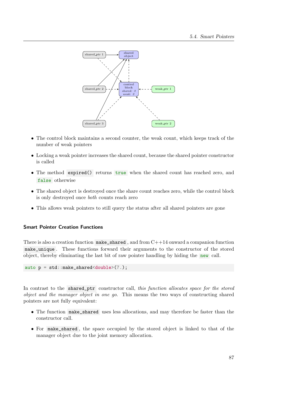

- The control block maintains a second counter, the weak count, which keeps track of the number of weak pointers
- Locking a weak pointer increases the shared count, because the shared pointer constructor is called
- The method expired() returns true when the shared count has reached zero, and false otherwise
- The shared object is destroyed once the share count reaches zero, while the control block is only destroyed once both counts reach zero
- This allows weak pointers to still query the status after all shared pointers are gone

# Smart Pointer Creation Functions

There is also a creation function  $\mathsf{make\_shared}$ , and from  $C++14$  onward a companion function make\_unique . These functions forward their arguments to the constructor of the stored object, thereby eliminating the last bit of raw pointer handling by hiding the new call.

auto p = std::make\_shared<double>(7.);

In contrast to the shared\_ptr constructor call, this function allocates space for the stored object and the manager object in one go. This means the two ways of constructing shared pointers are not fully equivalent:

- The function make\_shared uses less allocations, and may therefore be faster than the constructor call.
- For make\_shared , the space occupied by the stored object is linked to that of the manager object due to the joint memory allocation.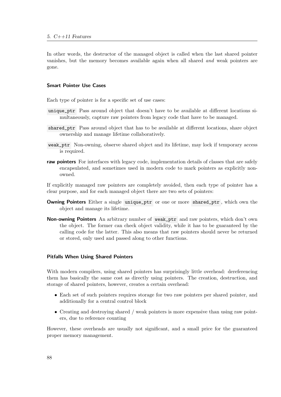In other words, the destructor of the managed object is called when the last shared pointer vanishes, but the memory becomes available again when all shared and weak pointers are gone.

### Smart Pointer Use Cases

Each type of pointer is for a specific set of use cases:

- unique\_ptr Pass around object that doesn't have to be available at different locations simultaneously, capture raw pointers from legacy code that have to be managed.
- shared\_ptr Pass around object that has to be available at different locations, share object ownership and manage lifetime collaboratively.
- weak\_ptr Non-owning, observe shared object and its lifetime, may lock if temporary access is required.
- raw pointers For interfaces with legacy code, implementation details of classes that are safely encapsulated, and sometimes used in modern code to mark pointers as explicitly nonowned.

If explicitly managed raw pointers are completely avoided, then each type of pointer has a clear purpose, and for each managed object there are two sets of pointers:

- Owning Pointers Either a single unique\_ptr or one or more shared\_ptr , which own the object and manage its lifetime.
- Non-owning Pointers An arbitrary number of weak\_ptr and raw pointers, which don't own the object. The former can check object validity, while it has to be guaranteed by the calling code for the latter. This also means that raw pointers should never be returned or stored, only used and passed along to other functions.

#### Pitfalls When Using Shared Pointers

With modern compilers, using shared pointers has surprisingly little overhead: dereferencing them has basically the same cost as directly using pointers. The creation, destruction, and storage of shared pointers, however, creates a certain overhead:

- Each set of such pointers requires storage for two raw pointers per shared pointer, and additionally for a central control block
- Creating and destroying shared / weak pointers is more expensive than using raw pointers, due to reference counting

However, these overheads are usually not significant, and a small price for the guaranteed proper memory management.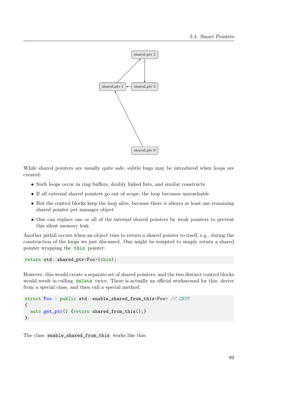

While shared pointers are usually quite safe, subtle bugs may be introduced when loops are created:

- Such loops occur in ring buffers, doubly linked lists, and similar constructs
- If all external shared pointers go out of scope, the loop becomes unreachable
- But the control blocks keep the loop alive, because there is always at least one remaining shared pointer per manager object
- One can replace one or all of the internal shared pointers by weak pointers to prevent this silent memory leak

Another pitfall occurs when an object tries to return a shared pointer to itself, e.g., during the construction of the loops we just discussed. One might be tempted to simply return a shared pointer wrapping the this pointer:

return std::shared\_ptr<Foo>(this);

However, this would create a separate set of shared pointers, and the two distinct control blocks would result in calling delete twice. There is actually an official workaround for this: derive from a special class, and then call a special method.

```
struct Foo : public std::enable_shared_from_this<Foo> // CRTP
{
  auto get_ptr() {return shared_from_this();}
}
```
The class enable\_shared\_from\_this works like this: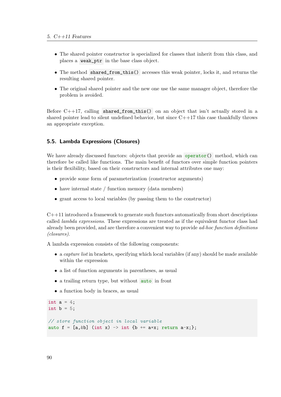- The shared pointer constructor is specialized for classes that inherit from this class, and places a weak\_ptr in the base class object.
- The method shared\_from\_this() accesses this weak pointer, locks it, and returns the resulting shared pointer.
- The original shared pointer and the new one use the same manager object, therefore the problem is avoided.

Before  $C++17$ , calling shared\_from\_this() on an object that isn't actually stored in a shared pointer lead to silent undefined behavior, but since  $C++17$  this case thankfully throws an appropriate exception.

# 5.5. Lambda Expressions (Closures)

We have already discussed functors: objects that provide an operator  $()$  method, which can therefore be called like functions. The main benefit of functors over simple function pointers is their flexibility, based on their constructors and internal attributes one may:

- provide some form of parameterization (constructor arguments)
- have internal state / function memory (data members)
- grant access to local variables (by passing them to the constructor)

 $C++11$  introduced a framework to generate such functors automatically from short descriptions called *lambda expressions*. These expressions are treated as if the equivalent functor class had already been provided, and are therefore a convenient way to provide ad-hoc function definitions (closures).

A lambda expression consists of the following components:

- a *capture list* in brackets, specifying which local variables (if any) should be made available within the expression
- a list of function arguments in parentheses, as usual
- a trailing return type, but without auto in front
- a function body in braces, as usual

```
int a = 4;
int b = 5;
// store function object in local variable
auto f = [a, &b] (int x) \rightarrow int \{b \leftarrow a*x; return a-x;\};
```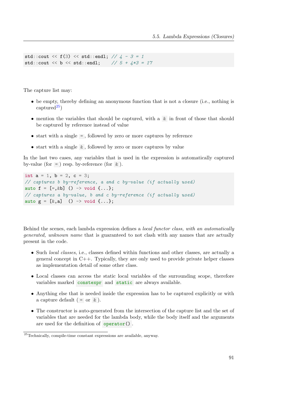```
std::cout << f(3) << std::endl; // 4 - 3 = 1std::cout << b << std::endl; // 5 + 4*3 = 17
```
The capture list may:

- be empty, thereby defining an anonymous function that is not a closure (i.e., nothing is captured $^{25}$  $^{25}$  $^{25}$ )
- mention the variables that should be captured, with a & in front of those that should be captured by reference instead of value
- $\bullet$  start with a single  $=$ , followed by zero or more captures by reference
- start with a single & , followed by zero or more captures by value

In the last two cases, any variables that is used in the expression is automatically captured by-value (for  $=$  ) resp. by-reference (for  $\&$  ).

```
int a = 1, b = 2, c = 3;
// captures b by-reference, a and c by-value (if actually used)
auto f = [-, \&b] () -> void \{... \};
// captures a by-value, b and c by-reference (if actually used)
auto g = [k, a] () -> void \{ \ldots \};
```
Behind the scenes, each lambda expression defines a *local functor class, with an automatically* generated, unknown name that is guaranteed to not clash with any names that are actually present in the code.

- Such *local classes*, i.e., classes defined within functions and other classes, are actually a general concept in C++. Typically, they are only used to provide private helper classes as implementation detail of some other class.
- Local classes can access the static local variables of the surrounding scope, therefore variables marked constexpr and static are always available.
- Anything else that is needed inside the expression has to be captured explicitly or with a capture default ( $=$  or  $\&$ ).
- The constructor is auto-generated from the intersection of the capture list and the set of variables that are needed for the lambda body, while the body itself and the arguments are used for the definition of operator() .

<span id="page-92-0"></span><sup>25</sup>Technically, compile-time constant expressions are available, anyway.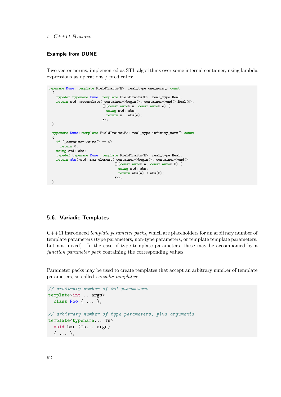#### Example from DUNE

Two vector norms, implemented as STL algorithms over some internal container, using lambda expressions as operations / predicates:

```
typename Dune::template FieldTraits<E>::real_type one_norm() const
  \left\{ \right.typedef typename Dune::template FieldTraits<E>::real_type Real;
    return std::accumulate(_container->begin(),_container->end(),Real(0),
                             [](const auto& n, const auto& e) {
                               using std::abs;
                               return n + abs(e);
                            });
 }
  typename Dune::template FieldTraits<E>::real_type infinity_norm() const
  {
    if (\_ \text{container} \rightarrow \text{size}() == 0)return 0;
    using std::abs;
    typedef typename Dune::template FieldTraits<E>::real_type Real;
    return abs(*std::max_element(_container->begin(),_container->end(),
                                   [](const auto& a, const auto& b) {
                                     using std::abs;
                                     return abs(a) < abs(b);
                                   }));
  }
```
# 5.6. Variadic Templates

 $C++11$  introduced *template parameter packs*, which are placeholders for an arbitrary number of template parameters (type parameters, non-type parameters, or template template parameters, but not mixed). In the case of type template parameters, these may be accompanied by a function parameter pack containing the corresponding values.

Parameter packs may be used to create templates that accept an arbitrary number of template parameters, so-called variadic templates:

```
// arbitrary number of int parameters
template<int... args>
  class Foo { ... };
// arbitrary number of type parameters, plus arguments
template<typename... Ts>
  void bar (Ts... args)
  { ... };
```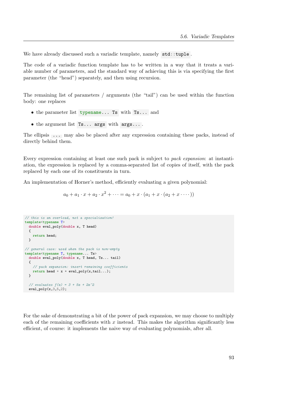We have already discussed such a variadic template, namely std::tuple.

The code of a variadic function template has to be written in a way that it treats a variable number of parameters, and the standard way of achieving this is via specifying the first parameter (the "head") separately, and then using recursion.

The remaining list of parameters / arguments (the "tail") can be used within the function body: one replaces

- the parameter list typename... Ts with Ts... and
- the argument list Ts... args with args... .

The ellipsis ... may also be placed after any expression containing these packs, instead of directly behind them.

Every expression containing at least one such pack is subject to pack expansion: at instantiation, the expression is replaced by a comma-separated list of copies of itself, with the pack replaced by each one of its constituents in turn.

An implementation of Horner's method, efficiently evaluating a given polynomial:

 $a_0 + a_1 \cdot x + a_2 \cdot x^2 + \cdots = a_0 + x \cdot (a_1 + x \cdot (a_2 + x \cdot \cdots))$ 

```
// this is an overload, not a specialization!
template<typename T>
 double eval_poly(double x, T head)
  {
    return head;
 \lambda// general case: used when the pack is non-empty
template<typename T, typename... Ts>
  double eval_poly(double x, T head, Ts... tail)
  {
    // pack expansion: insert remaining coefficients
   return head + x * eval_poly(x, tail...);}
  // evaluates f(x) = 3 + 5x + 2x^2eval\_poly(x, 3, 5, 2);
```
For the sake of demonstrating a bit of the power of pack expansion, we may choose to multiply each of the remaining coefficients with  $x$  instead. This makes the algorithm significantly less efficient, of course: it implements the naive way of evaluating polynomials, after all.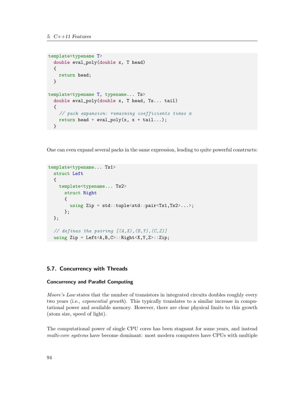```
template<typename T>
  double eval_poly(double x, T head)
  {
    return head;
  }
template<typename T, typename... Ts>
  double eval_poly(double x, T head, Ts... tail)
  {
    // pack expansion: remaining coefficients times x
    return head + eval_poly(x, x * tail...);
  }
```
One can even expand several packs in the same expression, leading to quite powerful constructs:

```
template<typename... Ts1>
  struct Left
  {
    template<typename... Ts2>
      struct Right
      {
        using Zip = std::tuple<std::pair<Ts1,Ts2>...>;
      };
  };
  // defines the pairing [(A,X), (B, Y), (C, Z)]using Zip = Left<A,B,C>::Right<X,Y,Z>::Zip;
```
# 5.7. Concurrency with Threads

# Concurrency and Parallel Computing

Moore's Law states that the number of transistors in integrated circuits doubles roughly every two years (i.e., *exponential growth*). This typically translates to a similar increase in computational power and available memory. However, there are clear physical limits to this growth (atom size, speed of light).

The computational power of single CPU cores has been stagnant for some years, and instead multi-core systems have become dominant: most modern computers have CPUs with multiple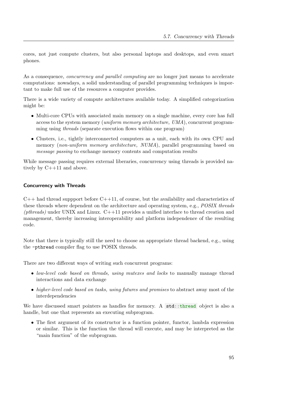cores, not just compute clusters, but also personal laptops and desktops, and even smart phones.

As a consequence, *concurrency and parallel computing* are no longer just means to accelerate computations: nowadays, a solid understanding of parallel programming techniques is important to make full use of the resources a computer provides.

There is a wide variety of compute architectures available today. A simplified categorization might be:

- Multi-core CPUs with associated main memory on a single machine, every core has full access to the system memory (uniform memory architecture, UMA), concurrent programming using threads (separate execution flows within one program)
- Clusters, i.e., tightly interconnected computers as a unit, each with its own CPU and memory (non-uniform memory architecture, NUMA), parallel programming based on message passing to exchange memory contents and computation results

While message passing requires external liberaries, concurrency using threads is provided natively by C++11 and above.

#### Concurrency with Threads

 $C_{++}$  had thread suppport before  $C_{++}11$ , of course, but the availability and characteristics of these threads where dependent on the architecture and operating system, e.g., *POSIX threads*  $(\text{pthreads})$  under UNIX and Linux.  $C++11$  provides a unified interface to thread creation and management, thereby increasing interoperability and platform independence of the resulting code.

Note that there is typically still the need to choose an appropriate thread backend, e.g., using the -pthread compiler flag to use POSIX threads.

There are two different ways of writing such concurrent programs:

- low-level code based on threads, using muteres and locks to manually manage thread interactions and data exchange
- higher-level code based on tasks, using futures and promises to abstract away most of the interdependencies

We have discussed smart pointers as handles for memory. A std::thread object is also a handle, but one that represents an executing subprogram.

• The first argument of its constructor is a function pointer, functor, lambda expression or similar. This is the function the thread will execute, and may be interpreted as the "main function" of the subprogram.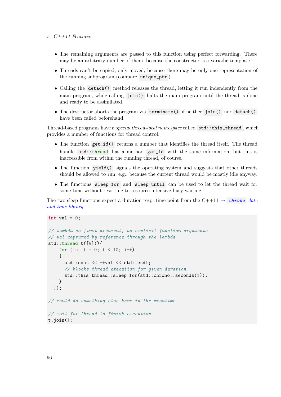- The remaining arguments are passed to this function using perfect forwarding. There may be an arbitrary number of them, because the constructor is a variadic template.
- Threads can't be copied, only moved, because there may be only one representation of the running subprogram (compare unique\_ptr ).
- Calling the detach() method releases the thread, letting it run indendently from the main program, while calling join() halts the main program until the thread is done and ready to be assimilated.
- The destructor aborts the program via terminate() if neither join() nor detach() have been called beforehand.

Thread-based programs have a special thread-local namespace called std::this\_thread , which provides a number of functions for thread control:

- The function get\_id() returns a number that identifies the thread itself. The thread handle std::thread has a method get\_id with the same information, but this is inaccessible from within the running thread, of course.
- The function yield() signals the operating system and suggests that other threads should be allowed to run, e.g., because the current thread would be mostly idle anyway.
- The functions sleep\_for and sleep\_until can be used to let the thread wait for some time without resorting to resource-intensive busy-waiting.

The two sleep functions expect a duration resp. time point from the  $C++11 \rightarrow chrono$  $C++11 \rightarrow chrono$  date [and time library](#page-109-0).

```
int val = 0;
// lambda as first argument, no explicit function arguments
// val captured by-reference through the lambda
std::thread t([&](){
    for (int i = 0; i < 10; i++)
    {
      std::cout << ++val << std::endl:
      // blocks thread execution for given duration
      std::this_thread::sleep_for(std::chrono::seconds(1));
    }
  });
// could do something else here in the meantime
// wait for thread to finish execution
t.join();
```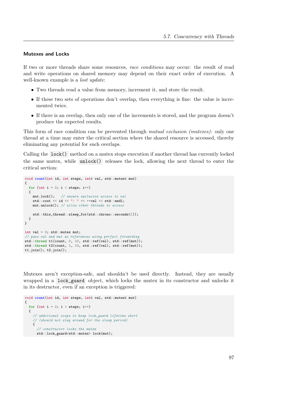#### Mutexes and Locks

If two or more threads share some resources, race conditions may occur: the result of read and write operations on shared memory may depend on their exact order of execution. A well-known example is a *lost update*:

- Two threads read a value from memory, increment it, and store the result.
- If these two sets of operations don't overlap, then everything is fine: the value is incremented twice.
- If there is an overlap, then only one of the increments is stored, and the program doesn't produce the expected results.

This form of race condition can be prevented through *mutual exclusion (mutexes)*: only one thread at a time may enter the critical section where the shared resource is accessed, thereby eliminating any potential for such overlaps.

Calling the lock() method on a mutex stops execution if another thread has currently locked the same mutex, while unlock() releases the lock, allowing the next thread to enter the critical section:

```
void count(int id, int steps, int& val, std::mutex& mut)
{
  for (int i = 0; i < steps; i++){
   mut.lock(); // ensure exclusive access to val
    std::cout << id << ": " << +val << std::endl;
   mut.unlock(); // allow other threads to access
    std::this_thread::sleep_for(std::chrono::seconds(1));
 }
}
int val = 0; std::mutex mut;
// pass val and mut as references using perfect forwarding
std::thread t1(count, 0, 10, std::ref(val), std::ref(mut));
std::thread t2(count, 1, 10, std::ref(val), std::ref(mut));
t1.join(); t2.join();
```
Mutexes aren't exception-safe, and shouldn't be used directly. Instead, they are usually wrapped in a lock\_guard object, which locks the mutex in its constructor and unlocks it in its destructor, even if an exception is triggered:

```
void count(int id, int steps, int& val, std::mutex& mut)
{
 for (int i = 0; i < steps; i++){
    // additional scope to keep lock_guard lifetime short
    // (should not stay around for the sleep period)
    {
      // constructor locks the mutex
     std::lock_guard<std::mutex> lock(mut);
```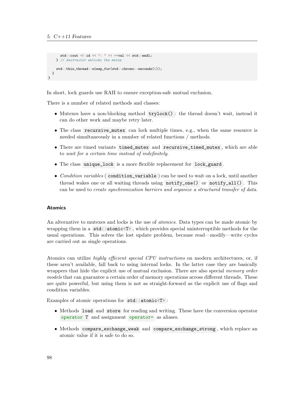```
std::cout << id << ": " << +val << std::endl:
    } // destructor unlocks the mutex
    std::this_thread::sleep_for(std::chrono::seconds(1));
 }
}
```
In short, lock guards use RAII to ensure exception-safe mutual exclusion.

There is a number of related methods and classes:

- Mutexes have a non-blocking method  $trylock()$ : the thread doesn't wait, instead it can do other work and maybe retry later.
- The class recursive\_mutex can lock multiple times, e.g., when the same resource is needed simultaneously in a number of related functions / methods.
- There are timed variants timed\_mutex and recursive\_timed\_mutex , which are able to wait for a certain time instead of indefinitely.
- The class unique lock is a more flexible replacement for lock guard.
- Condition variables (condition\_variable) can be used to wait on a lock, until another thread wakes one or all waiting threads using  $\text{notify\_one}()$  or  $\text{notify\_all}()$ . This can be used to create synchronization barriers and organize a structured transfer of data.

#### Atomics

An alternative to mutexes and locks is the use of *atomics*. Data types can be made atomic by wrapping them in a std::atomic<T> , which provides special uninterruptible methods for the usual operations. This solves the lost update problem, because read—modify—write cycles are carried out as single operations.

Atomics can utilize *highly efficient special CPU instructions* on modern architectures, or, if these aren't available, fall back to using internal locks. In the latter case they are basically wrappers that hide the explicit use of mutual exclusion. There are also special *memory order* models that can guarantee a certain order of memory operations across different threads. These are quite powerful, but using them is not as straight-forward as the explicit use of flags and condition variables.

Examples of atomic operations for std::atomic<T>:

- Methods load and store for reading and writing. These have the conversion operator operator T and assignment operator= as aliases.
- Methods compare\_exchange\_weak and compare\_exchange\_strong , which replace an atomic value if it is safe to do so.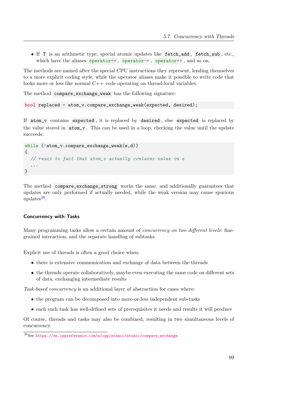• If T is an arithmetic type, special atomic updates like fetch\_add , fetch\_sub , etc., which have the aliases operator+=, operator-=, operator++, and so on.

The methods are named after the special CPU instructions they represent, lending themselves to a more explicit coding style, while the operator aliases make it possible to write code that looks more or less like normal C++ code operating on thread-local variables.

The method compare\_exchange\_weak has the following signature:

```
bool replaced = atom_v.compare_exchange_weak(expected, desired);
```
If atom\_v contains expected , it is replaced by desired , else expected is replaced by the value stored in atom\_v . This can be used in a loop, checking the value until the update succeeds:

```
while (!atom_v.compare_exchange_weak(e,d))
{
  // react to fact that atom_v actually contains value in e
  ...
}
```
The method compare\_exchange\_strong works the same, and additionally guarantees that updates are only performed if actually needed, while the weak version may cause spurious  $\text{updates}^{\text{26}}$  $\text{updates}^{\text{26}}$  $\text{updates}^{\text{26}}$ .

#### Concurrency with Tasks

Many programming tasks allow a certain amount of *concurrency on two different levels*: finegrained interaction, and the separate handling of subtasks.

Explicit use of threads is often a good choice when:

- $\bullet\,$  there is extensive communication and exchange of data between the threads
- the threads operate collaboratively, maybe even executing the same code on different sets of data, exchanging intermediate results

Task-based concurrency is an additional layer of abstraction for cases where:

- the program can be decomposed into more-or-less independent sub-tasks
- each such task has well-defined sets of prerequisites it needs and results it will produce

Of course, threads and tasks may also be combined, resulting in two simultaneous levels of concurrency.

<span id="page-100-0"></span><sup>26</sup>See [https://en.cppreference.com/w/cpp/atomic/atomic/compare\\_exchange](https://en.cppreference.com/w/cpp/atomic/atomic/compare_exchange)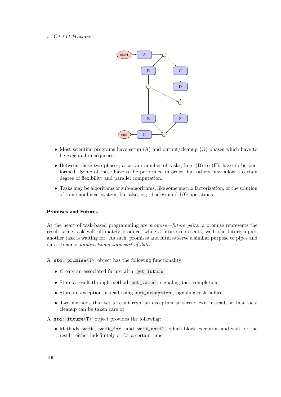

- Most scientific programs have setup  $(A)$  and output/cleanup  $(G)$  phases which have to be executed in sequence.
- Between these two phases, a certain number of tasks, here  $(B)$  to  $(F)$ , have to be performed. Some of these have to be performed in order, but others may allow a certain degree of flexibility and parallel computation.
- Tasks may be algorithms or sub-algorithms, like some matrix factorization, or the solution of some nonlinear system, but also, e.g., background I/O operations.

#### Promises and Futures

At the heart of task-based programming are *promise—future pairs*: a promise represents the result some task will ultimately produce, while a future represents, well, the future inputs another task is waiting for. As such, promises and futures serve a similar purpose to pipes and data streams: unidirectional transport of data.

A std::promise<T> object has the following functionality:

- Create an associated future with get\_future
- Store a result through method set\_value , signaling task completion
- Store an exception instead using set\_exception , signaling task failure
- Two methods that set a result resp. an exception at thread exit instead, so that local cleanup can be taken care of

A std::future<T> object provides the following:

• Methods wait , wait\_for , and wait\_until , which block execution and wait for the result, either indefinitely or for a certain time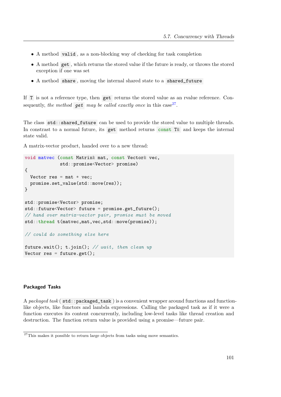- A method valid , as a non-blocking way of checking for task completion
- A method get , which returns the stored value if the future is ready, or throws the stored exception if one was set
- A method share , moving the internal shared state to a shared\_future

If T is not a reference type, then get returns the stored value as an rvalue reference. Consequently, the method **get** may be called exactly once in this case<sup>[27](#page-102-0)</sup>.

The class std::shared\_future can be used to provide the stored value to multiple threads. In constrast to a normal future, its get method returns const  $T\&$  and keeps the internal state valid.

A matrix-vector product, handed over to a new thread:

```
void matvec (const Matrix& mat, const Vector& vec,
             std::promise<Vector> promise)
{
  Vector res = mat * vec;promise.set_value(std::move(res));
}
std::promise<Vector> promise;
std::future<Vector> future = promise.get_future();
// hand over matrix-vector pair, promise must be moved
std::thread t(matvec,mat,vec,std::move(promise));
// could do something else here
future.wait(); t.join(); // wait, then clean up
Vector res = future.get();
```
### Packaged Tasks

A packaged task ( $stat:spackaged\_task$ ) is a convenient wrapper around functions and functionlike objects, like functors and lambda expressions. Calling the packaged task as if it were a function executes its content concurrently, including low-level tasks like thread creation and destruction. The function return value is provided using a promise—future pair.

<span id="page-102-0"></span><sup>&</sup>lt;sup>27</sup>This makes it possible to return large objects from tasks using move semantics.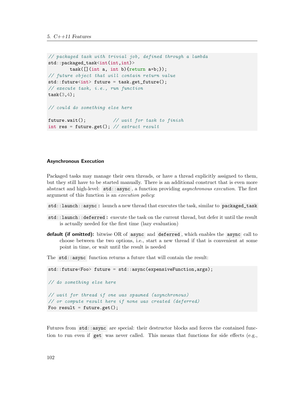```
// packaged task with trivial job, defined through a lambda
std::packaged_task<int(int,int)>
        task([](int a, int b){return a*b;});
// future object that will contain return value
std::future<int> future = task.get_future();
// execute task, i.e., run function
task(3,4);// could do something else here
future.wait(); \frac{1}{2} // wait for task to finish
```
int res = future.get(); //  $ext{extract}$   $result$ 

#### Asynchronous Execution

Packaged tasks may manage their own threads, or have a thread explicitly assigned to them, but they still have to be started manually. There is an additional construct that is even more abstract and high-level:  $std:$ : async, a function providing *asynchronous execution*. The first argument of this function is an execution policy:

- std::launch::async : launch a new thread that executes the task, similar to packaged\_task
- std::launch::deferred : execute the task on the current thread, but defer it until the result is actually needed for the first time (lazy evaluation)
- default (if omitted): bitwise OR of async and deferred, which enables the async call to choose between the two options, i.e., start a new thread if that is convenient at some point in time, or wait until the result is needed
- The std::async function returns a future that will contain the result:

```
std::future<Foo> future = std::async(expensiveFunction,args);
// do something else here
// wait for thread if one was spawned (asynchronous)
// or compute result here if none was created (deferred)
Foo result = future.get();
```
Futures from std::async are special: their destructor blocks and forces the contained function to run even if get was never called. This means that functions for side effects (e.g.,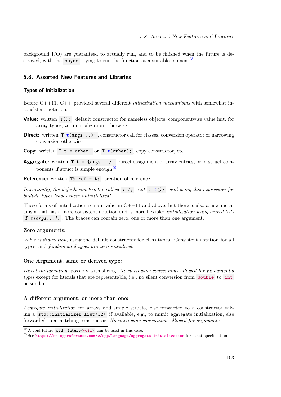background  $I/O$ ) are guaranteed to actually run, and to be finished when the future is de-stroyed, with the async trying to run the function at a suitable moment<sup>[28](#page-104-0)</sup>.

### 5.8. Assorted New Features and Libraries

# Types of Initialization

Before  $C_{++11}$ ,  $C_{++}$  provided several different *initialization mechanisms* with somewhat inconsistent notation:

- Value: written  $T()$ ;, default constructor for nameless objects, componentwise value init. for array types, zero-initialization otherwise
- Direct: written T t(args...); , constructor call for classes, conversion operator or narrowing conversion otherwise
- **Copy:** written  $T \t = \text{other}$ ; or  $T \t \text{other}$ ;  $\text{copy}$  constructor, etc.
- Aggregate: written  $T \t = \{args... \}$ ; direct assignment of array entries, or of struct components if struct is simple enough $^{29}$  $^{29}$  $^{29}$

**Reference:** written  $T\&$  ref = t; , creation of reference

Importantly, the default constructor call is  $T t$ ; not  $T t()$ ; and using this expression for built-in types leaves them uninitialized!

These forms of initialization remain valid in  $C++11$  and above, but there is also a new mechanism that has a more consistent notation and is more flexible: initialization using braced lists T  $t$ {args...}; The braces can contain zero, one or more than one argument.

#### Zero arguments:

Value initialization, using the default constructor for class types. Consistent notation for all types, and fundamental types are zero-initialized.

#### One Argument, same or derived type:

Direct initialization, possibly with slicing. No narrowing conversions allowed for fundamental types except for literals that are representable, i.e., no silent conversion from double to int or similar.

#### A different argument, or more than one:

Aggregate initialization for arrays and simple structs, else forwarded to a constructor taking a std::initializer\_list<T2> if available, e.g., to mimic aggregate initialization, else forwarded to a matching constructor. No narrowing conversions allowed for arguments.

<span id="page-104-0"></span> $\overline{^{28}$ A void future std::future<void> can be used in this case.

<span id="page-104-1"></span><sup>29</sup>See [https://en.cppreference.com/w/cpp/language/aggregate\\_initialization](https://en.cppreference.com/w/cpp/language/aggregate_initialization) for exact specification.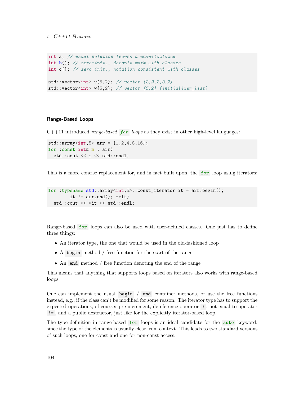```
int a; // usual notation leaves a uninitialized
int b(); // zero-init., doesn't work with classes
int c{}; // zero-init., notation consistent with classes
std::vector<sub>int</sub> > v(5.2); // vector [2.2.2.2.2]std::vector<int>W{5,2}; // vector [5,2] (initializer_list)
```
#### Range-Based Loops

 $C++11$  introduced *range-based* for loops as they exist in other high-level languages:

```
std::array<sub>1</sub>, 5> arr = {1, 2, 4, 8, 16};for (const int& m : arr)
  std::cout << m << std::endl;
```
This is a more concise replacement for, and in fact built upon, the  $for$  loop using iterators:

```
for (typename std::array<int.5>::const\_iterator it = arr.begin();
         it !=\text{arr.end}(); ++\text{it})
  std::cout << *it << std::endl;
```
Range-based for loops can also be used with user-defined classes. One just has to define three things:

- An iterator type, the one that would be used in the old-fashioned loop
- A begin method / free function for the start of the range
- An end method / free function denoting the end of the range

This means that anything that supports loops based on iterators also works with range-based loops.

One can implement the usual begin / end container methods, or use the free functions instead, e.g., if the class can't be modified for some reason. The iterator type has to support the expected operations, of course: pre-increment, dereference operator \* , not-equal-to operator != , and a public destructor, just like for the explicitly iterator-based loop.

The type definition in range-based for loops is an ideal candidate for the **auto** keyword, since the type of the elements is usually clear from context. This leads to two standard versions of such loops, one for const and one for non-const access: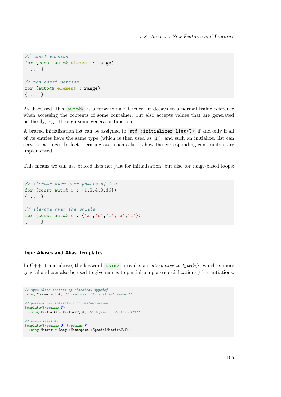```
// const version
for (const auto& element : range)
{ ... }
// non-const version
for (auto&& element : range)
{ ... }
```
As discussed, this  $\text{auto} \& \text{is a forwarding reference: it decays to a normal value reference}$ when accessing the contents of some container, but also accepts values that are generated on-the-fly, e.g., through some generator function.

A braced initialization list can be assigned to std::initializer\_list<T> if and only if all of its entries have the same type (which is then used as T ), and such an initializer list can serve as a range. In fact, iterating over such a list is how the corresponding constructors are implemented.

This means we can use braced lists not just for initialization, but also for range-based loops:

```
// iterate over some powers of two
for (const autox = \{1, 2, 4, 8, 16\})
{ ... }
// iterate over the vowels
for (const auto& c : {'a','e','i','o','u'})
{ ... }
```
### Type Aliases and Alias Templates

In  $C++11$  and above, the keyword using provides an *alternative to typedefs*, which is more general and can also be used to give names to partial template specializations / instantiations.

```
// type alias instead of classical typedef
using Number = int; // replaces ``typedef int Number''
// partial specialization or instantiation
template<typename T>
 using Vector3D = Vector<T,3>; // defines ``Vector3D<T>''
// alias template
template<typename U, typename V>
  using Matrix = Long::Namespace::SpecialMatrix<U,V>;
```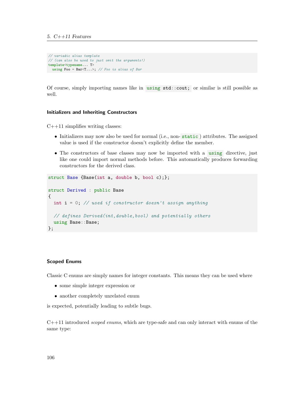```
// variadic alias template
// (can also be used to just omit the arguments!)
template<typename... T>
 using \text{Foo} = \text{Bar}\langle \text{T} \dots \rangle; // Foo is alias of Bar
```
Of course, simply importing names like in using std::cout; or similar is still possible as well.

#### Initializers and Inheriting Constructors

 $C++11$  simplifies writing classes:

- Initializers may now also be used for normal (i.e., non-static) attributes. The assigned value is used if the constructor doesn't explicitly define the member.
- The constructors of base classes may now be imported with a using directive, just like one could import normal methods before. This automatically produces forwarding constructors for the derived class.

```
struct Base {Base(int a, double b, bool c);};
struct Derived : public Base
{
  int i = 0; // used if constructor doesn't assign anything
  // defines Derived(int,double,bool) and potentially others
  using Base::Base;
};
```
#### Scoped Enums

Classic C enums are simply names for integer constants. This means they can be used where

- some simple integer expression or
- another completely unrelated enum

is expected, potentially leading to subtle bugs.

 $C++11$  introduced *scoped enums*, which are type-safe and can only interact with enums of the same type: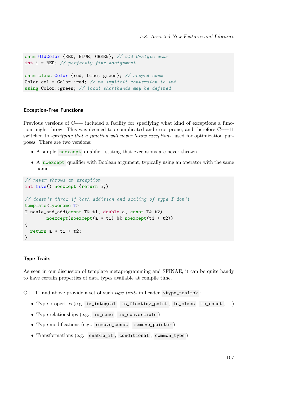```
enum OldColor {RED, BLUE, GREEN}; // old C-style enum
int i = RED; // perfectly fine assignment
enum class Color {red, blue, green}; // scoped enum
Color col = Color:: red; // no implicit conversion to int
using Color:: green; // local shorthands may be defined
```
### Exception-Free Functions

Previous versions of C++ included a facility for specifying what kind of exceptions a function might throw. This was deemed too complicated and error-prone, and therefore  $C++11$ switched to *specifying that a function will never throw exceptions*, used for optimization purposes. There are two versions:

- A simple noexcept qualifier, stating that exceptions are never thrown
- A noexcept qualifier with Boolean argument, typically using an operator with the same name

```
// never throws an exception
int five() noexcept {return 5;}
// doesn't throw if both addition and scaling of type T don't
template<typename T>
T scale_and_add(const T& t1, double a, const T& t2)
        noexcept(noexcept(a * t1) && noexcept(t1 + t2))
{
  return a * t1 + t2;
}
```
### Type Traits

As seen in our discussion of template metaprogramming and SFINAE, it can be quite handy to have certain properties of data types available at compile time.

 $C++11$  and above provide a set of such type traits in header  $\langle \text{type\_traits} \rangle$ :

- Type properties (e.g., is\_integral , is\_floating\_point , is\_class , is\_const ,. . . )
- Type relationships (e.g., is\_same , is\_convertible )
- Type modifications (e.g., remove\_const , remove\_pointer )
- Transformations (e.g., enable\_if , conditional , common\_type )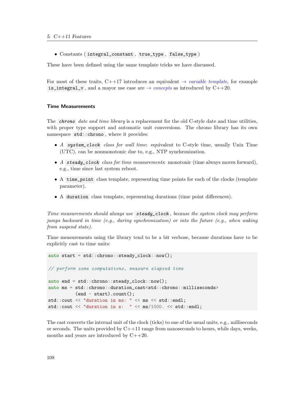• Constants ( integral\_constant , true\_type , false\_type )

These have been defined using the same template tricks we have discussed.

For most of these traits, C++17 introduces an equivalent  $\rightarrow$  [variable template](#page-114-0), for example is\_integral\_v, and a mayor use case are  $\rightarrow$  [concepts](#page-127-0) as introduced by C++20.

#### Time Measurements

The *chrono* date and time library is a replacement for the old C-style date and time utilities, with proper type support and automatic unit conversions. The chrono library has its own namespace std::chrono , where it provides:

- A system\_clock class for wall time: equivalent to C-style time, usually Unix Time (UTC), can be nonmonotonic due to, e.g., NTP synchronization.
- A steady\_clock class for time measurements: monotonic (time always moves forward), e.g., time since last system reboot.
- A time\_point class template, representing time points for each of the clocks (template parameter).
- A duration class template, representing durations (time point differences).

Time measurements should always use steady\_clock , because the system clock may perform jumps backward in time (e.g., during synchronization) or into the future (e.g., when waking from suspend state).

Time measurements using the library tend to be a bit verbose, because durations have to be explicitly cast to time units:

```
auto start = std::chrono::steady_clock::now();
// perform some computations, measure elapsed time
auto end = std::chrono::steady_clock::now();
auto ms = std::chrono::duration_cast<std::chrono::milliseconds>
          (end - start).count();
std::cout << "duration in ms: " << ms << std::endl;
std::cout << "duration in s: " << ms/1000. << std::endl;
```
The cast converts the internal unit of the clock (ticks) to one of the usual units, e.g., milliseconds or seconds. The units provided by  $C+11$  range from nanoseconds to hours, while days, weeks, months and years are introduced by C++20.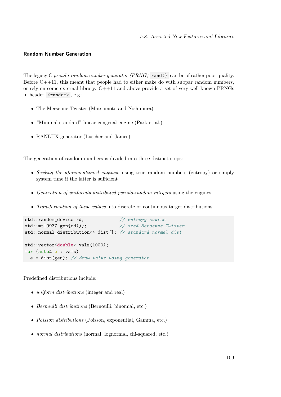### Random Number Generation

The legacy C pseudo-random number generator (PRNG) rand() can be of rather poor quality. Before  $C_{+}+11$ , this meant that people had to either make do with subpar random numbers, or rely on some external library. C++11 and above provide a set of very well-known PRNGs in header <random>, e.g.:

- The Mersenne Twister (Matsumoto and Nishimura)
- "Minimal standard" linear congrual engine (Park et al.)
- RANLUX generator (Lüscher and James)

The generation of random numbers is divided into three distinct steps:

- Seeding the aforementioned engines, using true random numbers (entropy) or simply system time if the latter is sufficient
- Generation of uniformly distributed pseudo-random integers using the engines
- Transformation of these values into discrete or continuous target distributions

```
std::random_device rd; // entropy source
std::mt19937 gen{rd()}; // seed Mersenne Twister
std::normal_distribution <> dist{}; // standard normal dist
std::vector<double> vals(1000);
for (auto& e : vals)
 e = dist(gen); // draw value using generator
```
Predefined distributions include:

- *uniform distributions* (integer and real)
- Bernoulli distributions (Bernoulli, binomial, etc.)
- *Poisson distributions* (Poisson, exponential, Gamma, etc.)
- normal distributions (normal, lognormal, chi-squared, etc.)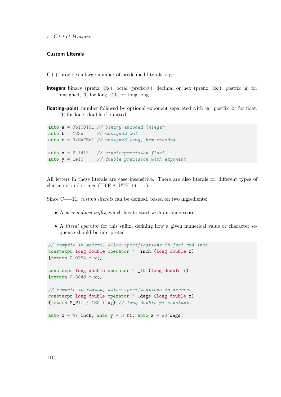### Custom Literals

C++ provides a large number of predefined literals, e.g.:

integers binary (prefix  $\circ$ b), octal (prefix  $\circ$ ), decimal or hex (prefix  $\circ$ x), postfix u for unsigned, l for long, ll for long long

floating-point number followed by optional exponent separated with e, postfix f for float, l for long, double if omitted

auto  $a = 0b100101$  // binary encoded integer auto  $b = 123u$  // unsigned int auto  $c = 0xCAFEul$  // unsigned long, hex encoded auto  $x = 3.141f$  // single-precision float auto  $y = 1e10$  // double-precision with exponent

All letters in these literals are case insensitive. There are also literals for different types of characters and strings (UTF-8, UTF-16,  $\dots$ ).

Since C++11, *custom literals* can be defined, based on two ingredients:

- A user-defined suffix, which has to start with an underscore
- A literal operator for this suffix, defining how a given numerical value or character sequence should be interpreted

```
// compute in meters, allow specifications in foot and inch
constexpr long double operator"" _inch (long double x)
{return 0.0254 * x;}
constexpr long double operator"" _ft (long double x)
{return 0.3048 * x;}
// compute in radian, allow specifications in degrees
constexpr long double operator"" _degs (long double x)
{return M_PII / 180 * x;} // long double pi constantauto x = 47_inch; auto y = 3_ft; auto z = 90_degs;
```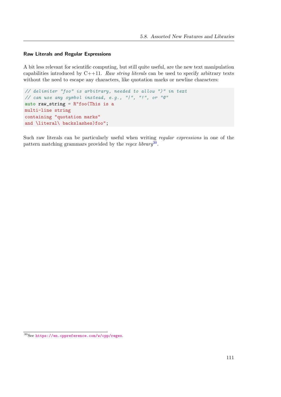### Raw Literals and Regular Expressions

A bit less relevant for scientific computing, but still quite useful, are the new text manipulation capabilities introduced by  $C++11$ . Raw string literals can be used to specify arbitrary texts without the need to escape any characters, like quotation marks or newline characters:

```
// delimiter "foo" is arbitrary, needed to allow ")" in text
// can use any symbol instead, e.g., "|", "!", or "@"
auto raw_string = R"foo(This is a
multi-line string
containing "quotation marks"
and \literal\ backslashes)foo";
```
Such raw literals can be particularly useful when writing regular expressions in one of the pattern matching grammars provided by the regex library<sup>[30](#page-112-0)</sup>.

<span id="page-112-0"></span><sup>30</sup>See <https://en.cppreference.com/w/cpp/regex>.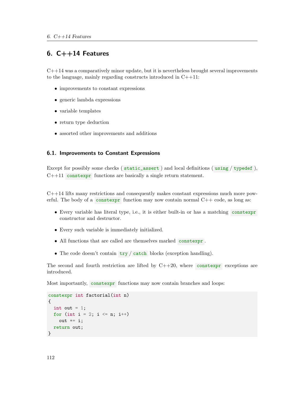# 6.  $C++14$  Features

 $C++14$  was a comparatively minor update, but it is nevertheless brought several improvements to the language, mainly regarding constructs introduced in C++11:

- improvements to constant expressions
- generic lambda expressions
- variable templates
- return type deduction
- $\bullet~$  assorted other improvements and additions

# 6.1. Improvements to Constant Expressions

Except for possibly some checks ( static\_assert ) and local definitions ( using / typedef ),  $C++11$  constexpr functions are basically a single return statement.

C++14 lifts many restrictions and consequently makes constant expressions much more powerful. The body of a constexpr function may now contain normal  $C++$  code, as long as:

- Every variable has literal type, i.e., it is either built-in or has a matching constexpr constructor and destructor.
- Every such variable is immediately initialized.
- All functions that are called are themselves marked constexpr .
- The code doesn't contain  $try / catch$  blocks (exception handling).

The second and fourth restriction are lifted by  $C++20$ , where constexpr exceptions are introduced.

Most importantly, constexpr functions may now contain branches and loops:

```
constexpr int factorial(int n)
{
  int out = 1;
  for (int i = 2; i \le n; i++)
    out *= i;return out;
}
```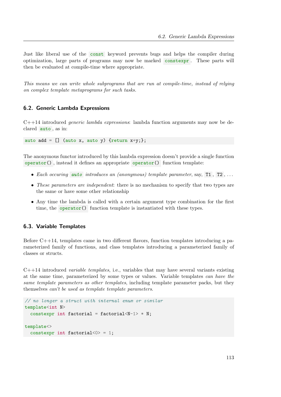Just like liberal use of the const keyword prevents bugs and helps the compiler during optimization, large parts of programs may now be marked constexpr . These parts will then be evaluated at compile-time where appropriate.

This means we can write whole subprograms that are run at compile-time, instead of relying on complex template metaprograms for such tasks.

### 6.2. Generic Lambda Expressions

 $C++14$  introduced *generic lambda expressions*: lambda function arguments may now be declared auto , as in:

auto add =  $[]$  (auto x, auto y) {return x+y;};

The anonymous functor introduced by this lambda expression doesn't provide a single function  $operator()$ , instead it defines an appropriate operator $()$  function template:

- Each occuring auto introduces an (anonymous) template parameter, say,  $T1$ ,  $T2$ ,...
- These parameters are independent: there is no mechanism to specify that two types are the same or have some other relationship
- Any time the lambda is called with a certain argument type combination for the first time, the **operator**() function template is instantiated with these types.

# 6.3. Variable Templates

Before  $C_{+1}+14$ , templates came in two different flavors, function templates introducing a parameterized family of functions, and class templates introducing a parameterized family of classes or structs.

<span id="page-114-0"></span> $C++14$  introduced *variable templates*, i.e., variables that may have several variants existing at the same time, parameterized by some types or values. Variable templates can have the same template parameters as other templates, including template parameter packs, but they themselves can't be used as template template parameters.

```
// no longer a struct with internal enum or similar
template<int N>
  constexpr int factorial = factorial<N-1> * N;
template<>
  constexpr int factorial\langle 0 \rangle = 1;
```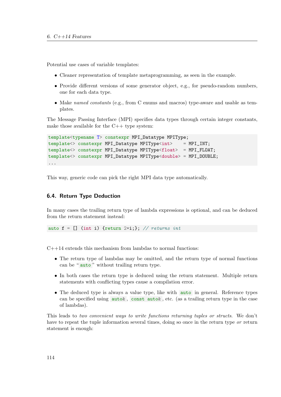Potential use cases of variable templates:

- Cleaner representation of template metaprogramming, as seen in the example.
- Provide different versions of some generator object, e.g., for pseudo-random numbers, one for each data type.
- Make named constants (e.g., from C enums and macros) type-aware and usable as templates.

The Message Passing Interface (MPI) specifies data types through certain integer constants, make those available for the  $C++$  type system:

```
template<typename T> constexpr MPI_Datatype MPIType;
template<> constexpr MPI_Datatype MPIType<int> = MPI_INT;
template<> constexpr MPI_Datatype MPIType<float> = MPI_FLOAT;
template<> constexpr MPI_Datatype MPIType<double> = MPI_DOUBLE;
...
```
This way, generic code can pick the right MPI data type automatically.

### 6.4. Return Type Deduction

In many cases the trailing return type of lambda expressions is optional, and can be deduced from the return statement instead:

auto  $f = []$  (int i) {return 2\*i;}; // returns int

 $C++14$  extends this mechanism from lambdas to normal functions:

- The return type of lambdas may be omitted, and the return type of normal functions can be " auto " without trailing return type.
- In both cases the return type is deduced using the return statement. Multiple return statements with conflicting types cause a compilation error.
- The deduced type is always a value type, like with **auto** in general. Reference types can be specified using  $\text{auto}\&\,$ , const  $\text{auto}\&\,$ , etc. (as a trailing return type in the case of lambdas).

This leads to two convenient ways to write functions returning tuples or structs. We don't have to repeat the tuple information several times, doing so once in the return type or return statement is enough: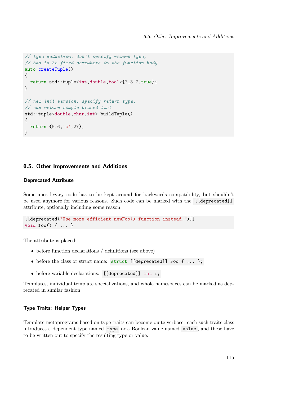```
// type deduction: don't specify return type,
// has to be fixed somewhere in the function body
auto createTuple()
{
  return std::tuple<int,double,bool>{7,3.2,true};
}
// new init version: specify return type,
// can return simple braced list
std::tuple<double,char,int> buildTuple()
{
  return {5.6,'c',27};
}
```
### 6.5. Other Improvements and Additions

### Deprecated Attribute

Sometimes legacy code has to be kept around for backwards compatibility, but shouldn't be used anymore for various reasons. Such code can be marked with the [[deprecated]] attribute, optionally including some reason:

```
[[deprecated("Use more efficient newFoo() function instead.")]]
void foo() { ... }
```
The attribute is placed:

- before function declarations / definitions (see above)
- before the class or struct name: struct [[deprecated]] Foo { ... };
- before variable declarations: [[deprecated]] int i;

Templates, individual template specializations, and whole namespaces can be marked as deprecated in similar fashion.

### Type Traits: Helper Types

Template metaprograms based on type traits can become quite verbose: each such traits class introduces a dependent type named type or a Boolean value named value , and these have to be written out to specify the resulting type or value.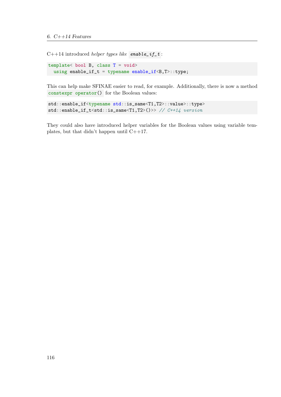$C++14$  introduced *helper types like* enable\_if\_t :

template< bool B, class T = void> using enable\_if\_t = typename enable\_if<B,T>::type;

This can help make SFINAE easier to read, for example. Additionally, there is now a method constexpr operator() for the Boolean values:

```
std::enable_if<typename std::is_same<T1,T2>::value>::type>
std::enable_if_t<std::is_same<T1,T2>()>> // C++14 version
```
They could also have introduced helper variables for the Boolean values using variable templates, but that didn't happen until C++17.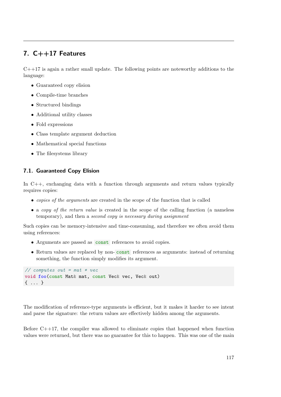# 7. C++17 Features

 $C++17$  is again a rather small update. The following points are noteworthy additions to the language:

- Guaranteed copy elision
- Compile-time branches
- Structured bindings
- Additional utility classes
- Fold expressions
- Class template argument deduction
- Mathematical special functions
- The filesystems library

# 7.1. Guaranteed Copy Elision

In  $C_{++}$ , exchanging data with a function through arguments and return values typically requires copies:

- copies of the arguments are created in the scope of the function that is called
- a copy of the return value is created in the scope of the calling function (a nameless temporary), and then a second copy is necessary during assignment

Such copies can be memory-intensive and time-consuming, and therefore we often avoid them using references:

- Arguments are passed as const references to avoid copies.
- Return values are replaced by non- const references as arguments: instead of returning something, the function simply modifies its argument.

```
// computes out = mat * vec
void foo(const Mat& mat, const Vec& vec, Vec& out)
{ ... }
```
The modification of reference-type arguments is efficient, but it makes it harder to see intent and parse the signature: the return values are effectively hidden among the arguments.

Before  $C_{+17}$ , the compiler was allowed to eliminate copies that happened when function values were returned, but there was no guarantee for this to happen. This was one of the main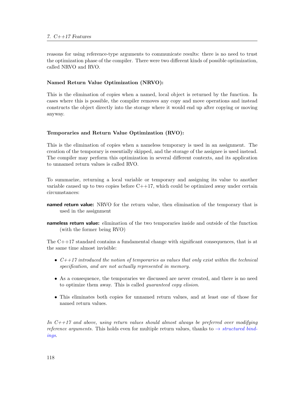reasons for using reference-type arguments to communicate results: there is no need to trust the optimization phase of the compiler. There were two different kinds of possible optimization, called NRVO and RVO.

### Named Return Value Optimization (NRVO):

This is the elimination of copies when a named, local object is returned by the function. In cases where this is possible, the compiler removes any copy and move operations and instead constructs the object directly into the storage where it would end up after copying or moving anyway.

### Temporaries and Return Value Optimization (RVO):

This is the elimination of copies when a nameless temporary is used in an assignment. The creation of the temporary is essentially skipped, and the storage of the assignee is used instead. The compiler may perform this optimization in several different contexts, and its application to unnamed return values is called RVO.

To summarize, returning a local variable or temporary and assigning its value to another variable caused up to two copies before  $C++17$ , which could be optimized away under certain circumstances:

- **named return value:** NRVO for the return value, then elimination of the temporary that is used in the assignment
- nameless return value: elimination of the two temporaries inside and outside of the function (with the former being RVO)

The  $C++17$  standard contains a fundamental change with significant consequences, that is at the same time almost invisible:

- $C++17$  introduced the notion of temporaries as values that only exist within the technical specification, and are not actually represented in memory.
- As a consequence, the temporaries we discussed are never created, and there is no need to optimize them away. This is called guaranteed copy elision.
- This eliminates both copies for unnamed return values, and at least one of those for named return values.

In  $C+17$  and above, using return values should almost always be preferred over modifying reference arguments. This holds even for multiple return values, thanks to  $\rightarrow$  [structured bind](#page-121-0)[ings](#page-121-0).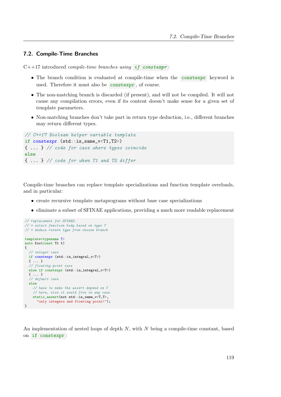### 7.2. Compile-Time Branches

 $C++17$  introduced *compile-time branches using if constexpr*:

- The branch condition is evaluated at compile-time when the constexpr keyword is used. Therefore it must also be constexpr , of course.
- The non-matching branch is discarded (if present), and will not be compiled. It will not cause any compilation errors, even if its content doesn't make sense for a given set of template parameters.
- Non-matching branches don't take part in return type deduction, i.e., different branches may return different types.

```
// C++17 Boolean helper variable template
if constexpr (std::is_same_v<T1,T2>)
{ ... } // code for case where types coincide
else
{ ... } // code for when T1 and T2 differ
```
Compile-time branches can replace template specializations and function template overloads, and in particular:

- create recursive template metaprograms without base case specializations
- eliminate a subset of SFINAE applications, providing a much more readable replacement

```
// replacement for SFINAE:
// * select function body based on type T
// * deduce return type from chosen branch
template<typename T>
auto foo(const T& t)
{
  // integer case
 if constexpr (std::is_integral_v<T>)
  { ... }
 // floating point case
 else if constexpr (std::is_integral_v<T>)
  { ... }
  // default case
  else
    // have to make the assert depend on T
    // here, else it would fire in any case
   static_assert(not std::is_same_v<T,T>,
      "only integers and floating point!");
}
```
An implementation of nested loops of depth  $N$ , with  $N$  being a compile-time constant, based on if constexpr :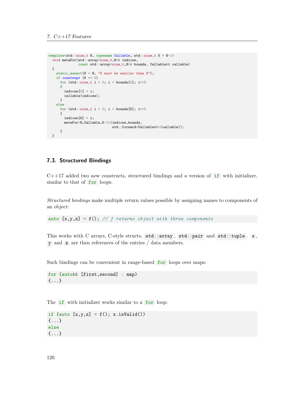```
template<std::size_t N, typename Callable, std::size_t K = N-1>
 void metaFor(std::array<size_t,N>& indices,
              const std::array<size_t,N>& bounds, Callable&& callable)
 {
   static_assert(K < N, "K must be smaller than N");
   if constexpr (K == 0)
     for (std.:size_t i = 0; i < bounds[0]; i++){
       indices[0] = i;callable(indices);
     }
    else
      for (std::size_t i = 0; i < bounds[K]; i++){
       indices[K] = i;metaFor<N,Callable,K-1>(indices,bounds,
                                std::forward<Callable&&>(callable));
      }
  }
```
# 7.3. Structured Bindings

 $C++17$  added two new constructs, structured bindings and a version of  $if$  with initializer, similar to that of for loops.

<span id="page-121-0"></span>Structured bindings make multiple return values possible by assigning names to components of an object:

auto  $[x,y,z] = f()$ ; // f returns object with three components

This works with C arrays, C-style structs, std::array, std::pair and std::tuple. x, y and z are then references of the entries / data members.

Such bindings can be convenient in range-based for loops over maps:

for (auto&& [first,second] : map) {...}

The if with initializer works similar to a for loop:

if (auto  $[x,y,z] = f()$ ; x.isValid()) {...} else {...}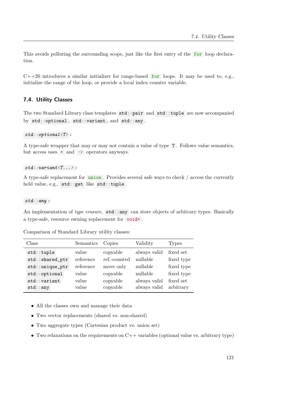This avoids polluting the surrounding scope, just like the first entry of the for loop declaration.

 $C++20$  introduces a similar initializer for range-based for loops. It may be used to, e.g., initialize the range of the loop, or provide a local index counter variable.

# 7.4. Utility Classes

The two Standard Library class templates std::pair and std::tuple are now accompanied by std::optional , std::variant , and std::any .

#### $std:optional <sub>T</sub>$ :

A type-safe wrapper that may or may not contain a value of type T . Follows value semantics, but access uses  $*$  and  $\rightarrow$  operators anyways.

#### $std::variant < T...$

A type-safe replacement for union . Provides several safe ways to check / access the currently held value, e.g., std::get like std::tuple .

#### $std::any$ :

An implementation of type erasure, std::any can store objects of arbitrary types. Basically a type-safe, resource owning replacement for void\* .

Comparison of Standard Library utility classes:

| Class           | Semantics | Copies       | Validity     | <b>Types</b> |
|-----------------|-----------|--------------|--------------|--------------|
| std::tuple      | value     | copyable     | always valid | fixed set    |
| std::shared_ptr | reference | ref.-counted | nullable     | fixed type   |
| std::unique_ptr | reference | move only    | nullable     | fixed type   |
| std::optional   | value     | copyable     | nullable     | fixed type   |
| $std$ : variant | value     | copyable     | always valid | fixed set    |
| $std:$ : any    | value     | copyable     | always valid | arbitrary    |

- All the classes own and manage their data
- Two vector replacements (shared vs. non-shared)
- Two aggregate types (Cartesian product vs. union set)
- Two relaxations on the requirements on  $C++$  variables (optional value vs. arbitrary type)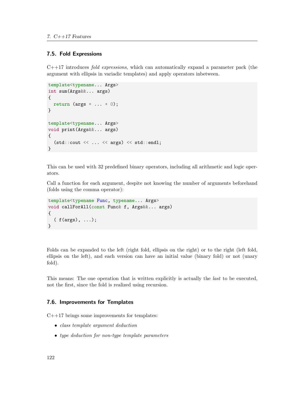### 7.5. Fold Expressions

 $C++17$  introduces *fold expressions*, which can automatically expand a parameter pack (the argument with ellipsis in variadic templates) and apply operators inbetween.

```
template<typename... Args>
int sum(Args&&... args)
{
  return (args + \ldots + 0);
}
template<typename... Args>
void print(Args&&... args)
{
  (stat::cut << ... << args) << std::end1;}
```
This can be used with 32 predefined binary operators, including all arithmetic and logic operators.

Call a function for each argument, despite not knowing the number of arguments beforehand (folds using the comma operator):

```
template<typename Func, typename... Args>
void callForAll(const Func& f, Args&&... args)
{
  ( f(args), ...);
}
```
Folds can be expanded to the left (right fold, ellipsis on the right) or to the right (left fold, ellipsis on the left), and each version can have an initial value (binary fold) or not (unary fold).

This means: The one operation that is written explicitly is actually the *last* to be executed, not the first, since the fold is realized using recursion.

### 7.6. Improvements for Templates

C++17 brings some improvements for templates:

- class template argument deduction
- type deduction for non-type template parameters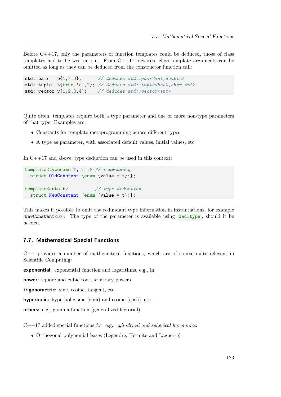Before  $C_{+17}$ , only the parameters of function templates could be deduced, those of class templates had to be written out. From  $C++17$  onwards, class template arguments can be omitted as long as they can be deduced from the constructor function call:

```
std::pair pf1,7.3; // deduces std::pair<int, double>std::tuple t{true,'c',2}; // deduces std::tuple<br/>bool, char, int>
std::vector v{1,2,3,4}; // deduces std::vector<int>
```
Quite often, templates require both a type parameter and one or more non-type parameters of that type. Examples are:

- Constants for template metaprogramming across different types
- A type as parameter, with associated default values, initial values, etc.

In C++17 and above, type deduction can be used in this context:

```
template<typename T, T t> // redundancy
  struct OldConstant {enum {value = t};};
template<auto t> // type deduction
  struct NewConstant {enum {value = t};};
```
This makes it possible to omit the redundant type information in instantiations, for example NewConstant<5> . The type of the parameter is available using decltype , should it be needed.

### 7.7. Mathematical Special Functions

C++ provides a number of mathematical functions, which are of course quite relevent in Scientific Computing:

exponential: exponential function and logarithms, e.g., ln

power: square and cubic root, arbitrary powers

trigonometric: sine, cosine, tangent, etc.

hyperbolic: hyperbolic sine (sinh) and cosine (cosh), etc.

others: e.g., gamma function (generalized factorial)

 $C++17$  added special functions for, e.g., *cylindrical and spherical harmonics*:

• Orthogonal polynomial bases (Legendre, Hermite and Laguerre)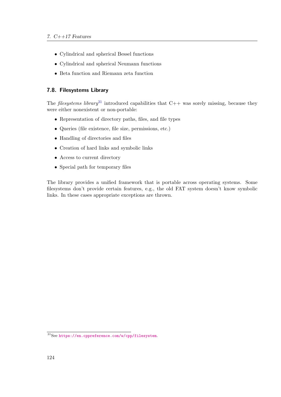- Cylindrical and spherical Bessel functions
- Cylindrical and spherical Neumann functions
- Beta function and Riemann zeta function

# 7.8. Filesystems Library

The filesystems library<sup>[31](#page-125-0)</sup> introduced capabilities that  $C++$  was sorely missing, because they were either nonexistent or non-portable:

- Representation of directory paths, files, and file types
- Queries (file existence, file size, permissions, etc.)
- Handling of directories and files
- Creation of hard links and symbolic links
- Access to current directory
- Special path for temporary files

The library provides a unified framework that is portable across operating systems. Some filesystems don't provide certain features, e.g., the old FAT system doesn't know symbolic links. In these cases appropriate exceptions are thrown.

<span id="page-125-0"></span><sup>31</sup>See <https://en.cppreference.com/w/cpp/filesystem>.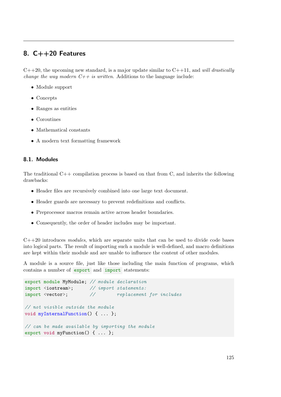# 8. C++20 Features

 $C++20$ , the upcoming new standard, is a major update similar to  $C++11$ , and *will drastically change the way modern*  $C++$  *is written.* Additions to the language include:

- Module support
- Concepts
- Ranges as entities
- Coroutines
- Mathematical constants
- A modern text formatting framework

### 8.1. Modules

The traditional  $C++$  compilation process is based on that from C, and inherits the following drawbacks:

- Header files are recursively combined into one large text document.
- Header guards are necessary to prevent redefinitions and conflicts.
- Preprocessor macros remain active across header boundaries.
- Consequently, the order of header includes may be important.

 $C++20$  introduces modules, which are separate units that can be used to divide code bases into logical parts. The result of importing such a module is well-defined, and macro definitions are kept within their module and are unable to influence the content of other modules.

A module is a source file, just like those including the main function of programs, which contains a number of export and import statements:

```
export module MyModule; // module declaration
import <iostream>; // import statements:
import <vector>; \frac{1}{2} replacement for includes
// not visible outside the module
void myInternalFunction() { ... };
// can be made available by importing the module
export void myFunction() { ... };
```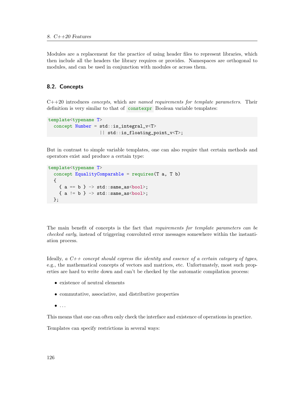Modules are a replacement for the practice of using header files to represent libraries, which then include all the headers the library requires or provides. Namespaces are orthogonal to modules, and can be used in conjunction with modules or across them.

## 8.2. Concepts

<span id="page-127-0"></span> $C++20$  introduces *concepts*, which are *named requirements for template parameters*. Their definition is very similar to that of constexpr Boolean variable templates:

```
template<typename T>
  concept Number = std::is_integral_v<T>
                   || std::is_floating_point_v<T>;
```
But in contrast to simple variable templates, one can also require that certain methods and operators exist and produce a certain type:

```
template<typename T>
  concept EqualityComparable = requires(T a, T b)
  {
    { a = b } \rightarrow std::same_as<bool>};{ a := b } \rightarrow std::same_as<bool>:};
```
The main benefit of concepts is the fact that requirements for template parameters can be checked early, instead of triggering convoluted error messages somewhere within the instantiation process.

Ideally, a  $C++$  concept should express the identity and essence of a certain category of types, e.g., the mathematical concepts of vectors and matrices, etc. Unfortunately, most such properties are hard to write down and can't be checked by the automatic compilation process:

- existence of neutral elements
- commutative, associative, and distributive properties
- $\bullet$  ...

This means that one can often only check the interface and existence of operations in practice.

Templates can specify restrictions in several ways: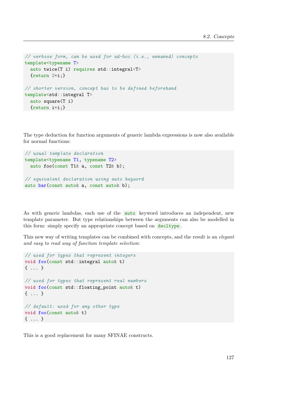```
// verbose form, can be used for ad-hoc (i.e., unnamed) concepts
template<typename T>
  auto twice(T i) requires std::integral<T>
  {return 2*i;}
// shorter version, concept has to be defined beforehand
template<std::integral T>
  auto square(T i)
  {return i*i;}
```
The type deduction for function arguments of generic lambda expressions is now also available for normal functions:

```
// usual template declaration
template<typename T1, typename T2>
  auto foo(const T1& a, const T2& b);
// equivalent declaration using auto keyword
auto bar(const auto& a, const auto& b);
```
As with generic lambdas, each use of the auto keyword introduces an independent, new template parameter. But type relationships between the arguments can also be modelled in this form: simply specify an appropriate concept based on decltype .

This new way of writing templates can be combined with concepts, and the result is an *elegant* and easy to read way of function template selection:

```
// used for types that represent integers
void foo(const std::integral auto& t)
{ ... }
// used for types that represent real numbers
void foo(const std::floating_point auto& t)
{ ... }
// default: used for any other type
void foo(const auto& t)
{ ... }
```
This is a good replacement for many SFINAE constructs.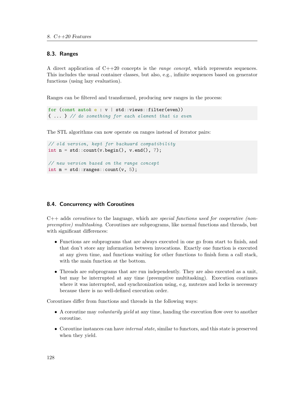### 8.3. Ranges

A direct application of  $C++20$  concepts is the *range concept*, which represents sequences. This includes the usual container classes, but also, e.g., infinite sequences based on generator functions (using lazy evaluation).

Ranges can be filtered and transformed, producing new ranges in the process:

```
for (const auto\& e : v \mid std::views::filter(even)){ ... } // do something for each element that is even
```
The STL algorithms can now operate on ranges instead of iterator pairs:

```
// old version, kept for backward compatibility
int n = std::count(v.begin(), v.end(), 7);// new version based on the range concept
int m = std::ranges::count(v, 5);
```
### 8.4. Concurrency with Coroutines

 $C++$  adds *coroutines* to the language, which are *special functions used for cooperative (non*preemptive) multitasking. Coroutines are subprograms, like normal functions and threads, but with significant differences:

- Functions are subprograms that are always executed in one go from start to finish, and that don't store any information between invocations. Exactly one function is executed at any given time, and functions waiting for other functions to finish form a call stack, with the main function at the bottom.
- Threads are subprograms that are run independently. They are also executed as a unit, but may be interrupted at any time (preemptive multitasking). Execution continues where it was interrupted, and synchronization using, e.g, mutexes and locks is necessary because there is no well-defined execution order.

Coroutines differ from functions and threads in the following ways:

- A coroutine may voluntarily yield at any time, handing the execution flow over to another coroutine.
- Coroutine instances can have internal state, similar to functors, and this state is preserved when they yield.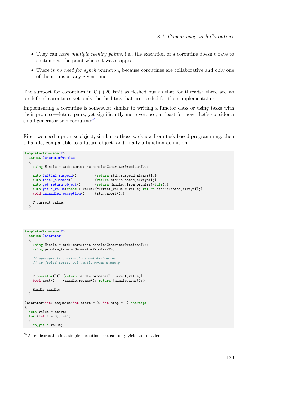- They can have *multiple reentry points*, i.e., the execution of a coroutine doesn't have to continue at the point where it was stopped.
- There is no need for synchronization, because coroutines are collaborative and only one of them runs at any given time.

The support for coroutines in  $C++20$  isn't as fleshed out as that for threads: there are no predefined coroutines yet, only the facilities that are needed for their implementation.

Implementing a coroutine is somewhat similar to writing a functor class or using tasks with their promise—future pairs, yet significantly more verbose, at least for now. Let's consider a small generator semicoroutine<sup>[32](#page-130-0)</sup>.

First, we need a promise object, similar to those we know from task-based programming, then a handle, comparable to a future object, and finally a function definition:

```
template<typename T>
  struct GeneratorPromise
  {
    using Handle = std::coroutine_handle<GeneratorPromise<T>>;
    auto initial_suspend() {return std::suspend_always{};}
    auto final_suspend() {return std::suspend_always{};}
    auto get_return_object() {return Handle::from_promise(*this);}
    auto yield_value(const T value){current_value = value; return std::suspend_always{};} void unhandled_exception() {std::abort();}
   void unhandled_exception()
    T current_value;
  \}:
```

```
template<typename T>
  struct Generator
  {
    using Handle = std::coroutine_handle<GeneratorPromise<T>>;
    using promise_type = GeneratorPromise<T>;
    // appropriate constructors and destructor
    // to forbid copies but handle moves cleanly
    ...
    T operator()() {return handle.promise().current_value;}<br>bool next() {handle.resume(); return !handle.done();
                    {\{handle.resume();\} } {\{hnode();\}}Handle handle;
  };
Generator<int> sequence(int start = 0, int step = 1) noexcept
{
  auto value = start;
  for (int i = 0;; ++i)
  {
    co_yield value;
```
<span id="page-130-0"></span> $32A$  semicoroutine is a simple coroutine that can only yield to its caller.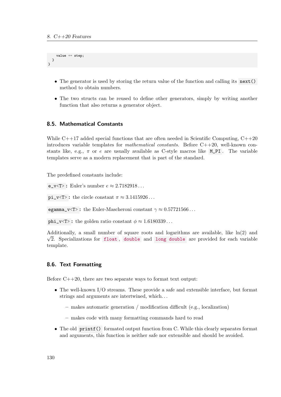```
value += step:
  }
}
```
- The generator is used by storing the return value of the function and calling its next() method to obtain numbers.
- The two structs can be reused to define other generators, simply by writing another function that also returns a generator object.

# 8.5. Mathematical Constants

While  $C_{++17}$  added special functions that are often needed in Scientific Computing,  $C_{++20}$ introduces variable templates for *mathematical constants*. Before  $C++20$ , well-known constants like, e.g.,  $\pi$  or e are usually available as C-style macros like M\_PI. The variable templates serve as a modern replacement that is part of the standard.

The predefined constants include:

e\_v<T>: Euler's number  $e \approx 2.7182918...$ 

pi\_v<T>: the circle constant  $\pi \approx 3.1415926...$ 

egamma\_v<T>: the Euler-Mascheroni constant  $\gamma \approx 0.57721566...$ 

phi\_v<T>: the golden ratio constant  $\phi \approx 1.6180339...$ 

Additionally, a small number of square roots and logarithms are available, like  $\ln(2)$  and  $\sqrt{2}$ . Specializations for float, double and long double are provided for each variable template.

# 8.6. Text Formatting

Before  $C++20$ , there are two separate ways to format text output:

- The well-known I/O streams. These provide a safe and extensible interface, but format strings and arguments are intertwined, which. . .
	- makes automatic generation / modification difficult (e.g., localization)
	- makes code with many formatting commands hard to read
- The old printf() formated output function from C. While this clearly separates format and arguments, this function is neither safe nor extensible and should be avoided.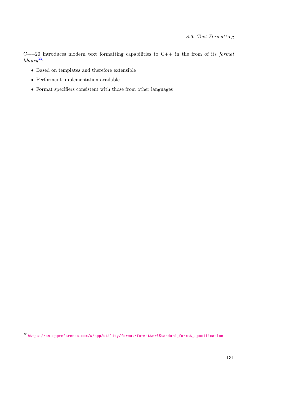$C++20$  introduces modern text formatting capabilities to  $C++$  in the from of its *format*  $\,$ library<sup>[33](#page-132-0)</sup>:

- Based on templates and therefore extensible
- Performant implementation available
- Format specifiers consistent with those from other languages

<span id="page-132-0"></span> $\overline{\text{^{33}https://en.cppreference.com/w/cpp/utility/format/formatter#Standard\_format\_specification}}$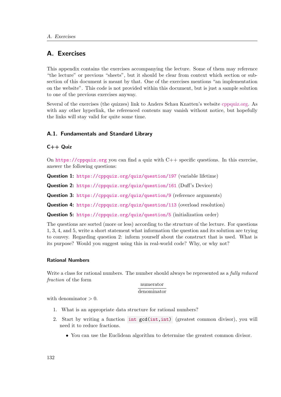# A. Exercises

This appendix contains the exercises accompanying the lecture. Some of them may reference "the lecture" or previous "sheets", but it should be clear from context which section or subsection of this document is meant by that. One of the exercises mentions "an implementation on the website". This code is not provided within this document, but is just a sample solution to one of the previous exercises anyway.

Several of the exercises (the quizzes) link to Anders Schau Knatten's website [cppquiz.org.](https://cppquiz.org) As with any other hyperlink, the referenced contents may vanish without notice, but hopefully the links will stay valid for quite some time.

# A.1. Fundamentals and Standard Library

## C++ Quiz

On <https://cppquiz.org> you can find a quiz with C++ specific questions. In this exercise, answer the following questions:

Question 1: <https://cppquiz.org/quiz/question/197> (variable lifetime)

Question 2: <https://cppquiz.org/quiz/question/161> (Duff's Device)

Question 3: <https://cppquiz.org/quiz/question/9> (reference arguments)

Question 4: <https://cppquiz.org/quiz/question/113> (overload resolution)

Question 5: <https://cppquiz.org/quiz/question/5> (initialization order)

The questions are sorted (more or less) according to the structure of the lecture. For questions 1, 3, 4, and 5, write a short statement what information the question and its solution are trying to convey. Regarding question 2: inform yourself about the construct that is used. What is its purpose? Would you suggest using this in real-world code? Why, or why not?

# Rational Numbers

Write a class for rational numbers. The number should always be represented as a *fully reduced* fraction of the form

### numerator denominator

with denominator  $> 0$ .

- 1. What is an appropriate data structure for rational numbers?
- 2. Start by writing a function int gcd(int,int) (greatest common divisor), you will need it to reduce fractions.
	- You can use the Euclidean algorithm to determine the greatest common divisor.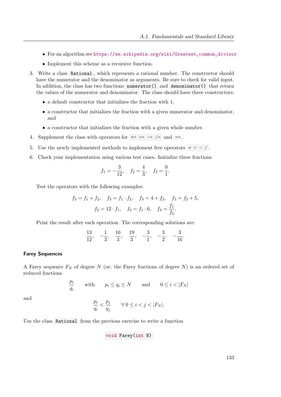- For an algorithm see [https://en.wikipedia.org/wiki/Greatest\\_common\\_divisor](https://en.wikipedia.org/wiki/Greatest_common_divisor)
- Implement this scheme as a recursive function.
- 3. Write a class Rational , which represents a rational number. The constructor should have the numerator and the denominator as arguments. Be sure to check for valid input. In addition, the class has two functions numerator() and denominator() that return the values of the numerator and denominator. The class should have three constructors:
	- a default constructor that initializes the fraction with 1,
	- a constructor that initializes the fraction with a given numerator and denominator, and
	- a constructor that initializes the fraction with a given whole number.
- 4. Supplement the class with operators for  $*= -\frac{1}{2}$  and  $==$ .
- 5. Use the newly implemented methods to implement free operators  $* + /$ .
- 6. Check your implementation using various test cases. Initialize three fractions

$$
f_1 = -\frac{3}{12}
$$
,  $f_2 = \frac{4}{3}$ ,  $f_3 = \frac{0}{1}$ .

Test the operators with the following examples:

$$
f_3 = f_1 + f_2
$$
,  $f_3 = f_1 \cdot f_2$ ,  $f_3 = 4 + f_2$ ,  $f_3 = f_2 + 5$ ,  
 $f_3 = 12 \cdot f_1$ ,  $f_3 = f_1 \cdot 6$ ,  $f_3 = \frac{f_1}{f_2}$ .

Print the result after each operation. The corresponding solutions are:

| 13 |  | ıч |  |  |
|----|--|----|--|--|
| 19 |  |    |  |  |

#### Farey Sequences

A Farey sequence  $F_N$  of degree N (or: the Farey fractions of degree N) is an ordered set of reduced fractions

$$
\frac{p_i}{q_i} \qquad \text{with} \qquad p_i \le q_i \le N \qquad \text{and} \qquad 0 \le i < |F_N|
$$

and

$$
\frac{p_i}{q_i} < \frac{p_j}{q_j} \qquad \forall \ 0 \le i < j < |F_N|.
$$

Use the class Rational from the previous exercise to write a function

void Farey(int N)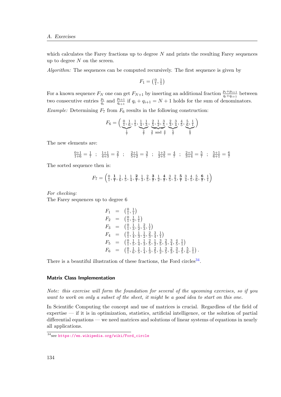which calculates the Farey fractions up to degree  $N$  and prints the resulting Farey sequences up to degree  $N$  on the screen.

Algorithm: The sequences can be computed recursively. The first sequence is given by

$$
F_1 = \left(\frac{0}{1}, \frac{1}{1}\right)
$$

For a known sequence  $F_N$  one can get  $F_{N+1}$  by inserting an additional fraction  $\frac{p_i+p_{i+1}}{q_i+q_{i+1}}$  between two consecutive entries  $\frac{p_i}{q_i}$  and  $\frac{p_{i+1}}{q_{i+1}}$  if  $q_i + q_{i+1} = N + 1$  holds for the sum of denominators. Example: Determining  $F_7$  from  $F_6$  results in the following construction:

$$
F_6 = \left(\underbrace{\frac{0}{1}, \frac{1}{6}, \frac{1}{5}, \frac{1}{4}, \frac{1}{3}}_{\frac{7}{7}}, \underbrace{\frac{2}{5}, \frac{1}{2}, \frac{3}{5}}_{\frac{3}{7} \text{ and } \frac{4}{7}} \underbrace{\frac{2}{3}, \frac{3}{4}, \frac{4}{5}, \frac{5}{6}, \frac{1}{1}}_{\frac{6}{7}}\right)
$$

The new elements are:

$$
\frac{0+1}{1+6} = \frac{1}{7} \ ; \ \frac{1+1}{4+3} = \frac{2}{7} \ ; \ \frac{2+1}{5+2} = \frac{3}{7} \ ; \ \frac{1+3}{2+5} = \frac{4}{7} \ ; \ \frac{2+3}{3+4} = \frac{5}{7} \ ; \ \frac{5+1}{6+1} = \frac{6}{7}
$$

The sorted sequence then is:

$$
F_7 = \left(\frac{0}{1}, \frac{1}{7}, \frac{1}{6}, \frac{1}{5}, \frac{1}{4}, \frac{2}{7}, \frac{1}{3}, \frac{2}{5}, \frac{3}{7}, \frac{1}{2}, \frac{4}{7}, \frac{3}{5}, \frac{2}{3}, \frac{5}{7}, \frac{3}{4}, \frac{4}{5}, \frac{5}{6}, \frac{6}{7}, \frac{1}{1}\right)
$$

For checking:

The Farey sequences up to degree 6

$$
F_1 = \begin{pmatrix} \frac{0}{1}, \frac{1}{1} \end{pmatrix}
$$
  
\n
$$
F_2 = \begin{pmatrix} \frac{0}{1}, \frac{1}{2}, \frac{1}{1} \end{pmatrix}
$$
  
\n
$$
F_3 = \begin{pmatrix} \frac{0}{1}, \frac{1}{3}, \frac{1}{2}, \frac{2}{3}, \frac{1}{1} \end{pmatrix}
$$
  
\n
$$
F_4 = \begin{pmatrix} \frac{0}{1}, \frac{1}{4}, \frac{1}{3}, \frac{1}{2}, \frac{2}{3}, \frac{3}{4}, \frac{1}{1} \end{pmatrix}
$$
  
\n
$$
F_5 = \begin{pmatrix} \frac{0}{1}, \frac{1}{5}, \frac{1}{4}, \frac{1}{3}, \frac{2}{5}, \frac{1}{2}, \frac{3}{5}, \frac{2}{3}, \frac{3}{4}, \frac{4}{5}, \frac{1}{1} \end{pmatrix}
$$
  
\n
$$
F_6 = \begin{pmatrix} \frac{0}{1}, \frac{1}{6}, \frac{1}{5}, \frac{1}{4}, \frac{1}{3}, \frac{2}{5}, \frac{1}{2}, \frac{3}{5}, \frac{2}{3}, \frac{3}{4}, \frac{4}{5}, \frac{5}{6}, \frac{1}{1} \end{pmatrix}.
$$

There is a beautiful illustration of these fractions, the Ford circles<sup>[34](#page-135-0)</sup>.

#### Matrix Class Implementation

Note: this exercise will form the foundation for several of the upcoming exercises, so if you want to work on only a subset of the sheet, it might be a good idea to start on this one.

In Scientific Computing the concept and use of matrices is crucial. Regardless of the field of expertise — if it is in optimization, statistics, artificial intelligence, or the solution of partial differential equations — we need matrices and solutions of linear systems of equations in nearly all applications.

<span id="page-135-0"></span><sup>34</sup>see [https://en.wikipedia.org/wiki/Ford\\_circle](https://en.wikipedia.org/wiki/Ford_circle)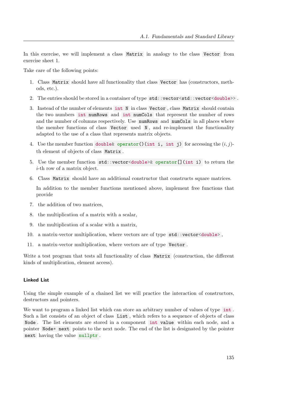In this exercise, we will implement a class Matrix in analogy to the class Vector from exercise sheet 1.

Take care of the following points:

- 1. Class Matrix should have all functionality that class Vector has (constructors, methods, etc.).
- 2. The entries should be stored in a container of type std::vector<std::vector<double>>.
- 3. Instead of the number of elements int N in class Vector , class Matrix should contain the two numbers int numRows and int numCols that represent the number of rows and the number of columns respectively. Use numRows and numCols in all places where the member functions of class Vector used N , and re-implement the functionality adapted to the use of a class that represents matrix objects.
- 4. Use the member function double  $\&$  operator()(int i, int j) for accessing the  $(i, j)$ th element of objects of class Matrix .
- 5. Use the member function std::vector<double>& operator[](int i) to return the i-th row of a matrix object.
- 6. Class Matrix should have an additional constructor that constructs square matrices.

In addition to the member functions mentioned above, implement free functions that provide

- 7. the addition of two matrices,
- 8. the multiplication of a matrix with a scalar,
- 9. the multiplication of a scalar with a matrix,
- 10. a matrix-vector multiplication, where vectors are of type std::vector<double> ,
- 11. a matrix-vector multiplication, where vectors are of type Vector .

Write a test program that tests all functionality of class Matrix (construction, the different kinds of multiplication, element access).

#### Linked List

Using the simple example of a chained list we will practice the interaction of constructors, destructors and pointers.

We want to program a linked list which can store an arbitrary number of values of type int. Such a list consists of an object of class List , which refers to a sequence of objects of class Node . The list elements are stored in a component int value within each node, and a pointer Node\* next points to the next node. The end of the list is designated by the pointer next having the value nullptr .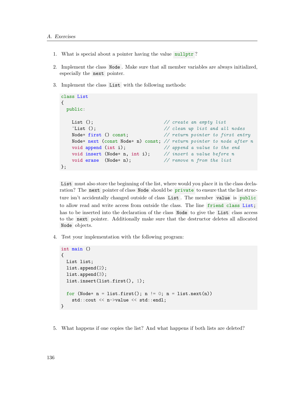- 1. What is special about a pointer having the value nullptr ?
- 2. Implement the class Node . Make sure that all member variables are always initialized, especially the next pointer.
- 3. Implement the class List with the following methods:

```
class List
{
 public:
   List (); \frac{1}{2} // create an empty list
   \tilde{L} List (); \frac{1}{2} // clean up list and all nodes
   Node* first () const; \frac{1}{2} // return pointer to first entry
   Node* next (const Node* n) const; // return pointer to node after n
   void append (int i); \frac{1}{2} append a value to the end
   void insert (Node* n, int i); // insert a value before n
   void erase (Node* n); \frac{1}{2} // remove n from the list
};
```
List must also store the beginning of the list, where would you place it in the class declaration? The next pointer of class Node should be private to ensure that the list structure isn't accidentally changed outside of class List . The member value is public to allow read and write access from outside the class. The line friend class List; has to be inserted into the declaration of the class Node to give the List class access to the next pointer. Additionally make sure that the destructor deletes all allocated Node objects.

4. Test your implementation with the following program:

```
int main ()
{
  List list;
  list.append(2);
  list.append(3);
  list.insert(list.first(), 1);
  for (Node* n = list.fit(); n != 0; n = list.next(n))
    std::cout << n->value << std::endl;
}
```
5. What happens if one copies the list? And what happens if both lists are deleted?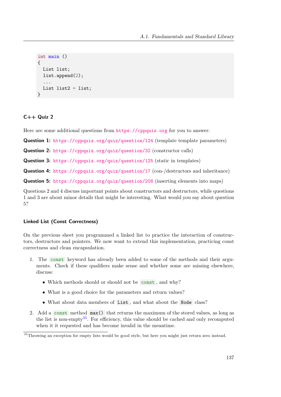```
int main ()
{
  List list;
  list.append(2);
  ...
  List list2 =list;
}
```
# $C++$  Quiz 2

Here are some additional questions from <https://cppquiz.org> for you to answer:

Question 1: <https://cppquiz.org/quiz/question/124> (template template parameters)

Question 2: <https://cppquiz.org/quiz/question/32> (constructor calls)

Question 3: <https://cppquiz.org/quiz/question/125> (static in templates)

Question 4: <https://cppquiz.org/quiz/question/17> (con-/destructors and inheritance)

Question 5: <https://cppquiz.org/quiz/question/208> (inserting elements into maps)

Questions 2 and 4 discuss important points about constructors and destructors, while questions 1 and 3 are about minor details that might be interesting. What would you say about question 5?

### Linked List (Const Correctness)

On the previous sheet you programmed a linked list to practice the interaction of constructors, destructors and pointers. We now want to extend this implementation, practicing const correctness and clean encapsulation.

- 1. The const keyword has already been added to some of the methods and their arguments. Check if these qualifiers make sense and whether some are missing elsewhere, discuss:
	- Which methods should or should not be const, and why?
	- What is a good choice for the parameters and return values?
	- What about data members of List , and what about the Node class?
- 2. Add a const method max() that returns the maximum of the stored values, as long as the list is non-empty<sup>[35](#page-138-0)</sup>. For efficiency, this value should be cached and only recomputed when it it requested and has become invalid in the meantime.

<span id="page-138-0"></span><sup>&</sup>lt;sup>35</sup>Throwing an exception for empty lists would be good style, but here you might just return zero instead.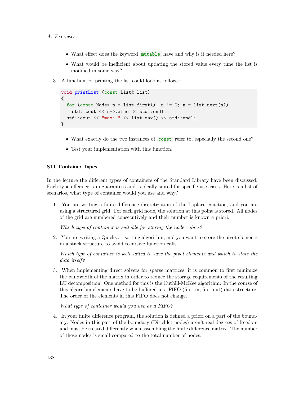- What effect does the keyword mutable have and why is it needed here?
- What would be inefficient about updating the stored value every time the list is modified in some way?
- 3. A function for printing the list could look as follows:

```
void printList (const List& list)
{
  for (const Node* n = list.first(); n != 0; n = list.next(n))
    std::cout << n->value << std::endl;
  std::cout << "max: " << list.max() << std::endl;
}
```
- What exactly do the two instances of constraints refer to, especially the second one?
- Test your implementation with this function.

#### STL Container Types

In the lecture the different types of containers of the Standard Library have been discussed. Each type offers certain guarantees and is ideally suited for specific use cases. Here is a list of scenarios, what type of container would you use and why?

1. You are writing a finite difference discretization of the Laplace equation, and you are using a structured grid. For each grid node, the solution at this point is stored. All nodes of the grid are numbered consecutively and their number is known a priori.

Which type of container is suitable for storing the node values?

2. You are writing a Quicksort sorting algorithm, and you want to store the pivot elements in a stack structure to avoid recursive function calls.

Which type of container is well suited to save the pivot elements and which to store the data itself?

3. When implementing direct solvers for sparse matrices, it is common to first minimize the bandwidth of the matrix in order to reduce the storage requirements of the resulting LU decomposition. One method for this is the Cuthill-McKee algorithm. In the course of this algorithm elements have to be buffered in a FIFO (first-in, first-out) data structure. The order of the elements in this FIFO does not change.

What type of container would you use as a FIFO?

4. In your finite difference program, the solution is defined a priori on a part of the boundary. Nodes in this part of the boundary (Dirichlet nodes) aren't real degrees of freedom and must be treated differently when assembling the finite difference matrix. The number of these nodes is small compared to the total number of nodes.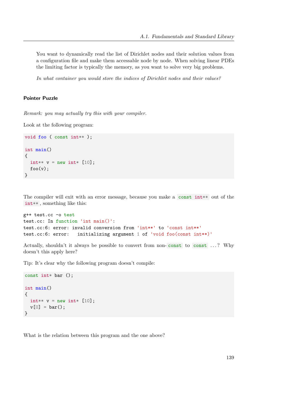You want to dynamically read the list of Dirichlet nodes and their solution values from a configuration file and make them accessable node by node. When solving linear PDEs the limiting factor is typically the memory, as you want to solve very big problems.

In what container you would store the indices of Dirichlet nodes and their values?

### Pointer Puzzle

Remark: you may actually try this with your compiler.

Look at the following program:

```
void foo ( const int** );
int main()
{
  int** v = new int* [10];
  foo(v);}
```
The compiler will exit with an error message, because you make a const int\*\* out of the int\*\*, something like this:

```
g++ test.cc -o test
test.cc: In function 'int main()':
test.cc:6: error: invalid conversion from 'int**' to 'const int**'
test.cc:6: error: initializing argument 1 of 'void foo(const int**)'
```
Actually, shouldn't it always be possible to convert from non-const to const ...? Why doesn't this apply here?

Tip: It's clear why the following program doesn't compile:

```
const int* bar ();
int main()
{
  int** v = new int* [10];
  v[0] = bar();
}
```
What is the relation between this program and the one above?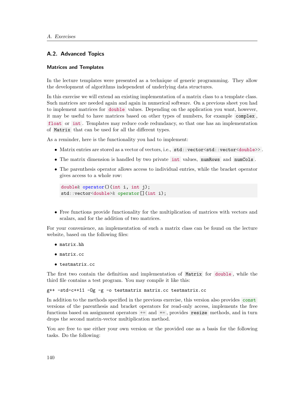### A.2. Advanced Topics

#### Matrices and Templates

In the lecture templates were presented as a technique of generic programming. They allow the development of algorithms independent of underlying data structures.

In this exercise we will extend an existing implementation of a matrix class to a template class. Such matrices are needed again and again in numerical software. On a previous sheet you had to implement matrices for double values. Depending on the application you want, however, it may be useful to have matrices based on other types of numbers, for example complex , float or int . Templates may reduce code redundancy, so that one has an implementation of Matrix that can be used for all the different types.

As a reminder, here is the functionality you had to implement:

- $\bullet$  Matrix entries are stored as a vector of vectors, i.e.,  $\texttt{std::vector}\textless\texttt{std::vector}\textless\texttt{double}\textgreater$ .
- The matrix dimension is handled by two private int values, numRows and numCols .
- The parenthesis operator allows access to individual entries, while the bracket operator gives access to a whole row:

```
double& operator()(int i, int j);
std::vector<double>& operator[](int i);
```
• Free functions provide functionality for the multiplication of matrices with vectors and scalars, and for the addition of two matrices.

For your convenience, an implementation of such a matrix class can be found on the lecture website, based on the following files:

- matrix.hh
- matrix.cc
- testmatrix.cc

The first two contain the definition and implementation of Matrix for double , while the third file contains a test program. You may compile it like this:

g++ -std=c++11 -Og -g -o testmatrix matrix.cc testmatrix.cc

In addition to the methods specified in the previous exercise, this version also provides const versions of the parenthesis and bracket operators for read-only access, implements the free functions based on assignment operators  $+=$  and  $*=$ , provides resize methods, and in turn drops the second matrix-vector multiplication method.

You are free to use either your own version or the provided one as a basis for the following tasks. Do the following: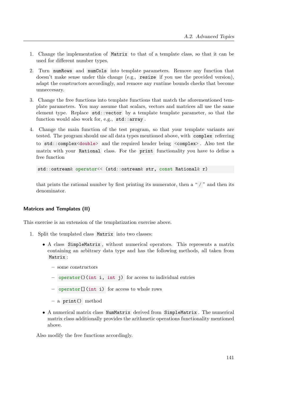- 1. Change the implementation of Matrix to that of a template class, so that it can be used for different number types.
- 2. Turn numRows and numCols into template parameters. Remove any function that doesn't make sense under this change (e.g., resize if you use the provided version), adapt the constructors accordingly, and remove any runtime bounds checks that become unneccesary.
- 3. Change the free functions into template functions that match the aforementioned template parameters. You may assume that scalars, vectors and matrices all use the same element type. Replace std::vector by a template template parameter, so that the function would also work for, e.g., std::array.
- 4. Change the main function of the test program, so that your template variants are tested. The program should use all data types mentioned above, with complex referring to std::complex<double> and the required header being <complex> . Also test the matrix with your Rational class. For the print functionality you have to define a free function

```
std::ostream& operator<< (std::ostream& str, const Rational& r)
```
that prints the rational number by first printing its numerator, then a " $/$ " and then its denominator.

### Matrices and Templates (II)

This exercise is an extension of the templatization exercise above.

- 1. Split the templated class Matrix into two classes:
	- A class SimpleMatrix , without numerical operators. This represents a matrix containing an arbitrary data type and has the following methods, all taken from Matrix :
		- some constructors
		- operator()(int i, int j) for access to individual entries
		- operator[](int i) for access to whole rows
		- a print() method
	- A numerical matrix class NumMatrix derived from SimpleMatrix . The numerical matrix class additionally provides the arithmetic operations functionality mentioned above.

Also modify the free functions accordingly.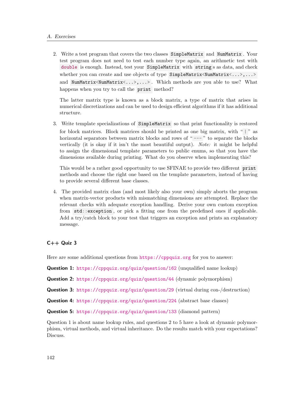2. Write a test program that covers the two classes SimpleMatrix and NumMatrix . Your test program does not need to test each number type again, an arithmetic test with double is enough. Instead, test your SimpleMatrix with string s as data, and check whether you can create and use objects of type SimpleMatrix<NumMatrix<...>,...> and NumMatrix<NumMatrix<...>,...>. Which methods are you able to use? What happens when you try to call the print method?

The latter matrix type is known as a block matrix, a type of matrix that arises in numerical discretizations and can be used to design efficient algorithms if it has additional structure.

3. Write template specializations of SimpleMatrix so that print functionality is restored for block matrices. Block matrices should be printed as one big matrix, with " | " as horizontal separators between matrix blocks and rows of "---" to separate the blocks vertically (it is okay if it isn't the most beautiful output). Note: it might be helpful to assign the dimensional template parameters to public enums, so that you have the dimensions available during printing. What do you observe when implementing this?

This would be a rather good opportunity to use SFINAE to provide two different print methods and choose the right one based on the template parameters, instead of having to provide several different base classes.

4. The provided matrix class (and most likely also your own) simply aborts the program when matrix-vector products with mismatching dimensions are attempted. Replace the relevant checks with adequate exception handling. Derive your own custom exception from std::exception , or pick a fitting one from the predefined ones if applicable. Add a try/catch block to your test that triggers an exception and prints an explanatory message.

# $C++$  Quiz 3

Here are some additional questions from <https://cppquiz.org> for you to answer:

Question 1: <https://cppquiz.org/quiz/question/162> (unqualified name lookup)

Question 2: <https://cppquiz.org/quiz/question/44> (dynamic polymorphism)

Question 3: <https://cppquiz.org/quiz/question/29> (virtual during con-/destruction)

Question 4: <https://cppquiz.org/quiz/question/224> (abstract base classes)

Question 5: <https://cppquiz.org/quiz/question/133> (diamond pattern)

Question 1 is about name lookup rules, and questions 2 to 5 have a look at dynamic polymorphism, virtual methods, and virtual inheritance. Do the results match with your expectations? Discuss.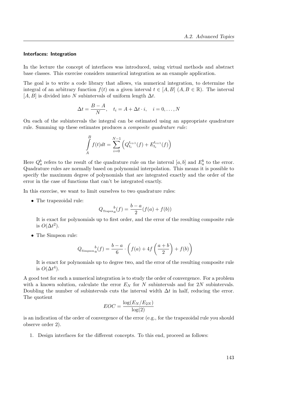### Interfaces: Integration

In the lecture the concept of interfaces was introduced, using virtual methods and abstract base classes. This exercise considers numerical integration as an example application.

The goal is to write a code library that allows, via numerical integration, to determine the integral of an arbitrary function  $f(t)$  on a given interval  $t \in [A, B]$   $(A, B \in \mathbb{R})$ . The interval  $[A, B]$  is divided into N subintervals of uniform length  $\Delta t$ .

$$
\Delta t = \frac{B-A}{N}, \quad t_i = A + \Delta t \cdot i, \quad i = 0, \dots, N
$$

On each of the subintervals the integral can be estimated using an appropriate quadrature rule. Summing up these estimates produces a composite quadrature rule:

$$
\int_{A}^{B} f(t)dt = \sum_{i=0}^{N-1} \left( Q_{t_i}^{t_{i+1}}(f) + E_{t_i}^{t_{i+1}}(f) \right)
$$

Here  $Q_a^b$  refers to the result of the quadrature rule on the interval  $[a, b]$  and  $E_a^b$  to the error. Quadrature rules are normally based on polynomial interpolation. This means it is possible to specify the maximum degree of polynomials that are integrated exactly and the order of the error in the case of functions that can't be integrated exactly.

In this exercise, we want to limit ourselves to two quadrature rules:

• The trapezoidal rule:

$$
Q_{\text{Trace}_a}(f) = \frac{b-a}{2}(f(a) + f(b))
$$

It is exact for polynomials up to first order, and the error of the resulting composite rule is  $O(\Delta t^2)$ .

• The Simpson rule:

$$
Q_{\text{Simpson}_a}(f) = \frac{b-a}{6} \cdot \left( f(a) + 4f\left(\frac{a+b}{2}\right) + f(b) \right)
$$

It is exact for polynomials up to degree two, and the error of the resulting composite rule is  $O(\Delta t^4)$ .

A good test for such a numerical integration is to study the order of convergence. For a problem with a known solution, calculate the error  $E<sub>N</sub>$  for N subintervals and for 2N subintervals. Doubling the number of subintervals cuts the interval width  $\Delta t$  in half, reducing the error. The quotient

$$
EOC = \frac{\log(E_N/E_{2N})}{\log(2)}
$$

is an indication of the order of convergence of the error (e.g., for the trapezoidal rule you should observe order 2).

1. Design interfaces for the different concepts. To this end, proceed as follows: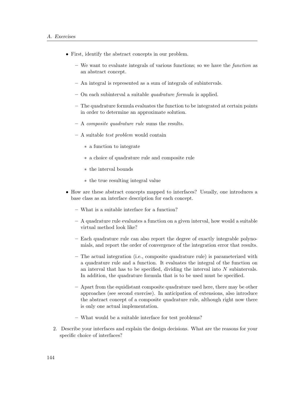- First, identify the abstract concepts in our problem.
	- We want to evaluate integrals of various functions; so we have the function as an abstract concept.
	- An integral is represented as a sum of integrals of subintervals.
	- On each subinterval a suitable quadrature formula is applied.
	- The quadrature formula evaluates the function to be integrated at certain points in order to determine an approximate solution.
	- A composite quadrature rule sums the results.
	- $-$  A suitable *test problem* would contain
		- ∗ a function to integrate
		- ∗ a choice of quadrature rule and composite rule
		- ∗ the interval bounds
		- ∗ the true resulting integral value
- How are these abstract concepts mapped to interfaces? Usually, one introduces a base class as an interface description for each concept.
	- What is a suitable interface for a function?
	- A quadrature rule evaluates a function on a given interval, how would a suitable virtual method look like?
	- Each quadrature rule can also report the degree of exactly integrable polynomials, and report the order of convergence of the integration error that results.
	- The actual integration (i.e., composite quadrature rule) is parameterized with a quadrature rule and a function. It evaluates the integral of the function on an interval that has to be specified, dividing the interval into  $N$  subintervals. In addition, the quadrature formula that is to be used must be specified.
	- Apart from the equidistant composite quadrature used here, there may be other approaches (see second exercise). In anticipation of extensions, also introduce the abstract concept of a composite quadrature rule, although right now there is only one actual implementation.
	- What would be a suitable interface for test problems?
- 2. Describe your interfaces and explain the design decisions. What are the reasons for your specific choice of interfaces?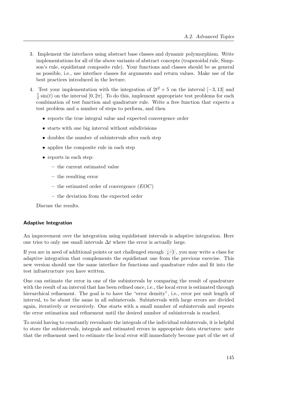- 3. Implement the interfaces using abstract base classes and dynamic polymorphism. Write implementations for all of the above variants of abstract concepts (trapezoidal rule, Simpson's rule, equidistant composite rule). Your functions and classes should be as general as possible, i.e., use interface classes for arguments and return values. Make use of the best practices introduced in the lecture.
- 4. Test your implementation with the integration of  $2t^2 + 5$  on the interval  $[-3, 13]$  and t  $\frac{t}{\pi}$  sin(t) on the interval [0,  $2\pi$ ]. To do this, implement appropriate test problems for each combination of test function and quadrature rule. Write a free function that expects a test problem and a number of steps to perform, and then
	- reports the true integral value and expected convergence order
	- starts with one big interval without subdivisions
	- doubles the number of subintervals after each step
	- applies the composite rule in each step
	- reports in each step:
		- the current estimated value
		- the resulting error
		- the estimated order of convergence  $(EOC)$
		- the deviation from the expected order

Discuss the results.

## Adaptive Integration

An improvement over the integration using equidistant intervals is adaptive integration. Here one tries to only use small intervals  $\Delta t$  where the error is actually large.

If you are in need of additional points or not challenged enough  $;-)$ , you may write a class for adaptive integration that complements the equidistant one from the previous exercise. This new version should use the same interface for functions and quadrature rules and fit into the test infrastructure you have written.

One can estimate the error in one of the subintervals by comparing the result of quadrature with the result of an interval that has been refined once, i.e., the local error is estimated through hierarchical refinement. The goal is to have the "error density", i.e., error per unit length of interval, to be about the same in all subintervals. Subintervals with large errors are divided again, iteratively or recursively. One starts with a small number of subintervals and repeats the error estimation and refinement until the desired number of subintervals is reached.

To avoid having to constantly reevaluate the integrals of the individual subintervals, it is helpful to store the subintervals, integrals and estimated errors in appropriate data structures: note that the refinement used to estimate the local error will immediately become part of the set of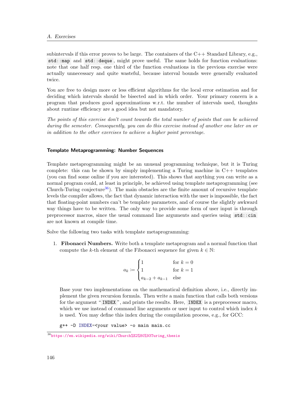subintervals if this error proves to be large. The containers of the  $C_{++}$  Standard Library, e.g., std::map and std::deque, might prove useful. The same holds for function evaluations: note that one half resp. one third of the function evaluations in the previous exercise were actually unnecessary and quite wasteful, because interval bounds were generally evaluated twice.

You are free to design more or less efficient algorithms for the local error estimation and for deciding which intervals should be bisected and in which order. Your primary concern is a program that produces good approximations w.r.t. the number of intervals used, thoughts about runtime efficiency are a good idea but not mandatory.

The points of this exercise don't count towards the total number of points that can be achieved during the semester. Consequently, you can do this exercise instead of another one later on or in addition to the other exercises to achieve a higher point percentage.

#### Template Metaprogramming: Number Sequences

Template metaprogramming might be an unusual programming technique, but it is Turing complete: this can be shown by simply implementing a Turing machine in  $C++$  templates (you can find some online if you are interested). This shows that anything you can write as a normal program could, at least in principle, be achieved using template metaprogramming (see Church-Turing conjecture<sup>[36](#page-147-0)</sup>). The main obstacles are the finite amount of recursive template levels the compiler allows, the fact that dynamic interaction with the user is impossible, the fact that floating-point numbers can't be template parameters, and of course the slightly awkward way things have to be written. The only way to provide some form of user input is through preprocessor macros, since the usual command line arguments and queries using std::cin are not known at compile time.

Solve the following two tasks with template metaprogramming:

1. Fibonacci Numbers. Write both a template metaprogram and a normal function that compute the k-th element of the Fibonacci sequence for given  $k \in \mathbb{N}$ :

$$
a_k := \begin{cases} 1 & \text{for } k = 0\\ 1 & \text{for } k = 1\\ a_{k-2} + a_{k-1} & \text{else} \end{cases}
$$

Base your two implementations on the mathematical definition above, i.e., directly implement the given recursion formula. Then write a main function that calls both versions for the argument " INDEX ", and prints the results. Here, INDEX is a preprocessor macro, which we use instead of command line arguments or user input to control which index  $k$ is used. You may define this index during the compilation process, e.g., for GCC:

g++ -D INDEX=<your value> -o main main.cc

<span id="page-147-0"></span><sup>36</sup>[https://en.wikipedia.org/wiki/Church%E2%80%93Turing\\_thesis](https://en.wikipedia.org/wiki/Church%E2%80%93Turing_thesis)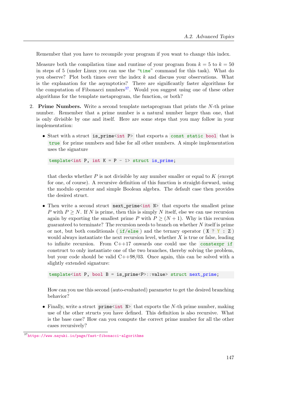Remember that you have to recompile your program if you want to change this index.

Measure both the compilation time and runtime of your program from  $k = 5$  to  $k = 50$ in steps of 5 (under Linux you can use the "time" command for this task). What do you observe? Plot both times over the index  $k$  and discuss your observations. What is the explanation for the asymptotics? There are significantly faster algorithms for the computation of Fibonacci numbers<sup>[37](#page-148-0)</sup>. Would you suggest using one of these other algorithms for the template metaprogram, the function, or both?

- 2. Prime Numbers. Write a second template metaprogram that prints the N-th prime number. Remember that a prime number is a natural number larger than one, that is only divisible by one and itself. Here are some steps that you may follow in your implementation:
	- Start with a struct is\_prime<int P> that exports a const static bool that is true for prime numbers and false for all other numbers. A simple implementation uses the signature

template<int P, int  $K = P - 1$  struct is\_prime;

that checks whether  $P$  is not divisible by any number smaller or equal to  $K$  (except for one, of course). A recursive definition of this function is straight-forward, using the modulo operator and simple Boolean algebra. The default case then provides the desired struct.

• Then write a second struct next\_prime<int  $N$ > that exports the smallest prime P with  $P > N$ . If N is prime, then this is simply N itself, else we can use recursion again by exporting the smallest prime P with  $P \geq (N+1)$ . Why is this recursion guaranteed to terminate? The recursion needs to branch on whether N itself is prime or not, but both conditionals ( $if/else$ ) and the ternary operator ( $X$  ?  $Y : Z$ ) would always instantiate the next recursion level, whether  $X$  is true or false, leading to infinite recursion. From  $C++17$  onwards one could use the constexpr if construct to only instantiate one of the two branches, thereby solving the problem, but your code should be valid  $C++98/03$ . Once again, this can be solved with a slightly extended signature:

template<int P, bool B = is\_prime<P>::value> struct next\_prime;

How can you use this second (auto-evaluated) parameter to get the desired branching behavior?

• Finally, write a struct prime $\sin \theta$  N that exports the N-th prime number, making use of the other structs you have defined. This definition is also recursive. What is the base case? How can you compute the correct prime number for all the other cases recursively?

<span id="page-148-0"></span><sup>37</sup><https://www.nayuki.io/page/fast-fibonacci-algorithms>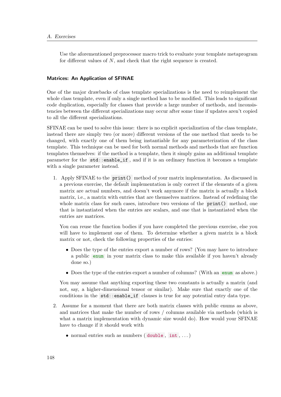Use the aforementioned preprocessor macro trick to evaluate your template metaprogram for different values of N, and check that the right sequence is created.

### Matrices: An Application of SFINAE

One of the major drawbacks of class template specializations is the need to reimplement the whole class template, even if only a single method has to be modified. This leads to significant code duplication, especially for classes that provide a large number of methods, and inconsistencies between the different specializations may occur after some time if updates aren't copied to all the different specializations.

SFINAE can be used to solve this issue: there is no explicit specialization of the class template, instead there are simply two (or more) different versions of the one method that needs to be changed, with exactly one of them being instantiable for any parameterization of the class template. This technique can be used for both normal methods and methods that are function templates themselves: if the method is a template, then it simply gains an additional template parameter for the std::enable\_if , and if it is an ordinary function it becomes a template with a single parameter instead.

1. Apply SFINAE to the print() method of your matrix implementation. As discussed in a previous exercise, the default implementation is only correct if the elements of a given matrix are actual numbers, and doesn't work anymore if the matrix is actually a block matrix, i.e., a matrix with entries that are themselves matrices. Instead of redefining the whole matrix class for such cases, introduce two versions of the **print**() method, one that is instantiated when the entries are scalars, and one that is instantiated when the entries are matrices.

You can reuse the function bodies if you have completed the previous exercise, else you will have to implement one of them. To determine whether a given matrix is a block matrix or not, check the following properties of the entries:

- Does the type of the entries export a number of rows? (You may have to introduce a public enum in your matrix class to make this available if you haven't already done so.)
- Does the type of the entries export a number of columns? (With an enum as above.)

You may assume that anything exporting these two constants is actually a matrix (and not, say, a higher-dimensional tensor or similar). Make sure that exactly one of the conditions in the std::enable\_if clauses is true for any potential entry data type.

- 2. Assume for a moment that there are both matrix classes with public enums as above, and matrices that make the number of rows / columns available via methods (which is what a matrix implementation with dynamic size would do). How would your SFINAE have to change if it should work with
	- normal entries such as numbers ( double , int , . . . )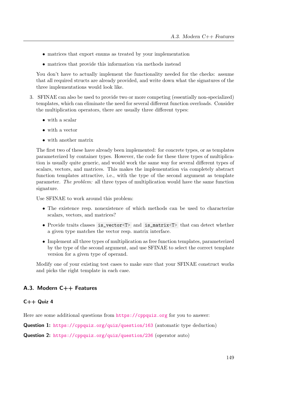- matrices that export enums as treated by your implementation
- matrices that provide this information via methods instead

You don't have to actually implement the functionality needed for the checks: assume that all required structs are already provided, and write down what the signatures of the three implementations would look like.

- 3. SFINAE can also be used to provide two or more competing (essentially non-specialized) templates, which can eliminate the need for several different function overloads. Consider the multiplication operators, there are usually three different types:
	- with a scalar
	- with a vector
	- with another matrix

The first two of these have already been implemented: for concrete types, or as templates parameterized by container types. However, the code for these three types of multiplication is usually quite generic, and would work the same way for several different types of scalars, vectors, and matrices. This makes the implementation via completely abstract function templates attractive, i.e., with the type of the second argument as template parameter. The problem: all three types of multiplication would have the same function signature.

Use SFINAE to work around this problem:

- The existence resp. nonexistence of which methods can be used to characterize scalars, vectors, and matrices?
- Provide traits classes is\_vector<T> and is\_matrix<T> that can detect whether a given type matches the vector resp. matrix interface.
- Implement all three types of multiplication as free function templates, parameterized by the type of the second argument, and use SFINAE to select the correct template version for a given type of operand.

Modify one of your existing test cases to make sure that your SFINAE construct works and picks the right template in each case.

# A.3. Modern C++ Features

## $C++$  Quiz 4

Here are some additional questions from <https://cppquiz.org> for you to answer:

Question 1: <https://cppquiz.org/quiz/question/163> (automatic type deduction)

Question 2: <https://cppquiz.org/quiz/question/236> (operator auto)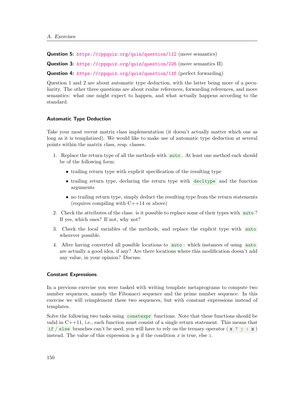Question 5: <https://cppquiz.org/quiz/question/112> (move semantics)

Question 3: <https://cppquiz.org/quiz/question/226> (move semantics II)

Question 4: <https://cppquiz.org/quiz/question/116> (perfect forwarding)

Question 1 and 2 are about automatic type deduction, with the latter being more of a peculiarity. The other three questions are about rvalue references, forwarding references, and move semantics: what one might expect to happen, and what actually happens according to the standard.

#### Automatic Type Deduction

Take your most recent matrix class implementation (it doesn't actually matter which one as long as it is templatized). We would like to make use of automatic type deduction at several points within the matrix class, resp. classes.

- 1. Replace the return type of all the methods with auto . At least one method each should be of the following form:
	- trailing return type with explicit specification of the resulting type
	- trailing return type, declaring the return type with decltype and the function arguments
	- no trailing return type, simply deduct the resulting type from the return statements (requires compiling with C++14 or above)
- 2. Check the attributes of the class: is it possible to replace some of their types with auto ? If yes, which ones? If not, why not?
- 3. Check the local variables of the methods, and replace the explicit type with auto wherever possible.
- 4. After having converted all possible locations to auto : which instances of using auto are actually a good idea, if any? Are there locations where this modification doesn't add any value, in your opinion? Discuss.

#### Constant Expressions

In a previous exercise you were tasked with writing template metaprograms to compute two number sequences, namely the Fibonacci sequence and the prime number sequence. In this exercise we will reimplement these two sequences, but with constant expressions instead of templates.

Solve the following two tasks using constexpr functions. Note that these functions should be valid in  $C++11$ , i.e., each function must consist of a single return statement. This means that if / else branches can't be used, you will have to rely on the ternary operator  $(x ? y : z)$ instead. The value of this expression is  $y$  if the condition  $x$  is true, else  $z$ .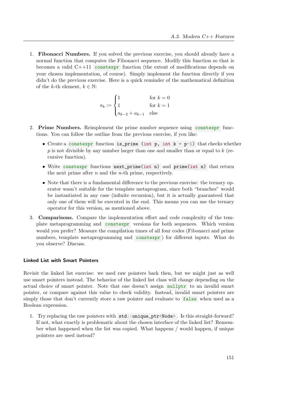1. Fibonacci Numbers. If you solved the previous exercise, you should already have a normal function that computes the Fibonacci sequence. Modify this function so that is becomes a valid  $C++11$  constexpr function (the extent of modifications depends on your chosen implementation, of course). Simply implement the function directly if you didn't do the previous exercise. Here is a quick reminder of the mathematical definition of the k-th element,  $k \in \mathbb{N}$ :

$$
a_k := \begin{cases} 1 & \text{for } k = 0\\ 1 & \text{for } k = 1\\ a_{k-2} + a_{k-1} & \text{else} \end{cases}
$$

- 2. Prime Numbers. Reimplement the prime number sequence using constexpr functions. You can follow the outline from the previous exercise, if you like:
	- Create a constexpr function is prime (int  $p$ , int  $k = p-1$ ) that checks whether  $p$  is not divisible by any number larger than one and smaller than or equal to  $k$  (recursive function).
	- Write constexpr functions next\_prime(int n) and prime(int n) that return the next prime after  $n$  and the  $n$ -th prime, respectively.
	- Note that there is a fundamental difference to the previous exercise: the ternary operator wasn't suitable for the template metaprogram, since both "branches" would be instantiated in any case (infinite recursion), but it is actually guaranteed that only one of them will be executed in the end. This means you can use the ternary operator for this version, as mentioned above.
- 3. Comparisons. Compare the implementation effort and code complexity of the template metaprogramming and constexpr versions for both sequences. Which version would you prefer? Measure the compilation times of all four codes (Fibonacci and prime numbers, template metaprogramming and constexpr ) for different inputs. What do you observe? Discuss.

### Linked List with Smart Pointers

Revisit the linked list exercise: we used raw pointers back then, but we might just as well use smart pointers instead. The behavior of the linked list class will change depending on the actual choice of smart pointer. Note that one doesn't assign nullptr to an invalid smart pointer, or compare against this value to check validity. Instead, invalid smart pointers are simply those that don't currently store a raw pointer and evaluate to false when used as a Boolean expression.

1. Try replacing the raw pointers with std::unique\_ptr<Node> . Is this straight-forward? If not, what exactly is problematic about the chosen interface of the linked list? Remember what happened when the list was copied. What happens / would happen, if unique pointers are used instead?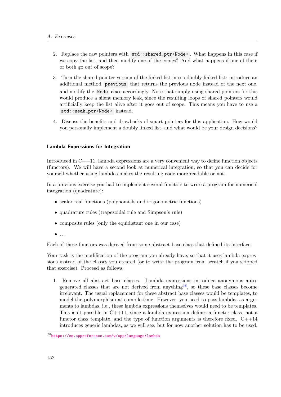- 2. Replace the raw pointers with std::shared\_ptr<Node>. What happens in this case if we copy the list, and then modify one of the copies? And what happens if one of them or both go out of scope?
- 3. Turn the shared pointer version of the linked list into a doubly linked list: introduce an additional method previous that returns the previous node instead of the next one, and modify the Node class accordingly. Note that simply using shared pointers for this would produce a silent memory leak, since the resulting loops of shared pointers would artificially keep the list alive after it goes out of scope. This means you have to use a std::weak\_ptr<Node> instead.
- 4. Discuss the benefits and drawbacks of smart pointers for this application. How would you personally implement a doubly linked list, and what would be your design decisions?

# Lambda Expressions for Integration

Introduced in C++11, lambda expressions are a very convenient way to define function objects (functors). We will have a second look at numerical integration, so that you can decide for yourself whether using lambdas makes the resulting code more readable or not.

In a previous exercise you had to implement several functors to write a program for numerical integration (quadrature):

- scalar real functions (polynomials and trigonometric functions)
- quadrature rules (trapezoidal rule and Simpson's rule)
- composite rules (only the equidistant one in our case)
- $\bullet$  ...

Each of these functors was derived from some abstract base class that defined its interface.

Your task is the modification of the program you already have, so that it uses lambda expressions instead of the classes you created (or to write the program from scratch if you skipped that exercise). Proceed as follows:

1. Remove all abstract base classes. Lambda expressions introduce anonymous auto-generated classes that are not derived from anything<sup>[38](#page-153-0)</sup>, so these base classes become irrelevant. The usual replacement for these abstract base classes would be templates, to model the polymorphism at compile-time. However, you need to pass lambdas as arguments to lambdas, i.e., these lambda expressions themselves would need to be templates. This isn't possible in  $C++11$ , since a lambda expression defines a functor class, not a functor class template, and the type of function arguments is therefore fixed.  $C++14$ introduces generic lambdas, as we will see, but for now another solution has to be used.

<span id="page-153-0"></span><sup>38</sup><https://en.cppreference.com/w/cpp/language/lambda>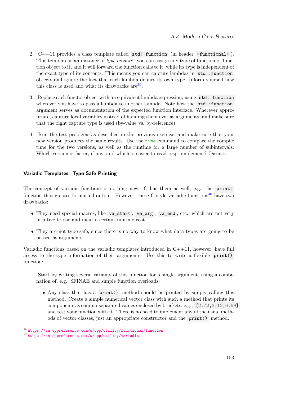- 2. C++11 provides a class template called std::function (in header <functional> ). This template is an instance of *type erasure*: you can assign any type of function or function object to it, and it will forward the function calls to it, while its type is independent of the exact type of its contents. This means you can capture lambdas in std::function objects and ignore the fact that each lambda defines its own type. Inform yourself how this class is used and what its drawbacks  $are^{39}$  $are^{39}$  $are^{39}$ .
- 3. Replace each functor object with an equivalent lambda expression, using std::function wherever you have to pass a lambda to another lambda. Note how the std::function argument serves as documentation of the expected function interface. Wherever appropriate, capture local variables instead of handing them over as arguments, and make sure that the right capture type is used (by-value vs. by-reference).
- 4. Run the test problems as described in the previous exercise, and make sure that your new version produces the same results. Use the time command to compare the compile time for the two versions, as well as the runtime for a large number of subintervals. Which version is faster, if any, and which is easier to read resp. implement? Discuss.

# Variadic Templates: Type-Safe Printing

The concept of variadic functions is nothing new: C has them as well, e.g., the printf function that creates formatted output. However, these C-style variadic functions<sup>[40](#page-154-1)</sup> have two drawbacks:

- They need special macros, like va\_start , va\_arg , va\_end , etc., which are not very intuitive to use and incur a certain runtime cost.
- They are not type-safe, since there is no way to know what data types are going to be passed as arguments.

Variadic functions based on the variadic templates introduced in  $C_{+1}$ , however, have full access to the type information of their arguments. Use this to write a flexible print() function:

- 1. Start by writing several variants of this function for a single argument, using a combination of, e.g., SFINAE and simple function overloads:
	- Any class that has a print() method should be printed by simply calling this method. Create a simple numerical vector class with such a method that prints its components as comma-separated values enclosed by brackets, e.g., [2.72,3.12,6.59] , and test your function with it. There is no need to implement any of the usual methods of vector classes, just an appropriate constructor and the print() method.

<span id="page-154-0"></span><sup>39</sup><https://en.cppreference.com/w/cpp/utility/functional/function>

<span id="page-154-1"></span><sup>40</sup><https://en.cppreference.com/w/cpp/utility/variadic>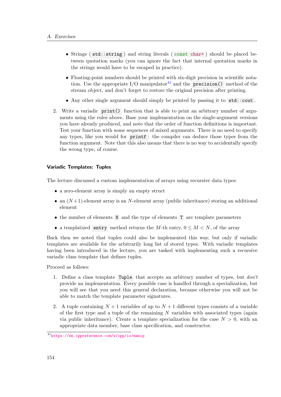- Strings ( std::string ) and string literals ( const char\* ) should be placed between quotation marks (you can ignore the fact that internal quotation marks in the strings would have to be escaped in practice).
- Floating-point numbers should be printed with six-digit precision in scientific notation. Use the appropriate  $I/O$  manipulator<sup>[41](#page-155-0)</sup> and the **precision**() method of the stream object, and don't forget to restore the original precision after printing.
- Any other single argument should simply be printed by passing it to std::cout.
- 2. Write a variadic print() function that is able to print an arbitrary number of arguments using the rules above. Base your implementation on the single-argument versions you have already produced, and note that the order of function definitions is important. Test your function with some sequences of mixed arguments. There is no need to specify any types, like you would for printf : the compiler can deduce those types from the function argument. Note that this also means that there is no way to accidentally specify the wrong type, of course.

## Variadic Templates: Tuples

The lecture discussed a custom implementation of arrays using recursive data types:

- a zero-element array is simply an empty struct
- an  $(N+1)$ -element array is an N-element array (public inheritance) storing an additional element
- the number of elements N and the type of elements T are template parameters
- a templatized entry method returns the M-th entry,  $0 \leq M < N$ , of the array

Back then we noted that tuples could also be implemented this way, but only if variadic templates are available for the arbitrarily long list of stored types. With variadic templates having been introduced in the lecture, you are tasked with implementing such a recursive variadic class template that defines tuples.

Proceed as follows:

- 1. Define a class template Tuple that accepts an arbitrary number of types, but don't provide an implementation. Every possible case is handled through a specialization, but you will see that you need this general declaration, because otherwise you will not be able to match the template parameter signatures.
- 2. A tuple containing  $N+1$  variables of up to  $N+1$  different types consists of a variable of the first type and a tuple of the remaining  $N$  variables with associated types (again via public inheritance). Create a template specialization for the case  $N > 0$ , with an appropriate data member, base class specification, and constructor.

<span id="page-155-0"></span><sup>41</sup><https://en.cppreference.com/w/cpp/io/manip>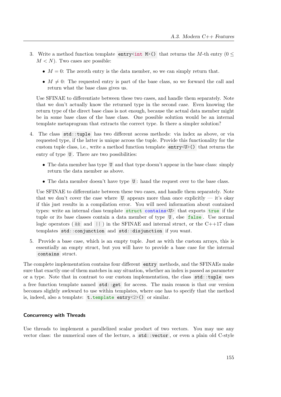- 3. Write a method function template entry<int M>() that returns the M-th entry ( $0 \le$  $M < N$ ). Two cases are possible:
	- $M = 0$ : The zeroth entry is the data member, so we can simply return that.
	- $M \neq 0$ : The requested entry is part of the base class, so we forward the call and return what the base class gives us.

Use SFINAE to differentiate between these two cases, and handle them separately. Note that we don't actually know the returned type in the second case. Even knowing the return type of the direct base class is not enough, because the actual data member might be in some base class of the base class. One possible solution would be an internal template metaprogram that extracts the correct type. Is there a simpler solution?

- 4. The class std::tuple has two different access methods: via index as above, or via requested type, if the latter is unique across the tuple. Provide this functionality for the custom tuple class, i.e., write a method function template  $\text{entry}$   $\vee$   $\vee$   $\vee$  that returns the entry of type U. There are two possibilities:
	- The data member has type U and that type doesn't appear in the base class: simply return the data member as above.
	- The data member doesn't have type  $U$ : hand the request over to the base class.

Use SFINAE to differentiate between these two cases, and handle them separately. Note that we don't cover the case where U appears more than once explicitly  $-$  it's okay if this just results in a compilation error. You will need information about contained types: write an internal class template struct contains<U> that exports true if the tuple or its base classes contain a data member of type  $U$ , else false. Use normal logic operators ( $\&\&$  and  $||\&$ ) in the SFINAE and internal struct, or the C++17 class templates std::conjunction and std::disjunction if you want.

5. Provide a base case, which is an empty tuple. Just as with the custom arrays, this is essentially an empty struct, but you will have to provide a base case for the internal contains struct.

The complete implementation contains four different entry methods, and the SFINAEs make sure that exactly one of them matches in any situation, whether an index is passed as parameter or a type. Note that in contrast to our custom implementation, the class std::tuple uses a free function template named std::get for access. The main reason is that our version becomes slightly awkward to use within templates, where one has to specify that the method is, indeed, also a template:  $t.$  template entry $\langle 2 \rangle$  () or similar.

# Concurrency with Threads

Use threads to implement a parallelized scalar product of two vectors. You may use any vector class: the numerical ones of the lecture, a std::vector , or even a plain old C-style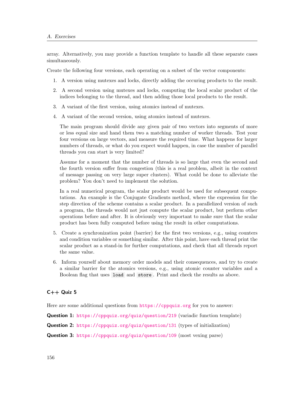array. Alternatively, you may provide a function template to handle all these separate cases simultaneously.

Create the following four versions, each operating on a subset of the vector components:

- 1. A version using mutexes and locks, directly adding the occuring products to the result.
- 2. A second version using mutexes and locks, computing the local scalar product of the indices belonging to the thread, and then adding those local products to the result.
- 3. A variant of the first version, using atomics instead of mutexes.
- 4. A variant of the second version, using atomics instead of mutexes.

The main program should divide any given pair of two vectors into segments of more or less equal size and hand them two a matching number of worker threads. Test your four versions on large vectors, and measure the required time. What happens for larger numbers of threads, or what do you expect would happen, in case the number of parallel threads you can start is very limited?

Assume for a moment that the number of threads is so large that even the second and the fourth version suffer from congestion (this is a real problem, albeit in the context of message passing on very large super clusters). What could be done to alleviate the problem? You don't need to implement the solution.

In a real numerical program, the scalar product would be used for subsequent computations. An example is the Conjugate Gradients method, where the expression for the step direction of the scheme contains a scalar product. In a parallelized version of such a program, the threads would not just compute the scalar product, but perform other operations before and after. It is obviously very important to make sure that the scalar product has been fully computed before using the result in other computations.

- 5. Create a synchronization point (barrier) for the first two versions, e.g., using counters and condition variables or something similar. After this point, have each thread print the scalar product as a stand-in for further computations, and check that all threads report the same value.
- 6. Inform yourself about memory order models and their consequences, and try to create a similar barrier for the atomics versions, e.g., using atomic counter variables and a Boolean flag that uses load and store . Print and check the results as above.

# $C++$  Quiz 5

Here are some additional questions from <https://cppquiz.org> for you to answer:

Question 1: <https://cppquiz.org/quiz/question/219> (variadic function template)

Question 2: <https://cppquiz.org/quiz/question/131> (types of initialization)

Question 3: <https://cppquiz.org/quiz/question/109> (most vexing parse)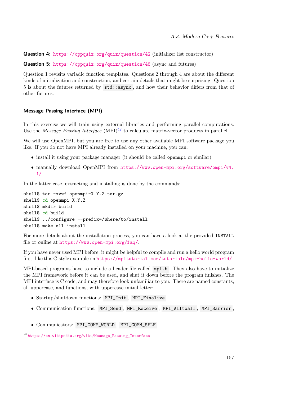Question 4: <https://cppquiz.org/quiz/question/42> (initializer list constructor)

Question 5: <https://cppquiz.org/quiz/question/48> (async and futures)

Question 1 revisits variadic function templates. Questions 2 through 4 are about the different kinds of initialization and construction, and certain details that might be surprising. Question 5 is about the futures returned by std::async , and how their behavior differs from that of other futures.

#### Message Passing Interface (MPI)

In this exercise we will train using external libraries and performing parallel computations. Use the *Message Passing Interface* (MPI)<sup>[42](#page-158-0)</sup> to calculate matrix-vector products in parallel.

We will use OpenMPI, but you are free to use any other available MPI software package you like. If you do not have MPI already installed on your machine, you can:

- install it using your package manager (it should be called openmpi or similar)
- manually download OpenMPI from [https://www.open-mpi.org/software/ompi/v4.](https://www.open-mpi.org/software/ompi/v4.1/) [1/](https://www.open-mpi.org/software/ompi/v4.1/)

In the latter case, extracting and installing is done by the commands:

```
shell$ tar -xvzf openmpi-X.Y.Z.tar.gz
shell$ cd openmpi-X.Y.Z
shell$ mkdir build
shell$ cd build
shell$ ../configure --prefix=/where/to/install
shell$ make all install
```
For more details about the installation process, you can have a look at the provided INSTALL file or online at <https://www.open-mpi.org/faq/>.

If you have never used MPI before, it might be helpful to compile and run a hello world program first, like this C-style example on <https://mpitutorial.com/tutorials/mpi-hello-world/>.

MPI-based programs have to include a header file called mpi.h . They also have to initialize the MPI framework before it can be used, and shut it down before the program finishes. The MPI interface is C code, and may therefore look unfamiliar to you. There are named constants, all uppercase, and functions, with uppercase initial letter:

- Startup/shutdown functions: MPI\_Init , MPI\_Finalize
- Communication functions: MPI\_Send , MPI\_Receive , MPI\_Alltoall , MPI\_Barrier , . . .
- Communicators: MPI\_COMM\_WORLD , MPI\_COMM\_SELF

<span id="page-158-0"></span><sup>42</sup>[https://en.wikipedia.org/wiki/Message\\_Passing\\_Interface](https://en.wikipedia.org/wiki/Message_Passing_Interface)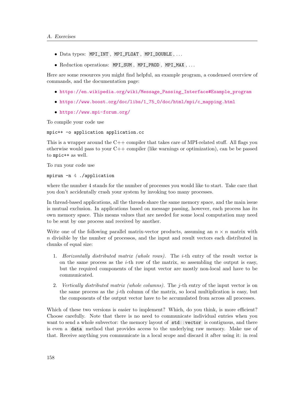- Data types: MPI\_INT , MPI\_FLOAT , MPI\_DOUBLE , . . .
- Reduction operations: MPI\_SUM , MPI\_PROD , MPI\_MAX , . . .

Here are some resources you might find helpful, an example program, a condensed overview of commands, and the documentation page:

- [https://en.wikipedia.org/wiki/Message\\_Passing\\_Interface#Example\\_program](https://en.wikipedia.org/wiki/Message_Passing_Interface#Example_program)
- [https://www.boost.org/doc/libs/1\\_75\\_0/doc/html/mpi/c\\_mapping.html](https://www.boost.org/doc/libs/1_75_0/doc/html/mpi/c_mapping.html)
- <https://www.mpi-forum.org/>

To compile your code use

mpic++ -o application application.cc

This is a wrapper around the  $C++$  compiler that takes care of MPI-related stuff. All flags you otherwise would pass to your  $C++$  compiler (like warnings or optimization), can be be passed to mpic++ as well.

To run your code use

### mpirun -n 4 ./application

where the number 4 stands for the number of processes you would like to start. Take care that you don't accidentally crash your system by invoking too many processes.

In thread-based applications, all the threads share the same memory space, and the main issue is mutual exclusion. In applications based on message passing, however, each process has its own memory space. This means values that are needed for some local computation may need to be sent by one process and received by another.

Write one of the following parallel matrix-vector products, assuming an  $n \times n$  matrix with n divisible by the number of processos, and the input and result vectors each distributed in chunks of equal size:

- 1. Horizontally distributed matrix (whole rows). The i-th entry of the result vector is on the same process as the  $i$ -th row of the matrix, so assembling the output is easy, but the required components of the input vector are mostly non-local and have to be communicated.
- 2. Vertically distributed matrix (whole columns). The j-th entry of the input vector is on the same process as the  $i$ -th column of the matrix, so local multiplication is easy, but the components of the output vector have to be accumulated from across all processes.

Which of these two versions is easier to implement? Which, do you think, is more efficient? Choose carefully. Note that there is no need to communicate individual entries when you want to send a whole subvector: the memory layout of  $\text{std}$ : vector is contiguous, and there is even a data method that provides access to the underlying raw memory. Make use of that. Receive anything you communicate in a local scope and discard it after using it: in real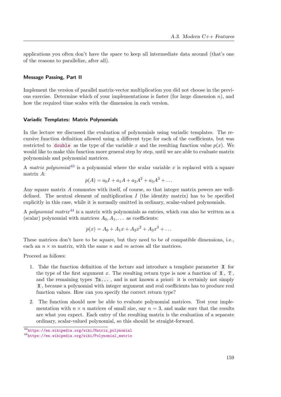applications you often don't have the space to keep all intermediate data around (that's one of the reasons to parallelize, after all).

#### Message Passing, Part II

Implement the version of parallel matrix-vector multiplication you did not choose in the previous exercise. Determine which of your implementations is faster (for large dimension  $n$ ), and how the required time scales with the dimension in each version.

### Variadic Templates: Matrix Polynomials

In the lecture we discussed the evaluation of polynomials using variadic templates. The recursive function definition allowed using a different type for each of the coefficients, but was restricted to double as the type of the variable x and the resulting function value  $p(x)$ . We would like to make this function more general step by step, until we are able to evaluate matrix polynomials and polynomial matrices.

A matrix polynomial<sup>[43](#page-160-0)</sup> is a polynomial where the scalar variable x is replaced with a square matrix A:

$$
p(A) = a_0 I + a_1 A + a_2 A^2 + a_3 A^3 + \dots
$$

Any square matrix A commutes with itself, of course, so that integer matrix powers are welldefined. The neutral element of multiplication  $I$  (the identity matrix) has to be specified explicitly in this case, while it is normally omitted in ordinary, scalar-valued polynomials.

A polynomial matrix  $44$  is a matrix with polynomials as entries, which can also be written as a (scalar) polynomial with matrices  $A_0, A_1, \ldots$  as coefficients:

$$
p(x) = A_0 + A_1x + A_2x^2 + A_3x^3 + \dots
$$

These matrices don't have to be square, but they need to be of compatible dimensions, i.e., each an  $n \times m$  matrix, with the same n and m across all the matrices.

Proceed as follows:

- 1. Take the function definition of the lecture and introduce a template parameter X for the type of the first argument x. The resulting return type is now a function of  $X$ ,  $T$ , and the remaining types Ts... , and is not known a priori: it is certainly not simply X , because a polynomial with integer argument and real coefficients has to produce real function values. How can you specify the correct return type?
- 2. The function should now be able to evaluate polynomial matrices. Test your implementation with  $n \times n$  matrices of small size, say  $n = 3$ , and make sure that the results are what you expect. Each entry of the resulting matrix is the evaluation of a separate ordinary, scalar-valued polynomial, so this should be straight-forward.

<span id="page-160-0"></span><sup>43</sup>[https://en.wikipedia.org/wiki/Matrix\\_polynomial](https://en.wikipedia.org/wiki/Matrix_polynomial)

<span id="page-160-1"></span><sup>44</sup>[https://en.wikipedia.org/wiki/Polynomial\\_matrix](https://en.wikipedia.org/wiki/Polynomial_matrix)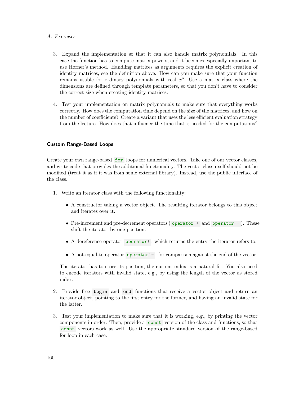# A. Exercises

- 3. Expand the implementation so that it can also handle matrix polynomials. In this case the function has to compute matrix powers, and it becomes especially important to use Horner's method. Handling matrices as arguments requires the explicit creation of identity matrices, see the definition above. How can you make sure that your function remains usable for ordinary polynomials with real  $x$ ? Use a matrix class where the dimensions are defined through template parameters, so that you don't have to consider the correct size when creating identity matrices.
- 4. Test your implementation on matrix polynomials to make sure that everything works correctly. How does the computation time depend on the size of the matrices, and how on the number of coefficients? Create a variant that uses the less efficient evaluation strategy from the lecture. How does that influence the time that is needed for the computations?

# Custom Range-Based Loops

Create your own range-based for loops for numerical vectors. Take one of our vector classes, and write code that provides the additional functionality. The vector class itself should not be modified (treat it as if it was from some external library). Instead, use the public interface of the class.

- 1. Write an iterator class with the following functionality:
	- A constructor taking a vector object. The resulting iterator belongs to this object and iterates over it.
	- Pre-increment and pre-decrement operators ( operator++ and operator--). These shift the iterator by one position.
	- A dereference operator operator  $*$ , which returns the entry the iterator refers to.
	- A not-equal-to operator operator!  $=$ , for comparison against the end of the vector.

The iterator has to store its position, the current index is a natural fit. You also need to encode iterators with invalid state, e.g., by using the length of the vector as stored index.

- 2. Provide free begin and end functions that receive a vector object and return an iterator object, pointing to the first entry for the former, and having an invalid state for the latter.
- 3. Test your implementation to make sure that it is working, e.g., by printing the vector components in order. Then, provide a const version of the class and functions, so that const vectors work as well. Use the appropriate standard version of the range-based for loop in each case.